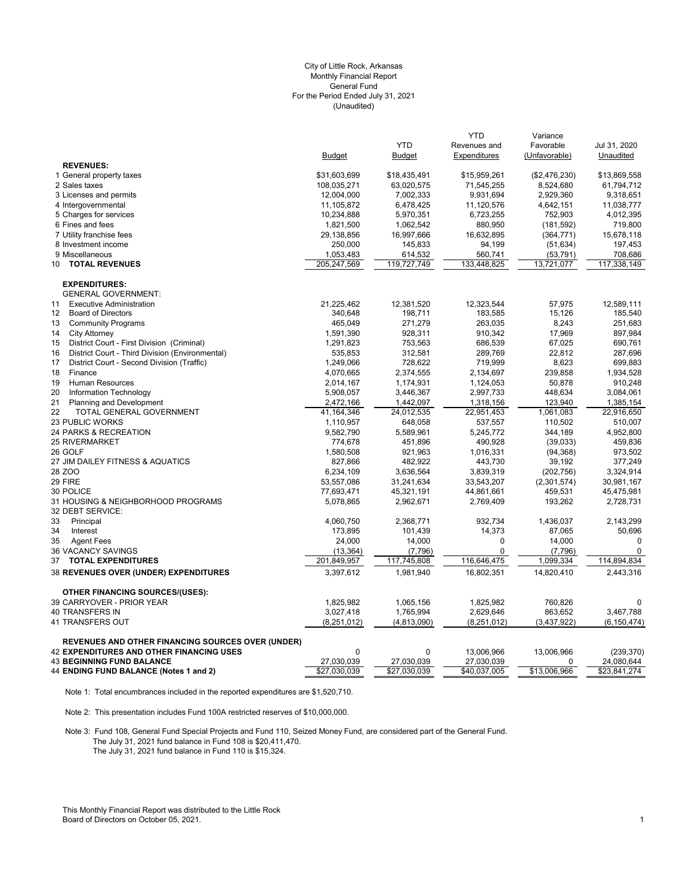#### (Unaudited) City of Little Rock, Arkansas Monthly Financial Report General Fund For the Period Ended July 31, 2021

|                                                          | <b>Budget</b> | <b>YTD</b><br><b>Budget</b> | <b>YTD</b><br>Revenues and<br>Expenditures | Variance<br>Favorable<br>(Unfavorable) | Jul 31, 2020<br>Unaudited |
|----------------------------------------------------------|---------------|-----------------------------|--------------------------------------------|----------------------------------------|---------------------------|
| <b>REVENUES:</b>                                         |               |                             |                                            |                                        |                           |
| 1 General property taxes                                 | \$31,603,699  | \$18,435,491                | \$15,959,261                               | (\$2,476,230)                          | \$13,869,558              |
| 2 Sales taxes                                            | 108,035,271   | 63,020,575                  | 71,545,255                                 | 8,524,680                              | 61,794,712                |
| 3 Licenses and permits                                   | 12,004,000    | 7,002,333                   | 9,931,694                                  | 2,929,360                              | 9,318,651                 |
| 4 Intergovernmental                                      | 11,105,872    | 6,478,425                   | 11,120,576                                 | 4,642,151                              | 11,038,777                |
| 5 Charges for services                                   | 10,234,888    | 5,970,351                   | 6,723,255                                  | 752,903                                | 4,012,395                 |
| 6 Fines and fees                                         | 1,821,500     | 1,062,542                   | 880,950                                    | (181, 592)                             | 719,800                   |
| 7 Utility franchise fees                                 | 29,138,856    | 16,997,666                  | 16,632,895                                 | (364, 771)                             | 15,678,118                |
| 8 Investment income                                      | 250,000       | 145,833                     | 94,199                                     | (51, 634)                              | 197,453                   |
| 9 Miscellaneous                                          | 1,053,483     | 614,532                     | 560,741                                    | (53, 791)                              | 708,686                   |
| <b>TOTAL REVENUES</b><br>10                              | 205, 247, 569 | 119,727,749                 | 133,448,825                                | 13,721,077                             | 117,338,149               |
| <b>EXPENDITURES:</b>                                     |               |                             |                                            |                                        |                           |
| <b>GENERAL GOVERNMENT:</b>                               |               |                             |                                            |                                        |                           |
| 11<br><b>Executive Administration</b>                    | 21,225,462    | 12,381,520                  | 12,323,544                                 | 57,975                                 | 12,589,111                |
| 12<br><b>Board of Directors</b>                          | 340,648       | 198,711                     | 183,585                                    | 15,126                                 | 185,540                   |
| <b>Community Programs</b><br>13                          | 465,049       | 271,279                     | 263,035                                    | 8,243                                  | 251,683                   |
| 14<br><b>City Attorney</b>                               | 1,591,390     | 928,311                     | 910,342                                    | 17,969                                 | 897,984                   |
| 15<br>District Court - First Division (Criminal)         | 1,291,823     | 753,563                     | 686,539                                    | 67,025                                 | 690,761                   |
| District Court - Third Division (Environmental)<br>16    | 535,853       | 312,581                     | 289,769                                    | 22,812                                 | 287,696                   |
| 17<br>District Court - Second Division (Traffic)         | 1,249,066     | 728,622                     | 719,999                                    | 8,623                                  | 699,883                   |
| 18<br>Finance                                            | 4,070,665     | 2,374,555                   | 2,134,697                                  | 239,858                                | 1,934,528                 |
| 19<br>Human Resources                                    | 2,014,167     | 1,174,931                   | 1,124,053                                  | 50,878                                 | 910,248                   |
| 20<br>Information Technology                             | 5,908,057     | 3,446,367                   | 2,997,733                                  | 448,634                                | 3,084,061                 |
| 21<br><b>Planning and Development</b>                    | 2,472,166     | 1,442,097                   | 1,318,156                                  | 123,940                                | 1,385,154                 |
| 22<br><b>TOTAL GENERAL GOVERNMENT</b>                    | 41,164,346    | 24,012,535                  | 22,951,453                                 | 1.061.083                              | 22,916,650                |
| <b>23 PUBLIC WORKS</b>                                   | 1,110,957     | 648,058                     | 537,557                                    | 110,502                                | 510,007                   |
| 24 PARKS & RECREATION                                    | 9,582,790     | 5,589,961                   | 5,245,772                                  | 344,189                                | 4,952,800                 |
| <b>25 RIVERMARKET</b>                                    | 774,678       | 451,896                     | 490,928                                    | (39,033)                               | 459,836                   |
| 26 GOLF                                                  | 1,580,508     | 921,963                     | 1,016,331                                  | (94, 368)                              | 973,502                   |
| 27 JIM DAILEY FITNESS & AQUATICS                         | 827,866       | 482,922                     | 443,730                                    | 39,192                                 | 377,249                   |
| 28 ZOO                                                   | 6,234,109     | 3,636,564                   | 3,839,319                                  | (202, 756)                             | 3,324,914                 |
| 29 FIRE                                                  | 53,557,086    | 31,241,634                  | 33,543,207                                 | (2,301,574)                            | 30,981,167                |
| 30 POLICE                                                | 77,693,471    | 45,321,191                  | 44,861,661                                 | 459,531                                | 45,475,981                |
| 31 HOUSING & NEIGHBORHOOD PROGRAMS                       | 5,078,865     | 2,962,671                   | 2,769,409                                  | 193,262                                | 2,728,731                 |
| 32 DEBT SERVICE:                                         |               |                             |                                            |                                        |                           |
| 33<br>Principal                                          | 4,060,750     | 2,368,771                   | 932,734                                    | 1,436,037                              | 2,143,299                 |
| 34<br>Interest                                           | 173,895       | 101,439                     | 14,373                                     | 87,065                                 | 50,696                    |
| 35<br><b>Agent Fees</b>                                  | 24,000        | 14,000                      | 0                                          | 14,000                                 | $\mathbf 0$               |
| 36 VACANCY SAVINGS                                       | (13, 364)     | (7,796)                     | 0                                          | (7,796)                                | 0                         |
| 37<br><b>TOTAL EXPENDITURES</b>                          | 201,849,957   | 117,745,808                 | 116,646,475                                | 1,099,334                              | 114,894,834               |
| 38 REVENUES OVER (UNDER) EXPENDITURES                    | 3,397,612     | 1,981,940                   | 16,802,351                                 | 14,820,410                             | 2,443,316                 |
| <b>OTHER FINANCING SOURCES/(USES):</b>                   |               |                             |                                            |                                        |                           |
| 39 CARRYOVER - PRIOR YEAR                                | 1,825,982     | 1,065,156                   | 1,825,982                                  | 760,826                                | $\Omega$                  |
| <b>40 TRANSFERS IN</b>                                   | 3,027,418     | 1,765,994                   | 2,629,646                                  | 863,652                                | 3,467,788                 |
| 41 TRANSFERS OUT                                         | (8, 251, 012) | (4,813,090)                 | (8, 251, 012)                              | (3,437,922)                            | (6, 150, 474)             |
| <b>REVENUES AND OTHER FINANCING SOURCES OVER (UNDER)</b> |               |                             |                                            |                                        |                           |
| <b>42 EXPENDITURES AND OTHER FINANCING USES</b>          | 0             | 0                           | 13,006,966                                 | 13,006,966                             | (239, 370)                |
| <b>43 BEGINNING FUND BALANCE</b>                         | 27,030,039    | 27,030,039                  | 27,030,039                                 | 0                                      | 24,080,644                |
| 44 ENDING FUND BALANCE (Notes 1 and 2)                   | \$27,030,039  | \$27,030,039                | \$40,037,005                               | \$13,006,966                           | \$23,841,274              |

Note 1: Total encumbrances included in the reported expenditures are \$1,520,710.

Note 2: This presentation includes Fund 100A restricted reserves of \$10,000,000.

Note 3: Fund 108, General Fund Special Projects and Fund 110, Seized Money Fund, are considered part of the General Fund. The July 31, 2021 fund balance in Fund 108 is \$20,411,470. The July 31, 2021 fund balance in Fund 110 is \$15,324.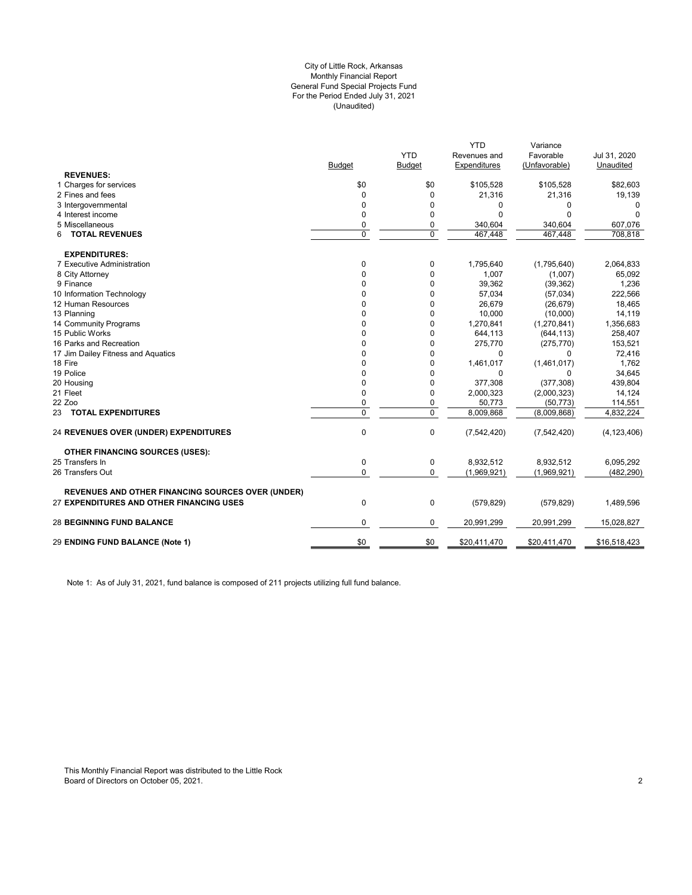#### (Unaudited) City of Little Rock, Arkansas Monthly Financial Report General Fund Special Projects Fund For the Period Ended July 31, 2021

|                                                          |               |               | <b>YTD</b>         | Variance           |                    |
|----------------------------------------------------------|---------------|---------------|--------------------|--------------------|--------------------|
|                                                          |               | <b>YTD</b>    | Revenues and       | Favorable          | Jul 31, 2020       |
| <b>REVENUES:</b>                                         | <b>Budget</b> | <b>Budget</b> | Expenditures       | (Unfavorable)      | Unaudited          |
| 1 Charges for services                                   | \$0           | \$0           | \$105,528          | \$105,528          | \$82,603           |
| 2 Fines and fees                                         | $\Omega$      | $\mathbf 0$   |                    |                    |                    |
| 3 Intergovernmental                                      | 0             | 0             | 21,316             | 21,316             | 19,139             |
|                                                          |               | 0             | 0<br>$\Omega$      | 0<br>$\Omega$      | 0<br>$\Omega$      |
| 4 Interest income<br>5 Miscellaneous                     | 0             | 0             |                    |                    |                    |
| <b>TOTAL REVENUES</b><br>6                               | 0<br>0        | $\mathbf 0$   | 340,604<br>467,448 | 340,604<br>467,448 | 607,076<br>708,818 |
|                                                          |               |               |                    |                    |                    |
| <b>EXPENDITURES:</b>                                     |               |               |                    |                    |                    |
| 7 Executive Administration                               | 0             | 0             | 1,795,640          | (1,795,640)        | 2,064,833          |
| 8 City Attorney                                          | 0             | 0             | 1,007              | (1,007)            | 65,092             |
| 9 Finance                                                | 0             | 0             | 39,362             | (39, 362)          | 1,236              |
| 10 Information Technology                                | 0             | 0             | 57,034             | (57, 034)          | 222,566            |
| 12 Human Resources                                       | 0             | $\mathbf 0$   | 26,679             | (26, 679)          | 18,465             |
| 13 Planning                                              | 0             | $\Omega$      | 10,000             | (10,000)           | 14,119             |
| 14 Community Programs                                    | 0             | 0             | 1,270,841          | (1,270,841)        | 1,356,683          |
| 15 Public Works                                          | 0             | 0             | 644,113            | (644, 113)         | 258,407            |
| 16 Parks and Recreation                                  | 0             | $\mathbf 0$   | 275,770            | (275, 770)         | 153,521            |
| 17 Jim Dailey Fitness and Aquatics                       | 0             | 0             | $\mathbf 0$        | 0                  | 72,416             |
| 18 Fire                                                  | 0             | 0             | 1,461,017          | (1,461,017)        | 1,762              |
| 19 Police                                                | 0             | 0             | 0                  | 0                  | 34,645             |
| 20 Housing                                               | 0             | 0             | 377,308            | (377, 308)         | 439,804            |
| 21 Fleet                                                 | 0             | 0             | 2,000,323          | (2,000,323)        | 14,124             |
| 22 Zoo                                                   | 0             | 0             | 50,773             | (50, 773)          | 114,551            |
| 23 TOTAL EXPENDITURES                                    | $\Omega$      | $\mathbf 0$   | 8,009,868          | (8,009,868)        | 4,832,224          |
| <b>24 REVENUES OVER (UNDER) EXPENDITURES</b>             | 0             | 0             | (7,542,420)        | (7, 542, 420)      | (4, 123, 406)      |
| <b>OTHER FINANCING SOURCES (USES):</b>                   |               |               |                    |                    |                    |
| 25 Transfers In                                          | 0             | 0             | 8,932,512          | 8,932,512          | 6,095,292          |
| 26 Transfers Out                                         | 0             | 0             | (1,969,921)        | (1,969,921)        | (482, 290)         |
| <b>REVENUES AND OTHER FINANCING SOURCES OVER (UNDER)</b> |               |               |                    |                    |                    |
| 27 EXPENDITURES AND OTHER FINANCING USES                 | 0             | 0             | (579, 829)         | (579, 829)         | 1,489,596          |
|                                                          |               |               |                    |                    |                    |
| <b>28 BEGINNING FUND BALANCE</b>                         | 0             | 0             | 20,991,299         | 20,991,299         | 15,028,827         |
| 29 ENDING FUND BALANCE (Note 1)                          | \$0           | \$0           | \$20,411,470       | \$20,411,470       | \$16,518,423       |
|                                                          |               |               |                    |                    |                    |

Note 1: As of July 31, 2021, fund balance is composed of 211 projects utilizing full fund balance.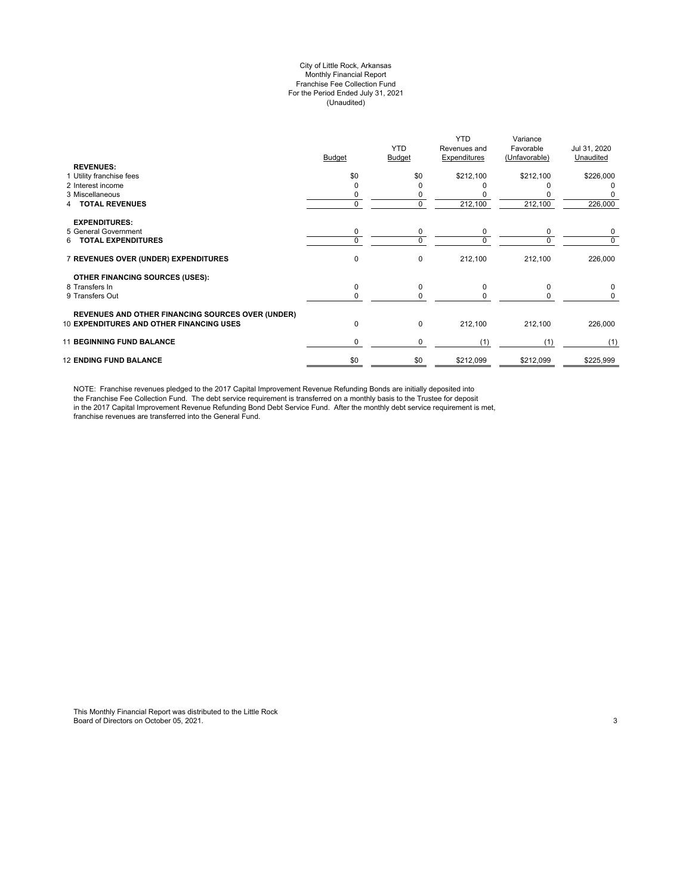#### City of Little Rock, Arkansas Monthly Financial Report Franchise Fee Collection Fund For the Period Ended July 31, 2021 (Unaudited)

| <b>REVENUES:</b>                                                                                            | Budget   | <b>YTD</b><br><b>Budget</b> | <b>YTD</b><br>Revenues and<br>Expenditures | Variance<br>Favorable<br>(Unfavorable) | Jul 31, 2020<br>Unaudited |
|-------------------------------------------------------------------------------------------------------------|----------|-----------------------------|--------------------------------------------|----------------------------------------|---------------------------|
| 1 Utility franchise fees                                                                                    | \$0      | \$0                         | \$212,100                                  | \$212,100                              | \$226,000                 |
| 2 Interest income                                                                                           |          | ი                           |                                            |                                        | 0                         |
| 3 Miscellaneous                                                                                             |          | 0                           |                                            |                                        |                           |
| <b>TOTAL REVENUES</b>                                                                                       | $\Omega$ | 0                           | 212,100                                    | 212,100                                | 226,000                   |
| <b>EXPENDITURES:</b>                                                                                        |          |                             |                                            |                                        |                           |
| 5 General Government                                                                                        | 0        | 0                           | 0                                          | 0                                      | 0                         |
| <b>TOTAL EXPENDITURES</b><br>6.                                                                             | $\Omega$ | 0                           | $\Omega$                                   | $\Omega$                               | 0                         |
| 7 REVENUES OVER (UNDER) EXPENDITURES                                                                        | 0        | 0                           | 212,100                                    | 212,100                                | 226,000                   |
| OTHER FINANCING SOURCES (USES):                                                                             |          |                             |                                            |                                        |                           |
| 8 Transfers In                                                                                              | 0        | 0                           | $\Omega$                                   | $\Omega$                               | 0                         |
| 9 Transfers Out                                                                                             | $\Omega$ | 0                           | $\Omega$                                   | <sup>0</sup>                           | 0                         |
|                                                                                                             |          |                             |                                            |                                        |                           |
| <b>REVENUES AND OTHER FINANCING SOURCES OVER (UNDER)</b><br><b>10 EXPENDITURES AND OTHER FINANCING USES</b> | 0        | 0                           | 212,100                                    | 212,100                                | 226,000                   |
| <b>11 BEGINNING FUND BALANCE</b>                                                                            | 0        | 0                           | (1)                                        | (1)                                    | (1)                       |
| <b>12 ENDING FUND BALANCE</b>                                                                               | \$0      | \$0                         | \$212,099                                  | \$212,099                              | \$225,999                 |

NOTE: Franchise revenues pledged to the 2017 Capital Improvement Revenue Refunding Bonds are initially deposited into the Franchise Fee Collection Fund. The debt service requirement is transferred on a monthly basis to the Trustee for deposit in the 2017 Capital Improvement Revenue Refunding Bond Debt Service Fund. After the monthly debt service requirement is met, franchise revenues are transferred into the General Fund.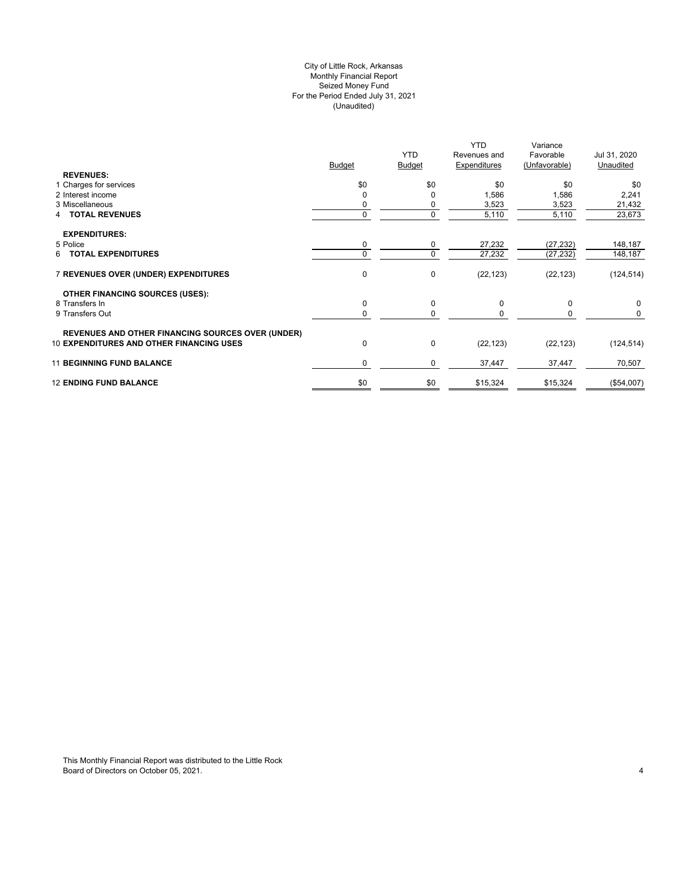# City of Little Rock, Arkansas (Unaudited) For the Period Ended July 31, 2021 Seized Money Fund Monthly Financial Report

| <b>REVENUES:</b>                                         | <b>Budget</b> | <b>YTD</b><br><b>Budget</b> | <b>YTD</b><br>Revenues and<br>Expenditures | Variance<br>Favorable<br>(Unfavorable) | Jul 31, 2020<br>Unaudited |
|----------------------------------------------------------|---------------|-----------------------------|--------------------------------------------|----------------------------------------|---------------------------|
| 1 Charges for services                                   | \$0           | \$0                         | \$0                                        | \$0                                    | \$0                       |
| 2 Interest income                                        |               | 0                           | 1,586                                      | 1,586                                  | 2,241                     |
| 3 Miscellaneous                                          |               | 0                           | 3,523                                      | 3,523                                  | 21,432                    |
| <b>4 TOTAL REVENUES</b>                                  | 0             | 0                           | 5,110                                      | 5,110                                  | 23,673                    |
| <b>EXPENDITURES:</b>                                     |               |                             |                                            |                                        |                           |
| 5 Police                                                 | 0             | 0                           | 27,232                                     | (27, 232)                              | 148,187                   |
| 6 TOTAL EXPENDITURES                                     | 0             | 0                           | 27,232                                     | (27, 232)                              | 148,187                   |
| 7 REVENUES OVER (UNDER) EXPENDITURES                     | $\mathbf 0$   | 0                           | (22, 123)                                  | (22, 123)                              | (124, 514)                |
| <b>OTHER FINANCING SOURCES (USES):</b>                   |               |                             |                                            |                                        |                           |
| 8 Transfers In                                           | $\mathbf 0$   | 0                           | 0                                          | 0                                      | 0                         |
| 9 Transfers Out                                          | 0             | 0                           | $\Omega$                                   |                                        | 0                         |
| <b>REVENUES AND OTHER FINANCING SOURCES OVER (UNDER)</b> |               |                             |                                            |                                        |                           |
| <b>10 EXPENDITURES AND OTHER FINANCING USES</b>          | $\mathbf 0$   | 0                           | (22, 123)                                  | (22, 123)                              | (124, 514)                |
| <b>11 BEGINNING FUND BALANCE</b>                         | $\Omega$      | 0                           | 37,447                                     | 37,447                                 | 70,507                    |
| <b>12 ENDING FUND BALANCE</b>                            | \$0           | \$0                         | \$15,324                                   | \$15,324                               | (\$54,007)                |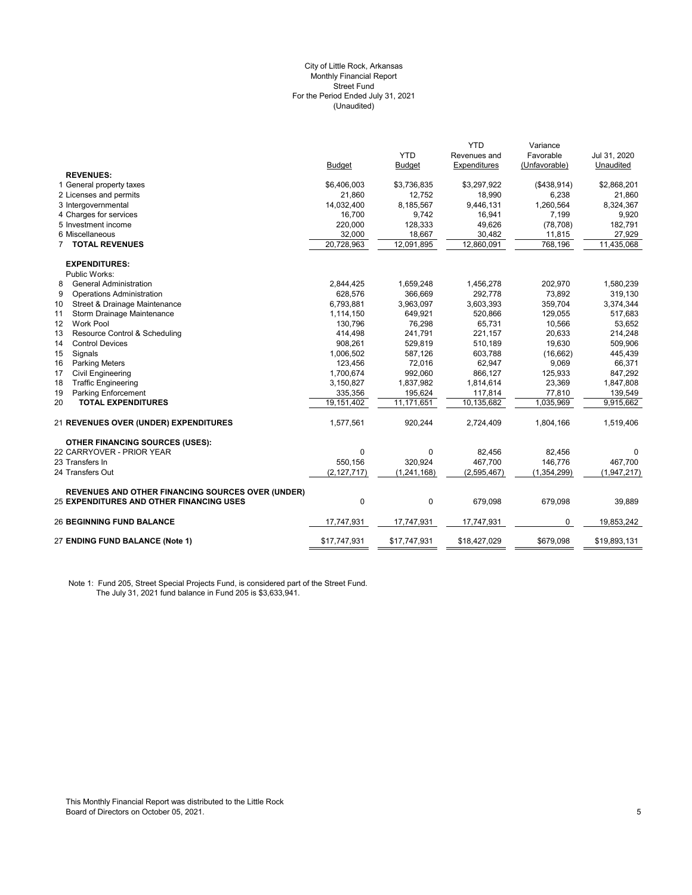#### (Unaudited) City of Little Rock, Arkansas Monthly Financial Report Street Fund For the Period Ended July 31, 2021

|                                                          |               |               | <b>YTD</b>          | Variance      |              |
|----------------------------------------------------------|---------------|---------------|---------------------|---------------|--------------|
|                                                          |               | <b>YTD</b>    | Revenues and        | Favorable     | Jul 31, 2020 |
|                                                          | <b>Budget</b> | <b>Budget</b> | <b>Expenditures</b> | (Unfavorable) | Unaudited    |
| <b>REVENUES:</b>                                         |               |               |                     |               |              |
| 1 General property taxes                                 | \$6,406,003   | \$3,736,835   | \$3,297,922         | ( \$438, 914) | \$2,868,201  |
| 2 Licenses and permits                                   | 21,860        | 12,752        | 18,990              | 6,238         | 21,860       |
| 3 Intergovernmental                                      | 14,032,400    | 8,185,567     | 9,446,131           | 1,260,564     | 8,324,367    |
| 4 Charges for services                                   | 16,700        | 9,742         | 16,941              | 7,199         | 9,920        |
| 5 Investment income                                      | 220,000       | 128,333       | 49,626              | (78, 708)     | 182,791      |
| 6 Miscellaneous                                          | 32,000        | 18,667        | 30,482              | 11,815        | 27,929       |
| <b>TOTAL REVENUES</b><br>7                               | 20,728,963    | 12,091,895    | 12,860,091          | 768,196       | 11,435,068   |
| <b>EXPENDITURES:</b>                                     |               |               |                     |               |              |
| Public Works:                                            |               |               |                     |               |              |
| <b>General Administration</b><br>8                       | 2,844,425     | 1,659,248     | 1,456,278           | 202,970       | 1,580,239    |
| 9<br><b>Operations Administration</b>                    | 628,576       | 366,669       | 292,778             | 73,892        | 319,130      |
| 10<br>Street & Drainage Maintenance                      | 6,793,881     | 3,963,097     | 3,603,393           | 359,704       | 3,374,344    |
| Storm Drainage Maintenance<br>11                         | 1,114,150     | 649,921       | 520,866             | 129,055       | 517,683      |
| Work Pool<br>12                                          | 130,796       | 76,298        | 65,731              | 10,566        | 53,652       |
| 13<br>Resource Control & Scheduling                      | 414,498       | 241,791       | 221,157             | 20,633        | 214,248      |
| 14<br><b>Control Devices</b>                             | 908,261       | 529,819       | 510,189             | 19,630        | 509,906      |
| 15<br>Signals                                            | 1,006,502     | 587,126       | 603,788             | (16, 662)     | 445,439      |
| <b>Parking Meters</b><br>16                              | 123,456       | 72,016        | 62,947              | 9,069         | 66,371       |
| <b>Civil Engineering</b><br>17                           | 1,700,674     | 992,060       | 866,127             | 125,933       | 847,292      |
| <b>Traffic Engineering</b><br>18                         | 3,150,827     | 1,837,982     | 1,814,614           | 23,369        | 1,847,808    |
| <b>Parking Enforcement</b><br>19                         | 335,356       | 195,624       | 117,814             | 77,810        | 139,549      |
| 20<br><b>TOTAL EXPENDITURES</b>                          | 19,151,402    | 11,171,651    | 10,135,682          | 1,035,969     | 9,915,662    |
| <b>21 REVENUES OVER (UNDER) EXPENDITURES</b>             | 1,577,561     | 920,244       | 2,724,409           | 1,804,166     | 1,519,406    |
| <b>OTHER FINANCING SOURCES (USES):</b>                   |               |               |                     |               |              |
| 22 CARRYOVER - PRIOR YEAR                                | $\mathbf{0}$  | $\Omega$      | 82,456              | 82,456        | $\Omega$     |
| 23 Transfers In                                          | 550,156       | 320,924       | 467,700             | 146,776       | 467,700      |
| 24 Transfers Out                                         | (2, 127, 717) | (1, 241, 168) | (2,595,467)         | (1, 354, 299) | (1,947,217)  |
| <b>REVENUES AND OTHER FINANCING SOURCES OVER (UNDER)</b> |               |               |                     |               |              |
| <b>25 EXPENDITURES AND OTHER FINANCING USES</b>          | 0             | $\mathbf 0$   | 679,098             | 679,098       | 39,889       |
| <b>26 BEGINNING FUND BALANCE</b>                         | 17,747,931    | 17,747,931    | 17,747,931          | 0             | 19,853,242   |
| 27 ENDING FUND BALANCE (Note 1)                          | \$17,747,931  | \$17,747,931  | \$18,427,029        | \$679,098     | \$19,893,131 |
|                                                          |               |               |                     |               |              |

Note 1: Fund 205, Street Special Projects Fund, is considered part of the Street Fund. The July 31, 2021 fund balance in Fund 205 is \$3,633,941.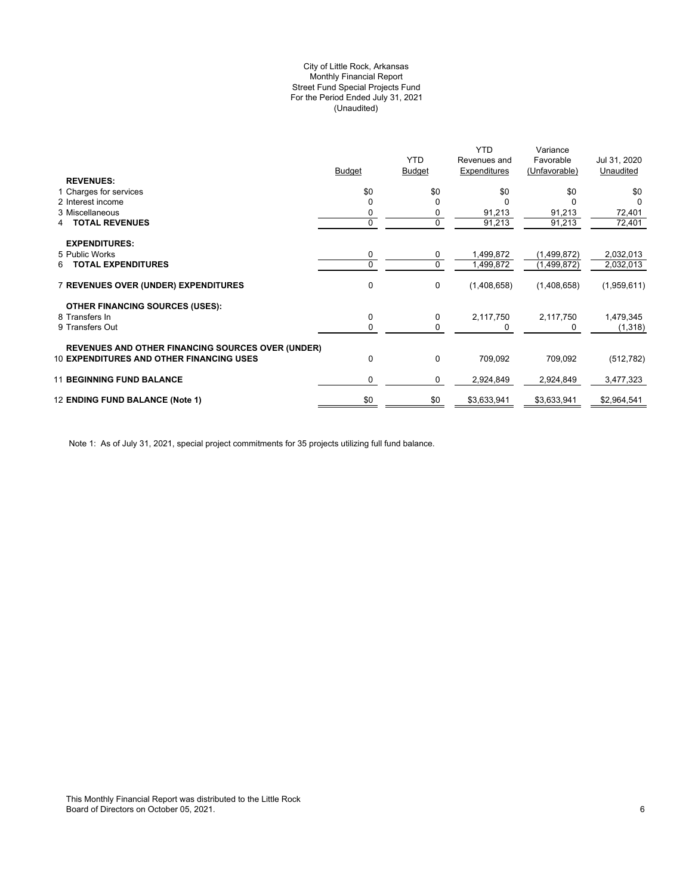# (Unaudited) City of Little Rock, Arkansas Monthly Financial Report Street Fund Special Projects Fund For the Period Ended July 31, 2021

|     | <b>YTD</b>                                                                            | Revenues and                        | Favorable                                                      | Jul 31, 2020                                                           |
|-----|---------------------------------------------------------------------------------------|-------------------------------------|----------------------------------------------------------------|------------------------------------------------------------------------|
|     |                                                                                       |                                     |                                                                | Unaudited                                                              |
|     |                                                                                       |                                     |                                                                | \$0                                                                    |
|     |                                                                                       |                                     |                                                                | <sup>0</sup>                                                           |
|     |                                                                                       |                                     |                                                                | 72,401                                                                 |
| 0   | 0                                                                                     | 91,213                              | 91,213                                                         | 72,401                                                                 |
|     |                                                                                       |                                     |                                                                |                                                                        |
|     |                                                                                       |                                     |                                                                | 2,032,013                                                              |
| 0   | 0                                                                                     | 1,499,872                           | (1,499,872)                                                    | 2,032,013                                                              |
| 0   | 0                                                                                     | (1,408,658)                         | (1,408,658)                                                    | (1,959,611)                                                            |
|     |                                                                                       |                                     |                                                                |                                                                        |
| 0   | 0                                                                                     |                                     |                                                                | 1,479,345                                                              |
| 0   | 0                                                                                     |                                     | 0                                                              | (1, 318)                                                               |
|     |                                                                                       |                                     |                                                                |                                                                        |
| 0   | 0                                                                                     | 709,092                             | 709,092                                                        | (512, 782)                                                             |
| 0   | 0                                                                                     | 2,924,849                           | 2,924,849                                                      | 3,477,323                                                              |
| \$0 | \$0                                                                                   | \$3,633,941                         | \$3,633,941                                                    | \$2,964,541                                                            |
|     | <b>Budget</b><br>\$0<br>0<br><b>REVENUES AND OTHER FINANCING SOURCES OVER (UNDER)</b> | <b>Budget</b><br>\$0<br>0<br>0<br>0 | YTD<br>Expenditures<br>\$0<br>91,213<br>1,499,872<br>2,117,750 | Variance<br>(Unfavorable)<br>\$0<br>91,213<br>(1,499,872)<br>2,117,750 |

Note 1: As of July 31, 2021, special project commitments for 35 projects utilizing full fund balance.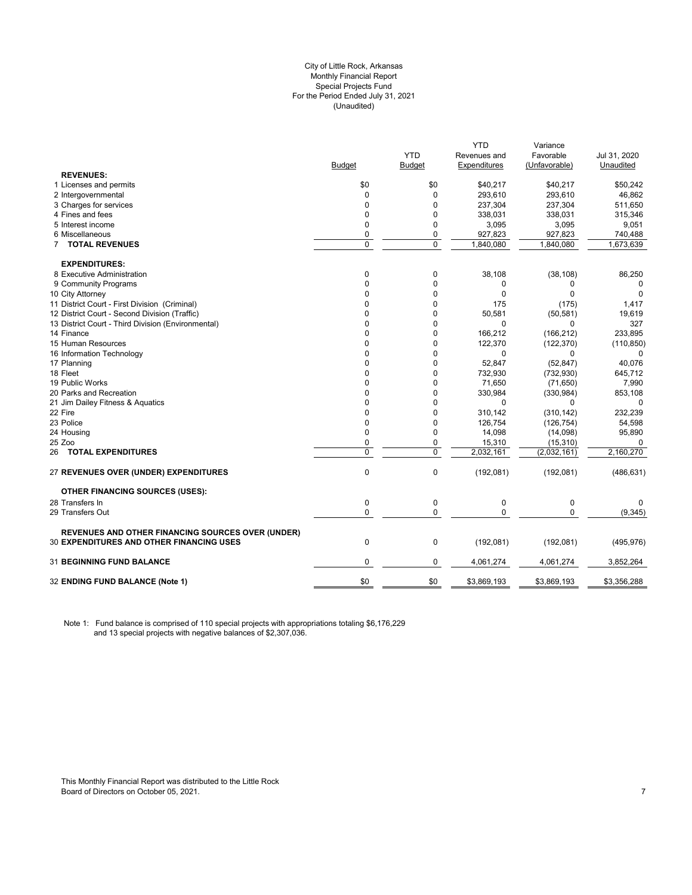#### City of Little Rock, Arkansas (Unaudited) For the Period Ended July 31, 2021 Special Projects Fund Monthly Financial Report

| <b>Budget</b><br>Expenditures<br><b>Budget</b><br><b>REVENUES:</b><br>\$0<br>\$0<br>1 Licenses and permits<br>\$40,217<br>293,610<br>2 Intergovernmental<br>0<br>$\Omega$ | (Unfavorable)<br>\$40,217<br>293,610<br>237,304<br>338,031<br>3,095 | Unaudited<br>\$50,242<br>46,862<br>511,650<br>315,346 |
|---------------------------------------------------------------------------------------------------------------------------------------------------------------------------|---------------------------------------------------------------------|-------------------------------------------------------|
|                                                                                                                                                                           |                                                                     |                                                       |
|                                                                                                                                                                           |                                                                     |                                                       |
|                                                                                                                                                                           |                                                                     |                                                       |
|                                                                                                                                                                           |                                                                     |                                                       |
| 3 Charges for services<br>$\Omega$<br>$\Omega$<br>237,304                                                                                                                 |                                                                     |                                                       |
| $\mathbf{0}$<br>4 Fines and fees<br>0<br>338,031                                                                                                                          |                                                                     |                                                       |
| 5 Interest income<br>0<br>0<br>3,095                                                                                                                                      |                                                                     | 9,051                                                 |
| 6 Miscellaneous<br>0<br>927,823<br>0                                                                                                                                      | 927,823                                                             | 740,488                                               |
| $\Omega$<br>$\mathbf 0$<br>7 TOTAL REVENUES<br>1,840,080                                                                                                                  | 1,840,080                                                           | 1,673,639                                             |
| <b>EXPENDITURES:</b>                                                                                                                                                      |                                                                     |                                                       |
| 8 Executive Administration<br>0<br>0<br>38,108                                                                                                                            | (38, 108)                                                           | 86,250                                                |
| 9 Community Programs<br>0<br>0<br>0                                                                                                                                       | 0                                                                   | 0                                                     |
| $\Omega$<br>0<br>$\Omega$<br>10 City Attorney                                                                                                                             | 0                                                                   | 0                                                     |
| 11 District Court - First Division (Criminal)<br>$\Omega$<br>$\Omega$<br>175                                                                                              | (175)                                                               | 1,417                                                 |
| 12 District Court - Second Division (Traffic)<br>$\Omega$<br>0<br>50,581                                                                                                  | (50, 581)                                                           | 19,619                                                |
| 13 District Court - Third Division (Environmental)<br>$\Omega$<br>0<br>$\Omega$                                                                                           | 0                                                                   | 327                                                   |
| 14 Finance<br>0<br>0<br>166,212                                                                                                                                           | (166, 212)                                                          | 233,895                                               |
| 0<br>15 Human Resources<br>0<br>122,370                                                                                                                                   | (122, 370)                                                          | (110, 850)                                            |
| 16 Information Technology<br>$\Omega$<br>0<br>$\Omega$                                                                                                                    | 0                                                                   | 0                                                     |
| $\Omega$<br>17 Planning<br>0<br>52,847                                                                                                                                    | (52, 847)                                                           | 40,076                                                |
| 18 Fleet<br>0<br>0<br>732,930                                                                                                                                             | (732, 930)                                                          | 645,712                                               |
| 19 Public Works<br>$\Omega$<br>0<br>71,650                                                                                                                                | (71, 650)                                                           | 7,990                                                 |
| 20 Parks and Recreation<br>0<br>330,984<br>0                                                                                                                              | (330, 984)                                                          | 853,108                                               |
| 21 Jim Dailey Fitness & Aquatics<br>0<br>0<br>0                                                                                                                           | 0                                                                   | $\mathbf 0$                                           |
| 22 Fire<br>$\Omega$<br>0<br>310,142                                                                                                                                       | (310, 142)                                                          | 232,239                                               |
| 23 Police<br>$\mathbf 0$<br>0<br>126,754                                                                                                                                  | (126, 754)                                                          | 54,598                                                |
| $\mathbf 0$<br>0<br>24 Housing<br>14,098                                                                                                                                  | (14,098)                                                            | 95,890                                                |
| 25 Zoo<br>0<br>0<br>15,310                                                                                                                                                | (15, 310)                                                           | 0                                                     |
| $\mathbf 0$<br>$\mathbf 0$<br>2,032,161<br><b>26 TOTAL EXPENDITURES</b>                                                                                                   | (2,032,161)                                                         | 2,160,270                                             |
| $\mathbf 0$<br>0<br>(192, 081)<br>27 REVENUES OVER (UNDER) EXPENDITURES                                                                                                   | (192,081)                                                           | (486, 631)                                            |
| <b>OTHER FINANCING SOURCES (USES):</b>                                                                                                                                    |                                                                     |                                                       |
| 28 Transfers In<br>$\mathbf 0$<br>$\pmb{0}$<br>$\mathbf 0$                                                                                                                | 0                                                                   | 0                                                     |
| $\mathbf 0$<br>$\Omega$<br>29 Transfers Out<br>$\mathbf 0$                                                                                                                | 0                                                                   | (9, 345)                                              |
| <b>REVENUES AND OTHER FINANCING SOURCES OVER (UNDER)</b>                                                                                                                  |                                                                     |                                                       |
| $\mathbf 0$<br>$\mathbf 0$<br><b>30 EXPENDITURES AND OTHER FINANCING USES</b><br>(192,081)                                                                                | (192,081)                                                           | (495, 976)                                            |
| 31 BEGINNING FUND BALANCE<br>$\mathbf 0$<br>0<br>4,061,274                                                                                                                | 4,061,274                                                           | 3,852,264                                             |
| \$0<br>\$0<br>32 ENDING FUND BALANCE (Note 1)<br>\$3,869,193                                                                                                              | \$3,869,193                                                         | \$3,356,288                                           |

Note 1: Fund balance is comprised of 110 special projects with appropriations totaling \$6,176,229 and 13 special projects with negative balances of \$2,307,036.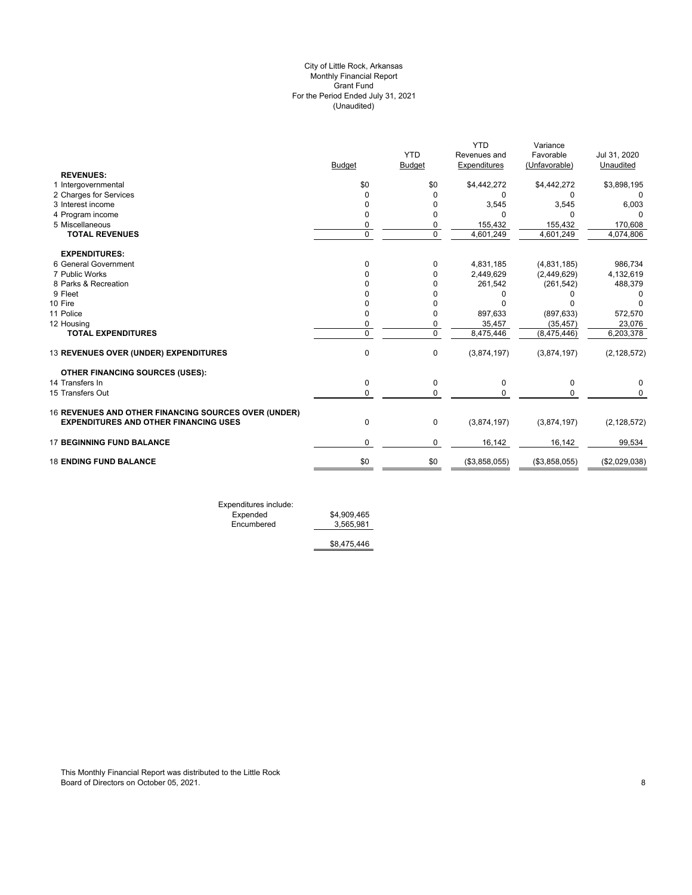# (Unaudited) City of Little Rock, Arkansas Monthly Financial Report Grant Fund For the Period Ended July 31, 2021

|               |                |               | Variance               |                                         |
|---------------|----------------|---------------|------------------------|-----------------------------------------|
|               | <b>YTD</b>     | Revenues and  | Favorable              | Jul 31, 2020                            |
| <b>Budget</b> | <b>Budget</b>  | Expenditures  | (Unfavorable)          | Unaudited                               |
|               |                |               |                        |                                         |
| \$0           | \$0            | \$4,442,272   | \$4,442,272            | \$3,898,195                             |
| 0             | $\Omega$       | 0             | 0                      | 0                                       |
| $\Omega$      | 0              | 3,545         | 3,545                  | 6,003                                   |
| $\Omega$      | 0              | n             | $\Omega$               |                                         |
| 0             | 0              | 155,432       | 155,432                | 170,608                                 |
| $\Omega$      | $\mathbf 0$    | 4,601,249     | 4,601,249              | 4,074,806                               |
|               |                |               |                        |                                         |
| $\Omega$      | $\Omega$       |               |                        | 986,734                                 |
|               | $\Omega$       |               | (2,449,629)            | 4,132,619                               |
|               | 0              | 261,542       |                        | 488,379                                 |
|               | 0              | O             |                        |                                         |
|               |                |               |                        |                                         |
| <sup>n</sup>  | 0              | 897,633       | (897, 633)             | 572,570                                 |
| 0             | 0              | 35,457        | (35, 457)              | 23,076                                  |
| $\Omega$      | $\overline{0}$ | 8,475,446     | (8, 475, 446)          | 6,203,378                               |
| $\mathbf{0}$  | 0              | (3,874,197)   | (3,874,197)            | (2, 128, 572)                           |
|               |                |               |                        |                                         |
| $\Omega$      | 0              | 0             | 0                      | 0                                       |
| $\Omega$      | $\Omega$       | $\Omega$      | $\Omega$               | $\Omega$                                |
|               |                |               |                        |                                         |
| $\Omega$      | $\mathbf 0$    | (3,874,197)   | (3,874,197)            | (2, 128, 572)                           |
| $\Omega$      | 0              | 16,142        | 16,142                 | 99,534                                  |
| \$0           | \$0            | (\$3,858,055) | (\$3,858,055)          | (\$2,029,038)                           |
|               |                |               | 4,831,185<br>2,449,629 | <b>YTD</b><br>(4,831,185)<br>(261, 542) |

Expenditures include: Expended \$4,909,465 Encumbered 3,565,981

\$8,475,446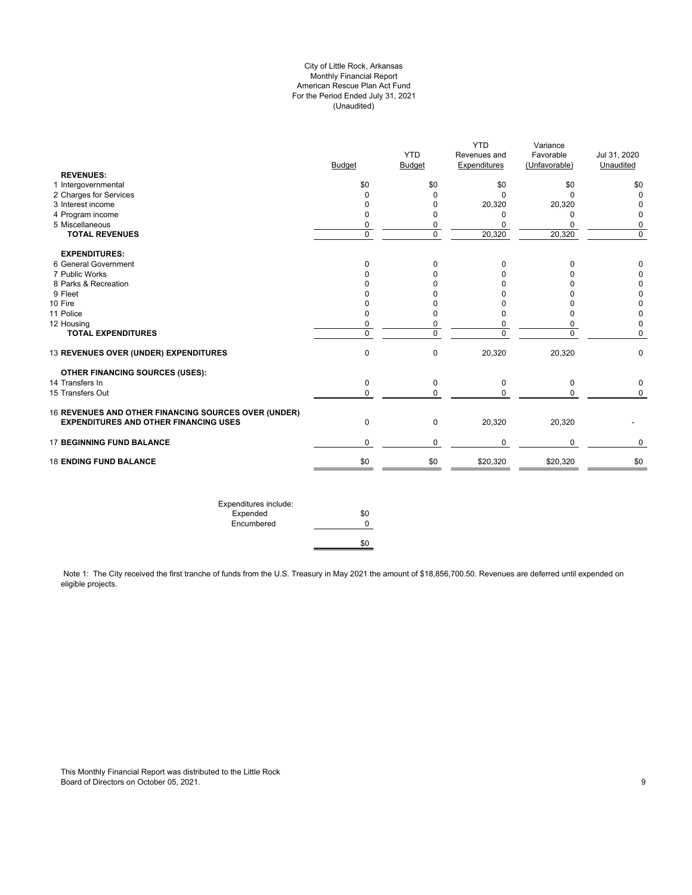# City of Little Rock, Arkansas Monthly Financial Report American Rescue Plan Act Fund For the Period Ended July 31, 2021 (Unaudited)

| <b>Budget</b><br>\$0<br>0<br>$\Omega$ | <b>YTD</b><br><b>Budget</b><br>\$0<br>0<br>$\mathbf 0$ | Revenues and<br>Expenditures<br>\$0<br>$\Omega$ | Favorable<br>(Unfavorable)<br>\$0<br>$\Omega$ | Jul 31, 2020<br>Unaudited<br>\$0<br>$\pmb{0}$ |
|---------------------------------------|--------------------------------------------------------|-------------------------------------------------|-----------------------------------------------|-----------------------------------------------|
|                                       |                                                        |                                                 |                                               |                                               |
|                                       |                                                        |                                                 |                                               |                                               |
|                                       |                                                        |                                                 |                                               |                                               |
|                                       |                                                        |                                                 |                                               |                                               |
|                                       |                                                        | 20,320                                          | 20,320                                        | 0                                             |
| 0                                     | 0                                                      | 0                                               | 0                                             | $\mathbf 0$                                   |
|                                       |                                                        |                                                 |                                               | 0                                             |
| $\overline{0}$                        | $\overline{0}$                                         | 20,320                                          | 20,320                                        | $\overline{0}$                                |
|                                       |                                                        |                                                 |                                               |                                               |
| 0                                     | 0                                                      | 0                                               | 0                                             | 0                                             |
| $\Omega$                              | 0                                                      | $\Omega$                                        | 0                                             | 0                                             |
| 0                                     | 0                                                      | 0                                               | $\Omega$                                      | 0                                             |
| n                                     | $\Omega$                                               | $\Omega$                                        | $\Omega$                                      | $\pmb{0}$                                     |
| $\Omega$                              | 0                                                      | $\Omega$                                        | $\Omega$                                      | $\pmb{0}$                                     |
| $\Omega$                              | 0                                                      | $\Omega$                                        | $\Omega$                                      | $\pmb{0}$                                     |
| 0                                     | 0                                                      | 0                                               | 0                                             | $\pmb{0}$                                     |
| $\overline{0}$                        | $\overline{0}$                                         | $\overline{0}$                                  | $\overline{0}$                                | $\mathbf 0$                                   |
| $\mathbf 0$                           | $\mathbf 0$                                            | 20,320                                          | 20,320                                        | $\mathbf 0$                                   |
|                                       |                                                        |                                                 |                                               |                                               |
| $\mathbf 0$                           | 0                                                      | 0                                               | 0                                             | $\mathbf 0$                                   |
| $\mathbf 0$                           | 0                                                      | $\mathbf 0$                                     | 0                                             | 0                                             |
|                                       |                                                        |                                                 |                                               |                                               |
| $\pmb{0}$                             | 0                                                      | 20,320                                          | 20,320                                        |                                               |
| 0                                     | 0                                                      | $\mathbf{0}$                                    | 0                                             | 0                                             |
| \$0                                   | \$0                                                    | \$20,320                                        | \$20,320                                      | \$0                                           |
|                                       | 0                                                      | 0                                               | $\mathbf 0$                                   | $\pmb{0}$                                     |

Note 1: The City received the first tranche of funds from the U.S. Treasury in May 2021 the amount of \$18,856,700.50. Revenues are deferred until expended on eligible projects.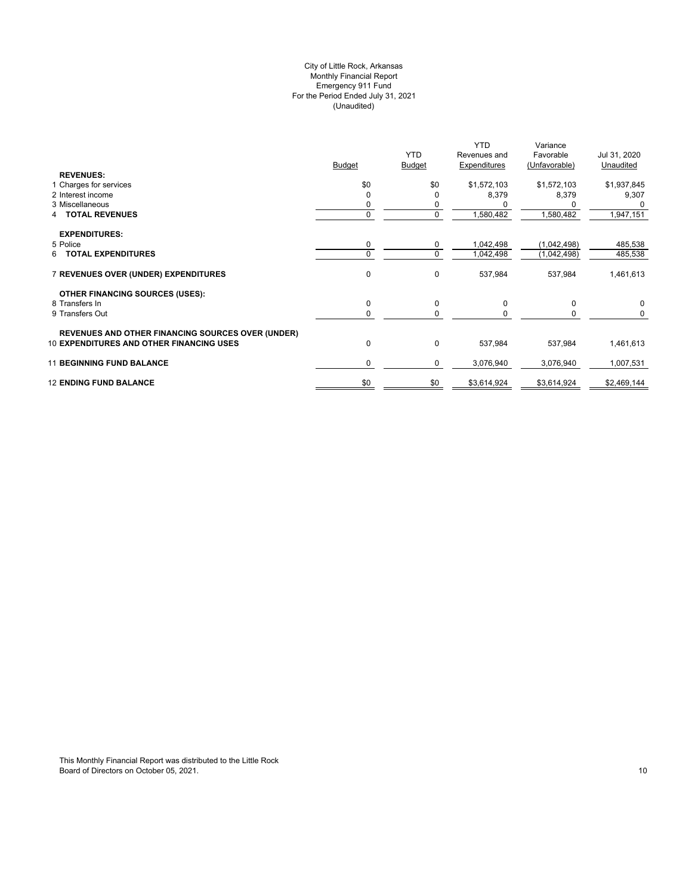# (Unaudited) City of Little Rock, Arkansas Monthly Financial Report Emergency 911 Fund For the Period Ended July 31, 2021

|                                                          | <b>Budget</b> | <b>YTD</b><br><b>Budget</b> | <b>YTD</b><br>Revenues and<br>Expenditures | Variance<br>Favorable<br>(Unfavorable) | Jul 31, 2020<br>Unaudited |
|----------------------------------------------------------|---------------|-----------------------------|--------------------------------------------|----------------------------------------|---------------------------|
| <b>REVENUES:</b><br>1 Charges for services               | \$0           | \$0                         | \$1,572,103                                | \$1,572,103                            | \$1,937,845               |
| 2 Interest income                                        | $\Omega$      |                             | 8,379                                      | 8,379                                  | 9,307                     |
| 3 Miscellaneous                                          |               | 0                           |                                            |                                        | <sup>0</sup>              |
| <b>TOTAL REVENUES</b><br>4                               | 0             | 0                           | 1,580,482                                  | 1,580,482                              | 1,947,151                 |
| <b>EXPENDITURES:</b>                                     |               |                             |                                            |                                        |                           |
| 5 Police                                                 | 0             | 0                           | 1,042,498                                  | (1,042,498)                            | 485,538                   |
| <b>TOTAL EXPENDITURES</b><br>6                           | $\Omega$      | $\mathbf 0$                 | 1,042,498                                  | (1,042,498)                            | 485,538                   |
| 7 REVENUES OVER (UNDER) EXPENDITURES                     | 0             | 0                           | 537,984                                    | 537,984                                | 1,461,613                 |
| <b>OTHER FINANCING SOURCES (USES):</b>                   |               |                             |                                            |                                        |                           |
| 8 Transfers In                                           | 0             | 0                           | 0                                          | 0                                      | $\mathbf 0$               |
| 9 Transfers Out                                          | 0             | 0                           |                                            |                                        | 0                         |
| <b>REVENUES AND OTHER FINANCING SOURCES OVER (UNDER)</b> |               |                             |                                            |                                        |                           |
| <b>10 EXPENDITURES AND OTHER FINANCING USES</b>          | 0             | 0                           | 537,984                                    | 537,984                                | 1,461,613                 |
| <b>11 BEGINNING FUND BALANCE</b>                         | 0             | 0                           | 3,076,940                                  | 3,076,940                              | 1,007,531                 |
| <b>12 ENDING FUND BALANCE</b>                            | \$0           | \$0                         | \$3,614,924                                | \$3,614,924                            | \$2,469,144               |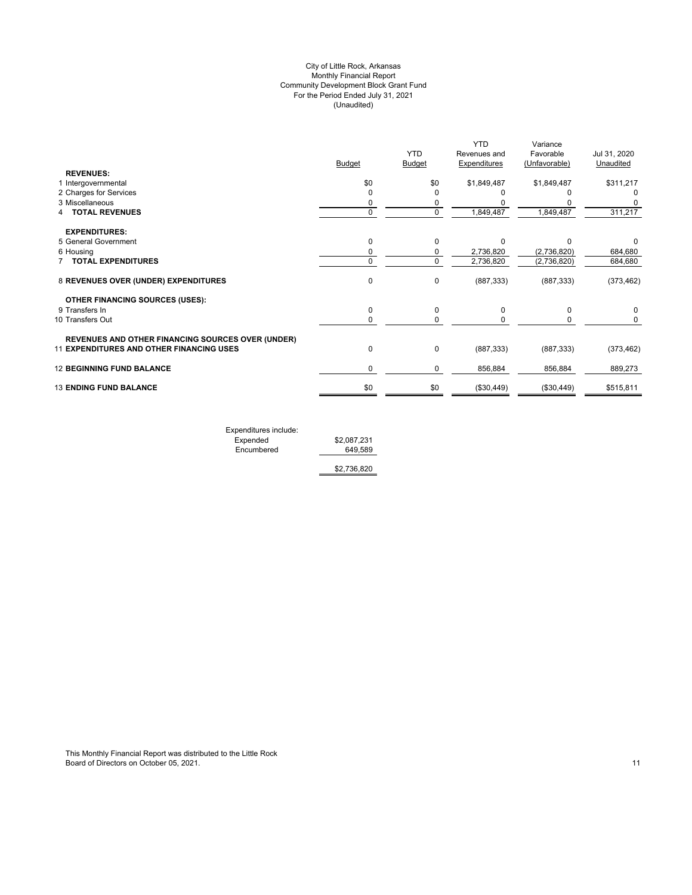# (Unaudited) City of Little Rock, Arkansas Monthly Financial Report Community Development Block Grant Fund For the Period Ended July 31, 2021

|                                                          | <b>Budget</b> | <b>YTD</b><br><b>Budget</b> | <b>YTD</b><br>Revenues and<br><b>Expenditures</b> | Variance<br>Favorable<br>(Unfavorable) | Jul 31, 2020<br>Unaudited |
|----------------------------------------------------------|---------------|-----------------------------|---------------------------------------------------|----------------------------------------|---------------------------|
| <b>REVENUES:</b>                                         |               |                             |                                                   |                                        |                           |
| 1 Intergovernmental                                      | \$0           | \$0                         | \$1,849,487                                       | \$1,849,487                            | \$311,217                 |
| 2 Charges for Services                                   | $\Omega$      |                             |                                                   |                                        |                           |
| 3 Miscellaneous                                          | 0             | 0                           |                                                   |                                        |                           |
| <b>TOTAL REVENUES</b>                                    | $\mathbf 0$   | 0                           | 1,849,487                                         | 1,849,487                              | 311,217                   |
| <b>EXPENDITURES:</b>                                     |               |                             |                                                   |                                        |                           |
| 5 General Government                                     | 0             | $\Omega$                    | $\Omega$                                          | n                                      | 0                         |
| 6 Housing                                                | 0             | 0                           | 2,736,820                                         | (2,736,820)                            | 684,680                   |
| <b>TOTAL EXPENDITURES</b>                                | 0             | $\Omega$                    | 2,736,820                                         | (2,736,820)                            | 684,680                   |
| 8 REVENUES OVER (UNDER) EXPENDITURES                     | 0             | 0                           | (887, 333)                                        | (887, 333)                             | (373, 462)                |
| <b>OTHER FINANCING SOURCES (USES):</b>                   |               |                             |                                                   |                                        |                           |
| 9 Transfers In                                           | 0             | 0                           | 0                                                 | 0                                      | 0                         |
| 10 Transfers Out                                         | 0             | 0                           |                                                   | 0                                      | 0                         |
| <b>REVENUES AND OTHER FINANCING SOURCES OVER (UNDER)</b> |               |                             |                                                   |                                        |                           |
| <b>11 EXPENDITURES AND OTHER FINANCING USES</b>          | 0             | 0                           | (887, 333)                                        | (887, 333)                             | (373, 462)                |
| <b>12 BEGINNING FUND BALANCE</b>                         | 0             | 0                           | 856,884                                           | 856,884                                | 889,273                   |
| <b>13 ENDING FUND BALANCE</b>                            | \$0           | \$0                         | (\$30,449)                                        | (\$30,449)                             | \$515,811                 |
|                                                          |               |                             |                                                   |                                        |                           |

Expenditures include: Expended \$2,087,231 Encumbered 649,589

\$2,736,820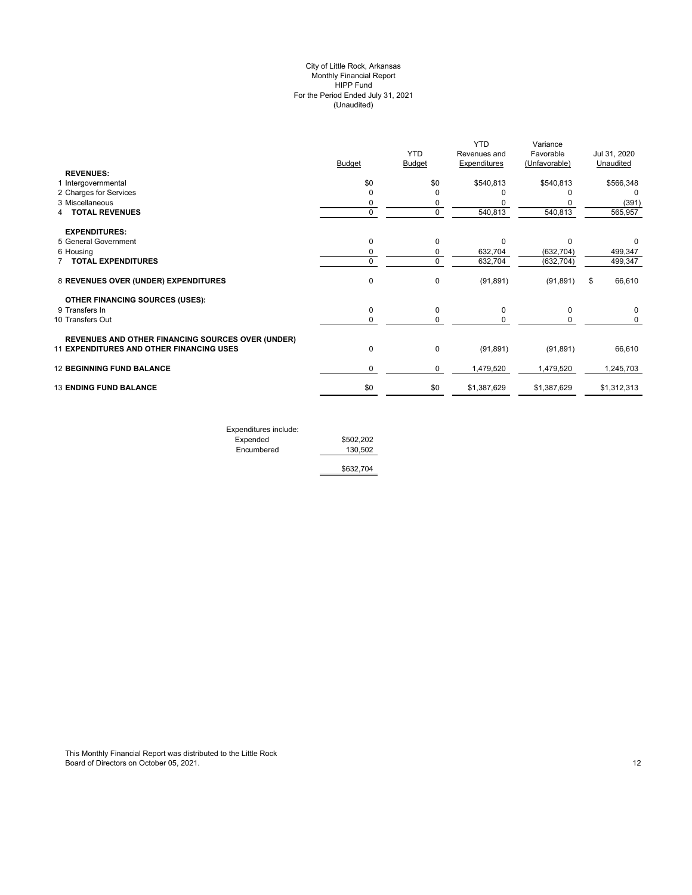# (Unaudited) City of Little Rock, Arkansas Monthly Financial Report HIPP Fund For the Period Ended July 31, 2021

| <b>REVENUES:</b>                                                                                     | <b>Budget</b> | <b>YTD</b><br>Budget | <b>YTD</b><br>Revenues and<br><b>Expenditures</b> | Variance<br>Favorable<br>(Unfavorable) | Jul 31, 2020<br>Unaudited |
|------------------------------------------------------------------------------------------------------|---------------|----------------------|---------------------------------------------------|----------------------------------------|---------------------------|
| 1 Intergovernmental                                                                                  | \$0           | \$0                  | \$540,813                                         | \$540,813                              | \$566,348                 |
| 2 Charges for Services                                                                               | $\mathbf 0$   | $\Omega$             |                                                   |                                        | $\Omega$                  |
| 3 Miscellaneous                                                                                      | 0             |                      |                                                   |                                        | (391)                     |
| <b>TOTAL REVENUES</b>                                                                                | 0             | 0                    | 540,813                                           | 540,813                                | 565,957                   |
| <b>EXPENDITURES:</b>                                                                                 |               |                      |                                                   |                                        |                           |
| 5 General Government                                                                                 | $\mathbf 0$   | $\Omega$             | $\Omega$                                          | $\Omega$                               |                           |
| 6 Housing                                                                                            | 0             | 0                    | 632,704                                           | (632, 704)                             | 499,347                   |
| 7 TOTAL EXPENDITURES                                                                                 | 0             | $\Omega$             | 632,704                                           | (632, 704)                             | 499,347                   |
| 8 REVENUES OVER (UNDER) EXPENDITURES                                                                 | $\mathbf 0$   | $\mathbf 0$          | (91, 891)                                         | (91, 891)                              | 66,610<br>\$              |
| <b>OTHER FINANCING SOURCES (USES):</b>                                                               |               |                      |                                                   |                                        |                           |
| 9 Transfers In                                                                                       | $\mathbf 0$   | 0                    | 0                                                 | 0                                      | 0                         |
| 10 Transfers Out                                                                                     | 0             | 0                    | 0                                                 | 0                                      | 0                         |
| <b>REVENUES AND OTHER FINANCING SOURCES OVER (UNDER)</b><br>11 EXPENDITURES AND OTHER FINANCING USES | $\mathbf 0$   | $\mathbf 0$          | (91, 891)                                         | (91, 891)                              | 66,610                    |
| <b>12 BEGINNING FUND BALANCE</b>                                                                     | 0             | 0                    | 1,479,520                                         | 1,479,520                              | 1,245,703                 |
| <b>13 ENDING FUND BALANCE</b>                                                                        | \$0           | \$0                  | \$1,387,629                                       | \$1,387,629                            | \$1,312,313               |
|                                                                                                      |               |                      |                                                   |                                        |                           |

| Expenditures include: |           |
|-----------------------|-----------|
| Expended              | \$502.202 |
| Encumbered            | 130.502   |
|                       | \$632,704 |

This Monthly Financial Report was distributed to the Little Rock Board of Directors on October 05, 2021. 2003. The state of the state of the state of the state of the state of the state of the state of the state of the state of the state of the state of the state of the state of the sta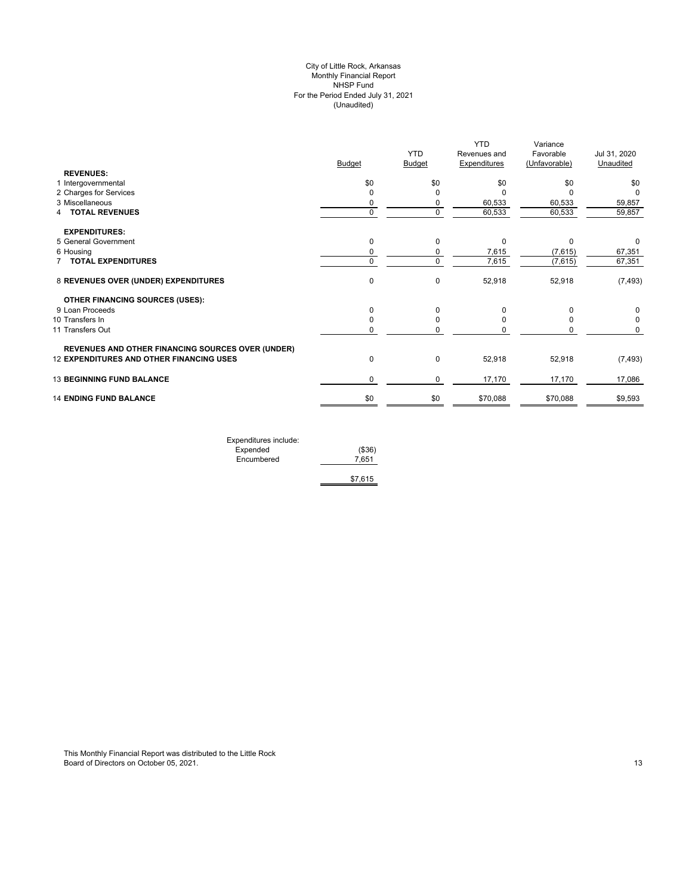# (Unaudited) City of Little Rock, Arkansas Monthly Financial Report NHSP Fund For the Period Ended July 31, 2021

| <b>REVENUES:</b><br>\$0<br>\$0<br>\$0<br>\$0<br>\$0<br>1 Intergovernmental<br>2 Charges for Services<br>0<br>O<br>C<br>U<br>O<br>3 Miscellaneous<br>60,533<br>60,533<br>59,857<br>0<br>0<br>$\mathbf 0$<br>$\mathbf 0$<br><b>TOTAL REVENUES</b><br>60,533<br>60,533<br>59,857<br>4<br><b>EXPENDITURES:</b><br>5 General Government<br>0<br>0<br>$\Omega$<br>0<br>0<br>6 Housing<br>0<br>7,615<br>(7,615)<br>67,351<br>0<br>0<br>7,615<br>67,351<br>$\mathbf 0$<br>(7,615)<br><b>TOTAL EXPENDITURES</b><br>0<br>$\mathbf 0$<br>52,918<br>8 REVENUES OVER (UNDER) EXPENDITURES<br>52,918<br>(7, 493)<br><b>OTHER FINANCING SOURCES (USES):</b><br>0<br>9 Loan Proceeds<br>$\Omega$<br>0<br>O<br><sup>n</sup><br>10 Transfers In<br>0<br>0<br>0<br>11 Transfers Out<br>0<br>0<br>O<br><b>REVENUES AND OTHER FINANCING SOURCES OVER (UNDER)</b><br>12 EXPENDITURES AND OTHER FINANCING USES<br>$\pmb{0}$<br>$\mathbf 0$<br>52,918<br>52,918<br>(7, 493)<br><b>13 BEGINNING FUND BALANCE</b><br>0<br>17,170<br>$\mathbf 0$<br>17,170<br>17,086<br><b>14 ENDING FUND BALANCE</b><br>\$0<br>\$0<br>\$70,088<br>\$70,088<br>\$9,593 | <b>Budget</b> | <b>YTD</b><br><b>Budget</b> | <b>YTD</b><br>Revenues and<br><b>Expenditures</b> | Variance<br>Favorable<br>(Unfavorable) | Jul 31, 2020<br>Unaudited |
|-----------------------------------------------------------------------------------------------------------------------------------------------------------------------------------------------------------------------------------------------------------------------------------------------------------------------------------------------------------------------------------------------------------------------------------------------------------------------------------------------------------------------------------------------------------------------------------------------------------------------------------------------------------------------------------------------------------------------------------------------------------------------------------------------------------------------------------------------------------------------------------------------------------------------------------------------------------------------------------------------------------------------------------------------------------------------------------------------------------------------------|---------------|-----------------------------|---------------------------------------------------|----------------------------------------|---------------------------|
|                                                                                                                                                                                                                                                                                                                                                                                                                                                                                                                                                                                                                                                                                                                                                                                                                                                                                                                                                                                                                                                                                                                             |               |                             |                                                   |                                        |                           |
|                                                                                                                                                                                                                                                                                                                                                                                                                                                                                                                                                                                                                                                                                                                                                                                                                                                                                                                                                                                                                                                                                                                             |               |                             |                                                   |                                        |                           |
|                                                                                                                                                                                                                                                                                                                                                                                                                                                                                                                                                                                                                                                                                                                                                                                                                                                                                                                                                                                                                                                                                                                             |               |                             |                                                   |                                        |                           |
|                                                                                                                                                                                                                                                                                                                                                                                                                                                                                                                                                                                                                                                                                                                                                                                                                                                                                                                                                                                                                                                                                                                             |               |                             |                                                   |                                        |                           |
|                                                                                                                                                                                                                                                                                                                                                                                                                                                                                                                                                                                                                                                                                                                                                                                                                                                                                                                                                                                                                                                                                                                             |               |                             |                                                   |                                        |                           |
|                                                                                                                                                                                                                                                                                                                                                                                                                                                                                                                                                                                                                                                                                                                                                                                                                                                                                                                                                                                                                                                                                                                             |               |                             |                                                   |                                        |                           |
|                                                                                                                                                                                                                                                                                                                                                                                                                                                                                                                                                                                                                                                                                                                                                                                                                                                                                                                                                                                                                                                                                                                             |               |                             |                                                   |                                        |                           |
|                                                                                                                                                                                                                                                                                                                                                                                                                                                                                                                                                                                                                                                                                                                                                                                                                                                                                                                                                                                                                                                                                                                             |               |                             |                                                   |                                        |                           |
|                                                                                                                                                                                                                                                                                                                                                                                                                                                                                                                                                                                                                                                                                                                                                                                                                                                                                                                                                                                                                                                                                                                             |               |                             |                                                   |                                        |                           |
|                                                                                                                                                                                                                                                                                                                                                                                                                                                                                                                                                                                                                                                                                                                                                                                                                                                                                                                                                                                                                                                                                                                             |               |                             |                                                   |                                        |                           |
|                                                                                                                                                                                                                                                                                                                                                                                                                                                                                                                                                                                                                                                                                                                                                                                                                                                                                                                                                                                                                                                                                                                             |               |                             |                                                   |                                        |                           |
|                                                                                                                                                                                                                                                                                                                                                                                                                                                                                                                                                                                                                                                                                                                                                                                                                                                                                                                                                                                                                                                                                                                             |               |                             |                                                   |                                        |                           |
|                                                                                                                                                                                                                                                                                                                                                                                                                                                                                                                                                                                                                                                                                                                                                                                                                                                                                                                                                                                                                                                                                                                             |               |                             |                                                   |                                        |                           |
|                                                                                                                                                                                                                                                                                                                                                                                                                                                                                                                                                                                                                                                                                                                                                                                                                                                                                                                                                                                                                                                                                                                             |               |                             |                                                   |                                        |                           |
|                                                                                                                                                                                                                                                                                                                                                                                                                                                                                                                                                                                                                                                                                                                                                                                                                                                                                                                                                                                                                                                                                                                             |               |                             |                                                   |                                        |                           |
|                                                                                                                                                                                                                                                                                                                                                                                                                                                                                                                                                                                                                                                                                                                                                                                                                                                                                                                                                                                                                                                                                                                             |               |                             |                                                   |                                        |                           |
|                                                                                                                                                                                                                                                                                                                                                                                                                                                                                                                                                                                                                                                                                                                                                                                                                                                                                                                                                                                                                                                                                                                             |               |                             |                                                   |                                        |                           |

| Expenditures include: |         |
|-----------------------|---------|
| Expended              | (\$36)  |
| Encumbered            | 7.651   |
|                       |         |
|                       | \$7.615 |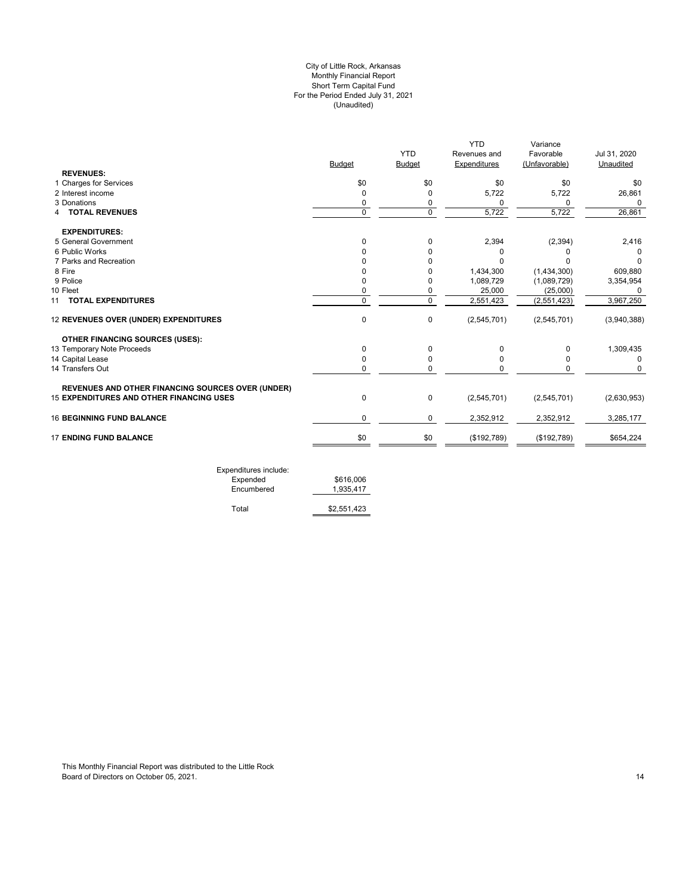# For the Period Ended July 31, 2021 (Unaudited) City of Little Rock, Arkansas Monthly Financial Report Short Term Capital Fund

|               |               | <b>YTD</b>   | Variance      |              |
|---------------|---------------|--------------|---------------|--------------|
|               | <b>YTD</b>    | Revenues and | Favorable     | Jul 31, 2020 |
| <b>Budget</b> | <b>Budget</b> | Expenditures | (Unfavorable) | Unaudited    |
|               |               |              |               |              |
| \$0           | \$0           | \$0          | \$0           | \$0          |
| O             | $\Omega$      | 5,722        | 5,722         | 26,861       |
| 0             | 0             | $\Omega$     | 0             | 0            |
| $\mathbf 0$   | $\mathbf 0$   | 5,722        | 5,722         | 26,861       |
|               |               |              |               |              |
| $\Omega$      | 0             | 2,394        | (2, 394)      | 2,416        |
|               | $\Omega$      | $\Omega$     |               |              |
|               | O             | C            |               | 0            |
|               | $\Omega$      | 1,434,300    | (1,434,300)   | 609,880      |
|               | 0             | 1,089,729    | (1,089,729)   | 3,354,954    |
|               | 0             | 25,000       | (25,000)      | 0            |
| $\mathbf 0$   | $\mathbf 0$   | 2,551,423    | (2,551,423)   | 3,967,250    |
| $\mathbf 0$   | 0             | (2,545,701)  | (2,545,701)   | (3,940,388)  |
|               |               |              |               |              |
| 0             | $\Omega$      | $\Omega$     | 0             | 1,309,435    |
|               | 0             | 0            | ŋ             | 0            |
| 0             | $\mathbf 0$   | $\mathbf 0$  | 0             | 0            |
|               |               |              |               |              |
| 0             | 0             | (2,545,701)  | (2,545,701)   | (2,630,953)  |
| 0             | 0             | 2,352,912    | 2,352,912     | 3,285,177    |
| \$0           | \$0           | (\$192,789)  | (\$192,789)   | \$654,224    |
|               |               |              |               |              |

| Expenditures include:<br>Expended<br>Encumbered | \$616,006<br>1.935.417 |
|-------------------------------------------------|------------------------|
| Total                                           | \$2,551,423            |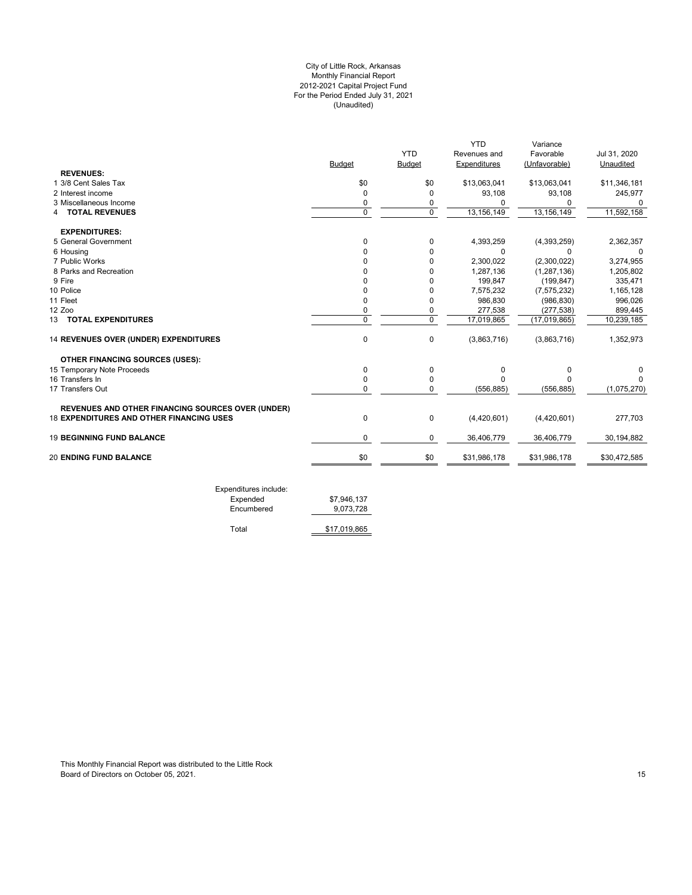# For the Period Ended July 31, 2021 (Unaudited) City of Little Rock, Arkansas Monthly Financial Report 2012-2021 Capital Project Fund

|                                                          |               |               | <b>YTD</b>   | Variance      |              |
|----------------------------------------------------------|---------------|---------------|--------------|---------------|--------------|
|                                                          |               | <b>YTD</b>    | Revenues and | Favorable     | Jul 31, 2020 |
|                                                          | <b>Budget</b> | <b>Budget</b> | Expenditures | (Unfavorable) | Unaudited    |
| <b>REVENUES:</b>                                         |               |               |              |               |              |
| 1 3/8 Cent Sales Tax                                     | \$0           | \$0           | \$13,063,041 | \$13,063,041  | \$11,346,181 |
| 2 Interest income                                        | 0             | 0             | 93,108       | 93,108        | 245,977      |
| 3 Miscellaneous Income                                   | 0             | 0             | 0            | 0             | 0            |
| <b>TOTAL REVENUES</b><br>4                               | $\mathbf 0$   | $\mathbf 0$   | 13,156,149   | 13, 156, 149  | 11,592,158   |
| <b>EXPENDITURES:</b>                                     |               |               |              |               |              |
| 5 General Government                                     | $\Omega$      | 0             | 4,393,259    | (4,393,259)   | 2,362,357    |
| 6 Housing                                                | O             | $\Omega$      | $\Omega$     | $\Omega$      | $\Omega$     |
| 7 Public Works                                           | U             | 0             | 2,300,022    | (2,300,022)   | 3,274,955    |
| 8 Parks and Recreation                                   | n             | O             | 1,287,136    | (1, 287, 136) | 1,205,802    |
| 9 Fire                                                   |               | n             | 199,847      | (199, 847)    | 335,471      |
| 10 Police                                                |               | 0             | 7,575,232    | (7, 575, 232) | 1,165,128    |
| 11 Fleet                                                 | 0             | 0             | 986,830      | (986, 830)    | 996,026      |
| 12 Zoo                                                   | 0             | 0             | 277,538      | (277, 538)    | 899,445      |
| 13 TOTAL EXPENDITURES                                    | $\mathbf 0$   | 0             | 17,019,865   | (17,019,865)  | 10,239,185   |
| 14 REVENUES OVER (UNDER) EXPENDITURES                    | $\mathbf 0$   | 0             | (3,863,716)  | (3,863,716)   | 1,352,973    |
| <b>OTHER FINANCING SOURCES (USES):</b>                   |               |               |              |               |              |
| 15 Temporary Note Proceeds                               | 0             | 0             | 0            | 0             |              |
| 16 Transfers In                                          | $\Omega$      | 0             | $\Omega$     | n             |              |
| 17 Transfers Out                                         | $\Omega$      | 0             | (556, 885)   | (556, 885)    | (1,075,270)  |
| <b>REVENUES AND OTHER FINANCING SOURCES OVER (UNDER)</b> |               |               |              |               |              |
| <b>18 EXPENDITURES AND OTHER FINANCING USES</b>          | 0             | 0             | (4,420,601)  | (4,420,601)   | 277,703      |
| <b>19 BEGINNING FUND BALANCE</b>                         | 0             | 0             | 36,406,779   | 36,406,779    | 30,194,882   |
| <b>20 ENDING FUND BALANCE</b>                            | \$0           | \$0           | \$31,986,178 | \$31,986,178  | \$30,472,585 |

| LAPCHURULES INCIDE. |             |
|---------------------|-------------|
| Expended            | \$7,946.137 |
| Encumbered          | 9,073,728   |
|                     |             |

Total \$17,019,865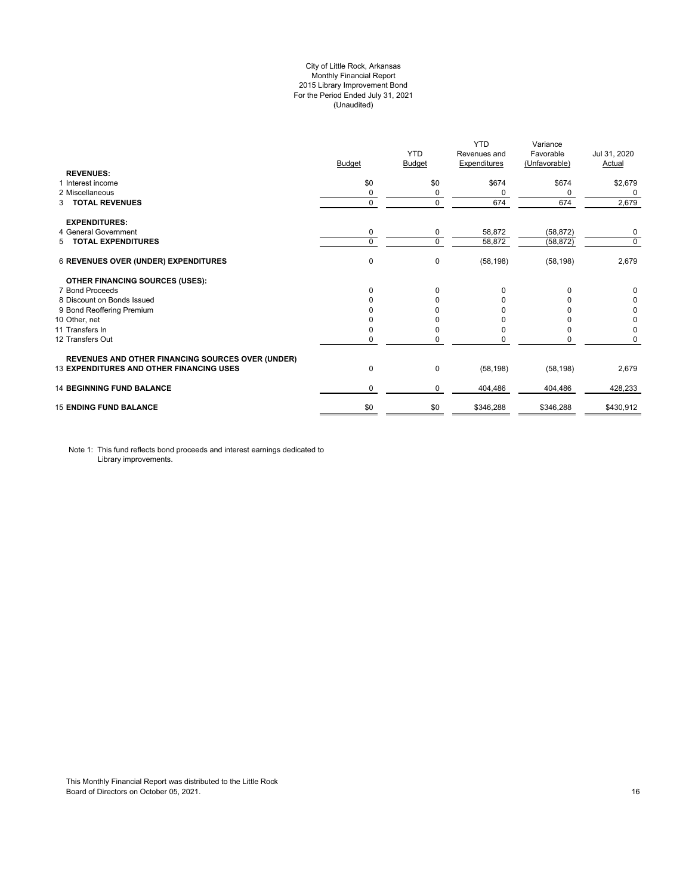# City of Little Rock, Arkansas Monthly Financial Report 2015 Library Improvement Bond For the Period Ended July 31, 2021 (Unaudited)

|                                                          | <b>Budget</b> | <b>YTD</b><br>Budget | <b>YTD</b><br>Revenues and<br>Expenditures | Variance<br>Favorable<br>(Unfavorable) | Jul 31, 2020<br>Actual |
|----------------------------------------------------------|---------------|----------------------|--------------------------------------------|----------------------------------------|------------------------|
| <b>REVENUES:</b>                                         |               |                      |                                            |                                        |                        |
| 1 Interest income                                        | \$0           | \$0                  | \$674                                      | \$674                                  | \$2,679                |
| 2 Miscellaneous                                          | 0             | 0                    | 0                                          | 0                                      | 0                      |
| <b>TOTAL REVENUES</b><br>3                               | 0             | $\Omega$             | 674                                        | 674                                    | 2,679                  |
| <b>EXPENDITURES:</b>                                     |               |                      |                                            |                                        |                        |
| 4 General Government                                     | 0             | 0                    | 58,872                                     | (58, 872)                              | 0                      |
| 5 TOTAL EXPENDITURES                                     | $\mathbf 0$   | $\Omega$             | 58,872                                     | (58, 872)                              | $\mathbf 0$            |
| 6 REVENUES OVER (UNDER) EXPENDITURES                     | 0             | 0                    | (58, 198)                                  | (58, 198)                              | 2,679                  |
| <b>OTHER FINANCING SOURCES (USES):</b>                   |               |                      |                                            |                                        |                        |
| 7 Bond Proceeds                                          | $\mathbf 0$   | $\Omega$             | $\Omega$                                   | $\Omega$                               | 0                      |
| 8 Discount on Bonds Issued                               | $\Omega$      | <sup>n</sup>         | n                                          |                                        | 0                      |
| 9 Bond Reoffering Premium                                | 0             |                      |                                            |                                        | 0                      |
| 10 Other, net                                            | <sup>0</sup>  |                      |                                            |                                        | 0                      |
| 11 Transfers In                                          | 0             |                      |                                            |                                        | 0                      |
| 12 Transfers Out                                         | 0             | 0                    |                                            | 0                                      | 0                      |
| <b>REVENUES AND OTHER FINANCING SOURCES OVER (UNDER)</b> |               |                      |                                            |                                        |                        |
| <b>13 EXPENDITURES AND OTHER FINANCING USES</b>          | $\pmb{0}$     | 0                    | (58, 198)                                  | (58, 198)                              | 2,679                  |
| <b>14 BEGINNING FUND BALANCE</b>                         | 0             | 0                    | 404,486                                    | 404,486                                | 428,233                |
| <b>15 ENDING FUND BALANCE</b>                            | \$0           | \$0                  | \$346,288                                  | \$346,288                              | \$430,912              |

Note 1: This fund reflects bond proceeds and interest earnings dedicated to Library improvements.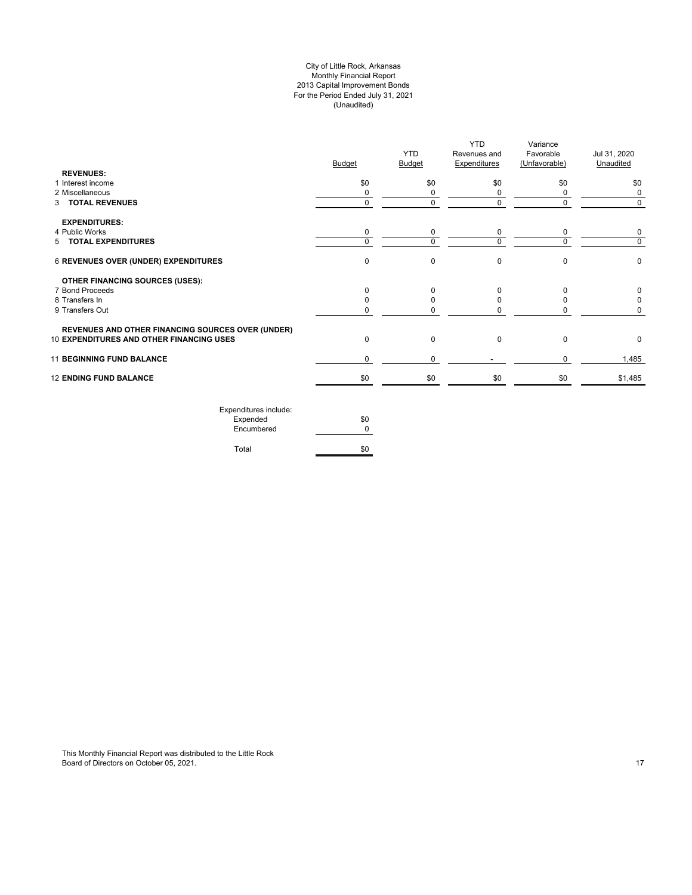# City of Little Rock, Arkansas Monthly Financial Report 2013 Capital Improvement Bonds For the Period Ended July 31, 2021 (Unaudited)

| <b>REVENUES:</b>                                         | <b>Budget</b> | <b>YTD</b><br><b>Budget</b> | <b>YTD</b><br>Revenues and<br><b>Expenditures</b> | Variance<br>Favorable<br>(Unfavorable) | Jul 31, 2020<br>Unaudited |
|----------------------------------------------------------|---------------|-----------------------------|---------------------------------------------------|----------------------------------------|---------------------------|
| 1 Interest income                                        | \$0           | \$0                         | \$0                                               | \$0                                    | \$0                       |
| 2 Miscellaneous                                          | 0             | 0                           | 0                                                 | 0                                      | 0                         |
| 3 TOTAL REVENUES                                         | $\Omega$      | 0                           | $\mathbf 0$                                       | $\Omega$                               | $\Omega$                  |
| <b>EXPENDITURES:</b>                                     |               |                             |                                                   |                                        |                           |
| 4 Public Works                                           | 0             | 0                           | 0                                                 | 0                                      | 0                         |
| 5 TOTAL EXPENDITURES                                     | $\Omega$      | $\Omega$                    | $\Omega$                                          | U                                      | $\Omega$                  |
| 6 REVENUES OVER (UNDER) EXPENDITURES                     | $\mathbf 0$   | 0                           | $\mathbf 0$                                       | $\Omega$                               | $\mathbf 0$               |
| <b>OTHER FINANCING SOURCES (USES):</b>                   |               |                             |                                                   |                                        |                           |
| 7 Bond Proceeds                                          | $\Omega$      | O                           | $\Omega$                                          | $\Omega$                               | 0                         |
| 8 Transfers In                                           |               |                             | 0                                                 | o                                      | 0                         |
| 9 Transfers Out                                          | 0             |                             | 0                                                 |                                        | 0                         |
| <b>REVENUES AND OTHER FINANCING SOURCES OVER (UNDER)</b> |               |                             |                                                   |                                        |                           |
| 10 EXPENDITURES AND OTHER FINANCING USES                 | $\mathbf 0$   | 0                           | $\mathbf 0$                                       | $\mathbf 0$                            | 0                         |
| <b>11 BEGINNING FUND BALANCE</b>                         | $\Omega$      | 0                           |                                                   | $\Omega$                               | 1,485                     |
| <b>12 ENDING FUND BALANCE</b>                            | \$0           | \$0                         | \$0                                               | \$0                                    | \$1,485                   |
| Expenditures include:                                    |               |                             |                                                   |                                        |                           |

| EXPETIQUE CS ILIGIQUE. |     |
|------------------------|-----|
| Expended               | \$0 |
| Encumbered             | ŋ   |
|                        |     |
| Total                  | \$0 |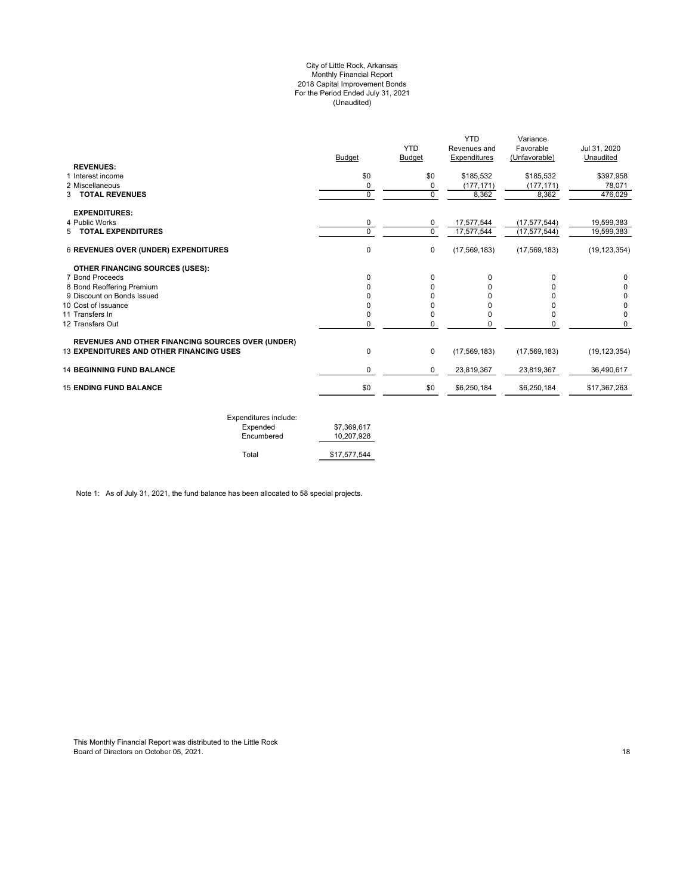#### City of Little Rock, Arkansas Monthly Financial Report 2018 Capital Improvement Bonds For the Period Ended July 31, 2021 (Unaudited)

| <b>REVENUES:</b>                                                                                            | <b>Budget</b> | <b>YTD</b><br><b>Budget</b> | <b>YTD</b><br>Revenues and<br>Expenditures | Variance<br>Favorable<br>(Unfavorable) | Jul 31, 2020<br>Unaudited |
|-------------------------------------------------------------------------------------------------------------|---------------|-----------------------------|--------------------------------------------|----------------------------------------|---------------------------|
| 1 Interest income                                                                                           | \$0           | \$0                         | \$185,532                                  | \$185,532                              | \$397,958                 |
| 2 Miscellaneous                                                                                             | 0             | 0                           | (177, 171)                                 | (177, 171)                             | 78,071                    |
| <b>3 TOTAL REVENUES</b>                                                                                     | 0             | $\mathbf 0$                 | 8,362                                      | 8,362                                  | 476,029                   |
| <b>EXPENDITURES:</b>                                                                                        |               |                             |                                            |                                        |                           |
| 4 Public Works                                                                                              | 0             | 0                           | 17,577,544                                 | (17, 577, 544)                         | 19,599,383                |
| 5 TOTAL EXPENDITURES                                                                                        | $\Omega$      | $\Omega$                    | 17,577,544                                 | (17, 577, 544)                         | 19,599,383                |
| <b>6 REVENUES OVER (UNDER) EXPENDITURES</b>                                                                 | 0             | $\pmb{0}$                   | (17, 569, 183)                             | (17, 569, 183)                         | (19, 123, 354)            |
| <b>OTHER FINANCING SOURCES (USES):</b>                                                                      |               |                             |                                            |                                        |                           |
| 7 Bond Proceeds                                                                                             | 0             | $\Omega$                    | 0                                          | $\Omega$                               | 0                         |
| 8 Bond Reoffering Premium                                                                                   | ŋ             | 0                           | 0                                          | n                                      |                           |
| 9 Discount on Bonds Issued                                                                                  |               | U                           | ŋ                                          |                                        | 0                         |
| 10 Cost of Issuance                                                                                         | ŋ             | 0                           | 0                                          |                                        | 0                         |
| 11 Transfers In                                                                                             | 0             | 0                           | 0                                          | 0                                      | 0                         |
| 12 Transfers Out                                                                                            | 0             | 0                           | 0                                          | $\Omega$                               | 0                         |
| <b>REVENUES AND OTHER FINANCING SOURCES OVER (UNDER)</b><br><b>13 EXPENDITURES AND OTHER FINANCING USES</b> | 0             | $\mathbf 0$                 | (17, 569, 183)                             | (17, 569, 183)                         | (19, 123, 354)            |
|                                                                                                             |               |                             |                                            |                                        |                           |
| <b>14 BEGINNING FUND BALANCE</b>                                                                            | 0             | 0                           | 23,819,367                                 | 23,819,367                             | 36,490,617                |
| <b>15 ENDING FUND BALANCE</b>                                                                               | \$0           | \$0                         | \$6,250,184                                | \$6,250,184                            | \$17,367,263              |
|                                                                                                             |               |                             |                                            |                                        |                           |

| Expenditures include: |              |
|-----------------------|--------------|
| Expended              | \$7.369.617  |
| Encumbered            | 10.207.928   |
|                       |              |
| Total                 | \$17,577,544 |

Note 1: As of July 31, 2021, the fund balance has been allocated to 58 special projects.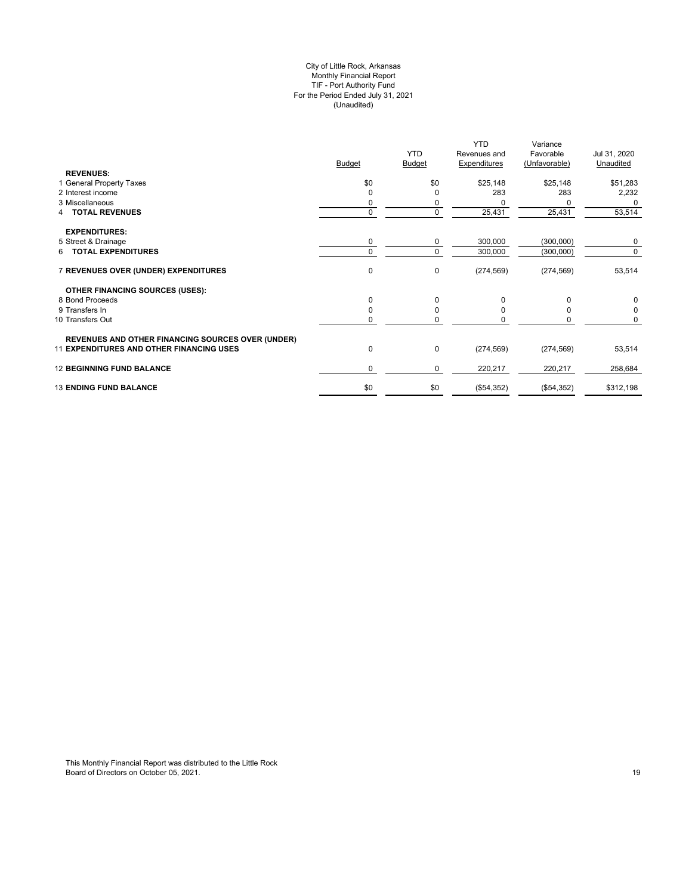# City of Little Rock, Arkansas Monthly Financial Report TIF - Port Authority Fund For the Period Ended July 31, 2021 (Unaudited)

|                                                          |               |               | <b>YTD</b>          | Variance      |              |
|----------------------------------------------------------|---------------|---------------|---------------------|---------------|--------------|
|                                                          |               | <b>YTD</b>    | Revenues and        | Favorable     | Jul 31, 2020 |
|                                                          | <b>Budget</b> | <b>Budget</b> | <b>Expenditures</b> | (Unfavorable) | Unaudited    |
| <b>REVENUES:</b>                                         |               |               |                     |               |              |
| 1 General Property Taxes                                 | \$0           | \$0           | \$25,148            | \$25,148      | \$51,283     |
| 2 Interest income                                        | $\Omega$      | O             | 283                 | 283           | 2,232        |
| 3 Miscellaneous                                          | 0             |               |                     |               | 0            |
| 4 TOTAL REVENUES                                         | $\mathbf 0$   | 0             | 25,431              | 25,431        | 53,514       |
|                                                          |               |               |                     |               |              |
| <b>EXPENDITURES:</b>                                     |               |               |                     |               |              |
| 5 Street & Drainage                                      | 0             | 0             | 300,000             | (300,000)     | 0            |
| <b>TOTAL EXPENDITURES</b><br>6.                          | $\mathbf 0$   | 0             | 300,000             | (300,000)     | 0            |
| 7 REVENUES OVER (UNDER) EXPENDITURES                     | 0             | 0             | (274, 569)          | (274, 569)    | 53,514       |
| <b>OTHER FINANCING SOURCES (USES):</b>                   |               |               |                     |               |              |
| 8 Bond Proceeds                                          | $\mathbf 0$   | $\Omega$      | 0                   | 0             | 0            |
| 9 Transfers In                                           | $\Omega$      | $\Omega$      | O                   | O             | 0            |
| 10 Transfers Out                                         | 0             | 0             |                     | 0             | 0            |
|                                                          |               |               |                     |               |              |
| <b>REVENUES AND OTHER FINANCING SOURCES OVER (UNDER)</b> |               |               |                     |               |              |
| <b>11 EXPENDITURES AND OTHER FINANCING USES</b>          | 0             | 0             | (274, 569)          | (274, 569)    | 53,514       |
| <b>12 BEGINNING FUND BALANCE</b>                         | 0             | 0             | 220,217             | 220,217       | 258,684      |
| <b>13 ENDING FUND BALANCE</b>                            | \$0           | \$0           | (\$54,352)          | (\$54,352)    | \$312,198    |
|                                                          |               |               |                     |               |              |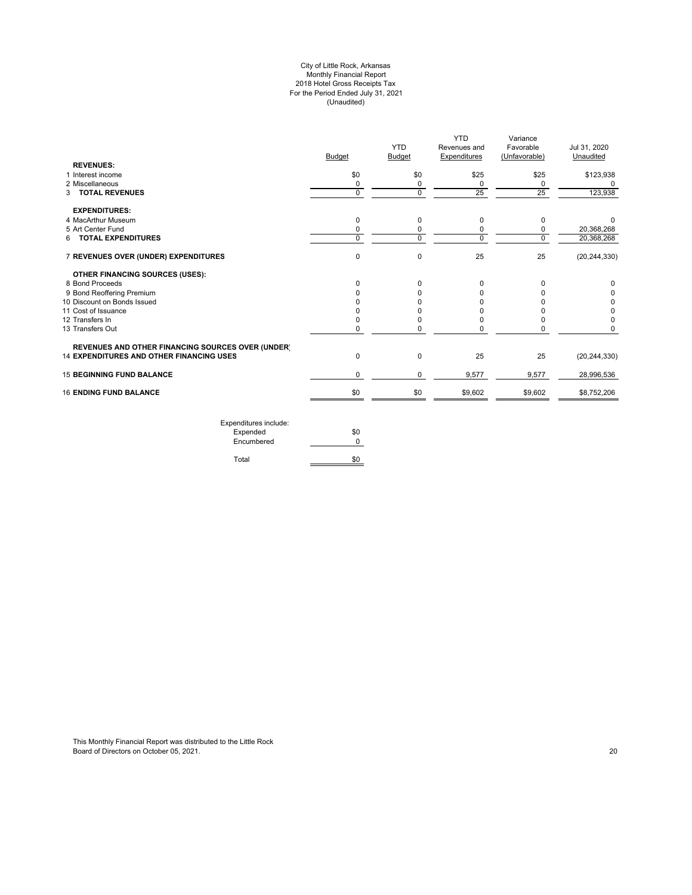#### City of Little Rock, Arkansas Monthly Financial Report 2018 Hotel Gross Receipts Tax For the Period Ended July 31, 2021 (Unaudited)

|                                                          |               | <b>YTD</b>    | YTD<br>Revenues and | Variance<br>Favorable | Jul 31, 2020   |
|----------------------------------------------------------|---------------|---------------|---------------------|-----------------------|----------------|
|                                                          | <b>Budget</b> | <b>Budget</b> | Expenditures        | (Unfavorable)         | Unaudited      |
| <b>REVENUES:</b>                                         |               |               |                     |                       |                |
| 1 Interest income                                        | \$0           | \$0           | \$25                | \$25                  | \$123,938      |
| 2 Miscellaneous                                          | 0             | 0             | 0                   | 0                     | $\Omega$       |
| 3 TOTAL REVENUES                                         | $\Omega$      | $\Omega$      | 25                  | 25                    | 123,938        |
| <b>EXPENDITURES:</b>                                     |               |               |                     |                       |                |
| 4 MacArthur Museum                                       | 0             | 0             | 0                   | 0                     | $\Omega$       |
| 5 Art Center Fund                                        | 0             | 0             | 0                   | 0                     | 20,368,268     |
| <b>TOTAL EXPENDITURES</b><br>6                           | $\Omega$      | $\Omega$      | 0                   | $\Omega$              | 20,368,268     |
| 7 REVENUES OVER (UNDER) EXPENDITURES                     | 0             | $\mathbf 0$   | 25                  | 25                    | (20, 244, 330) |
| <b>OTHER FINANCING SOURCES (USES):</b>                   |               |               |                     |                       |                |
| 8 Bond Proceeds                                          | <sup>0</sup>  | $\Omega$      | 0                   | $\Omega$              |                |
| 9 Bond Reoffering Premium                                |               |               | U                   | O                     |                |
| 10 Discount on Bonds Issued                              |               |               |                     |                       |                |
| 11 Cost of Issuance                                      |               |               |                     |                       |                |
| 12 Transfers In                                          |               |               | 0                   | 0                     |                |
| 13 Transfers Out                                         |               | $\Omega$      | 0                   | 0                     | $\Omega$       |
| <b>REVENUES AND OTHER FINANCING SOURCES OVER (UNDER)</b> |               |               |                     |                       |                |
| <b>14 EXPENDITURES AND OTHER FINANCING USES</b>          | $\mathbf 0$   | 0             | 25                  | 25                    | (20, 244, 330) |
| <b>15 BEGINNING FUND BALANCE</b>                         | $\Omega$      | $\mathbf 0$   | 9,577               | 9,577                 | 28,996,536     |
| <b>16 ENDING FUND BALANCE</b>                            | \$0           | \$0           | \$9,602             | \$9,602               | \$8,752,206    |
|                                                          |               |               |                     |                       |                |

Expenditures include: Expended \$0 Encumbered 0 Total \$0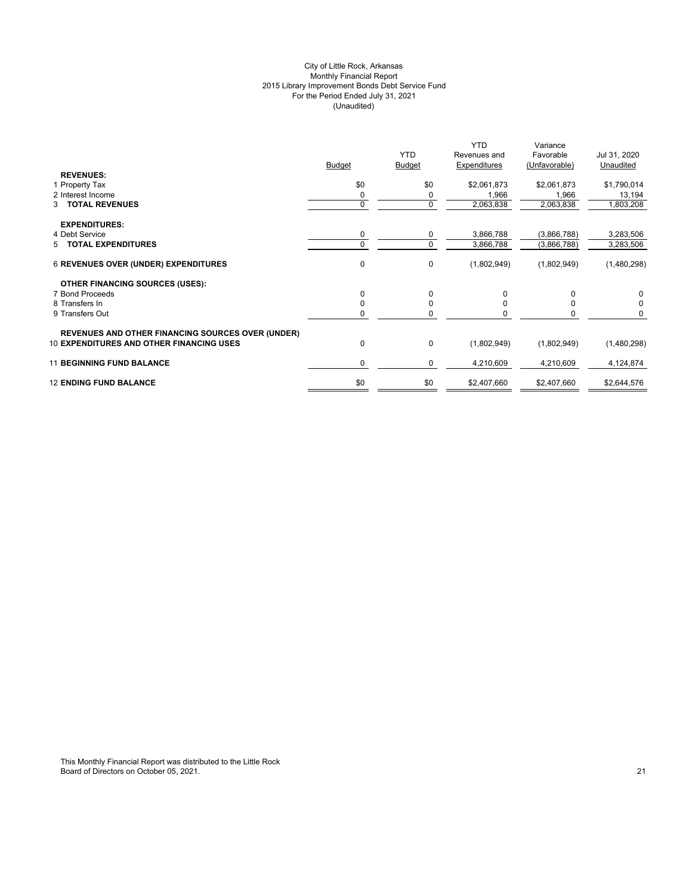# City of Little Rock, Arkansas Monthly Financial Report 2015 Library Improvement Bonds Debt Service Fund For the Period Ended July 31, 2021 (Unaudited)

|                                                          | <b>Budget</b> | <b>YTD</b><br><b>Budget</b> | <b>YTD</b><br>Revenues and<br>Expenditures | Variance<br>Favorable<br>(Unfavorable) | Jul 31, 2020<br>Unaudited |
|----------------------------------------------------------|---------------|-----------------------------|--------------------------------------------|----------------------------------------|---------------------------|
| <b>REVENUES:</b>                                         |               |                             |                                            |                                        |                           |
| 1 Property Tax                                           | \$0           | \$0                         | \$2,061,873                                | \$2,061,873                            | \$1,790,014               |
| 2 Interest Income                                        | 0             | 0                           | 1,966                                      | 1,966                                  | 13,194                    |
| 3 TOTAL REVENUES                                         | $\Omega$      | $\mathbf 0$                 | 2,063,838                                  | 2,063,838                              | 1,803,208                 |
| <b>EXPENDITURES:</b>                                     |               |                             |                                            |                                        |                           |
| 4 Debt Service                                           | 0             | 0                           | 3,866,788                                  | (3,866,788)                            | 3,283,506                 |
| 5 TOTAL EXPENDITURES                                     | $\Omega$      | $\mathbf 0$                 | 3,866,788                                  | (3,866,788)                            | 3,283,506                 |
| <b>6 REVENUES OVER (UNDER) EXPENDITURES</b>              | 0             | $\mathbf 0$                 | (1,802,949)                                | (1,802,949)                            | (1,480,298)               |
| <b>OTHER FINANCING SOURCES (USES):</b>                   |               |                             |                                            |                                        |                           |
| 7 Bond Proceeds                                          | 0             | $\Omega$                    | 0                                          | 0                                      | 0                         |
| 8 Transfers In                                           |               | 0                           |                                            |                                        | 0                         |
| 9 Transfers Out                                          |               | 0                           |                                            | 0                                      | 0                         |
| <b>REVENUES AND OTHER FINANCING SOURCES OVER (UNDER)</b> |               |                             |                                            |                                        |                           |
| <b>10 EXPENDITURES AND OTHER FINANCING USES</b>          | $\Omega$      | 0                           | (1,802,949)                                | (1,802,949)                            | (1,480,298)               |
| <b>11 BEGINNING FUND BALANCE</b>                         | 0             | 0                           | 4,210,609                                  | 4,210,609                              | 4,124,874                 |
| <b>12 ENDING FUND BALANCE</b>                            | \$0           | \$0                         | \$2,407,660                                | \$2,407,660                            | \$2,644,576               |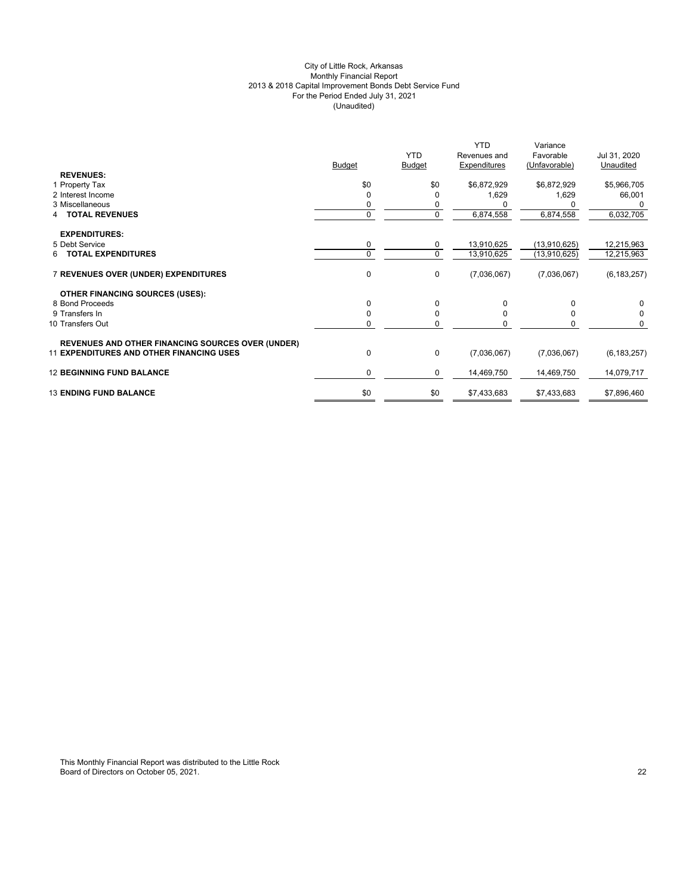# City of Little Rock, Arkansas Monthly Financial Report 2013 & 2018 Capital Improvement Bonds Debt Service Fund For the Period Ended July 31, 2021 (Unaudited)

| <b>REVENUES:</b><br>\$0<br>\$0<br>\$6,872,929<br>\$6,872,929<br>\$5,966,705<br>1 Property Tax<br>1,629<br>2 Interest Income<br>1,629<br>66,001<br>0<br>O<br>3 Miscellaneous<br>0<br>0<br>0<br>6,032,705<br>6,874,558<br>6,874,558<br>$\mathbf 0$<br><b>TOTAL REVENUES</b><br><b>EXPENDITURES:</b><br>5 Debt Service<br>0<br>0<br>13,910,625<br>(13,910,625)<br>12,215,963<br>$\mathbf 0$<br><b>TOTAL EXPENDITURES</b><br>$\Omega$<br>13,910,625<br>(13,910,625)<br>12,215,963<br>6.<br>0<br>7 REVENUES OVER (UNDER) EXPENDITURES<br>0<br>(7,036,067)<br>(7,036,067)<br><b>OTHER FINANCING SOURCES (USES):</b><br>0<br>8 Bond Proceeds<br>$\Omega$<br>0<br>$\Omega$<br>0<br>$\mathbf 0$<br>9 Transfers In<br>$\Omega$<br><sup>0</sup><br>0<br>$\Omega$<br>$\mathbf 0$<br>10 Transfers Out<br>$\Omega$<br>0<br>O<br>$\Omega$<br><b>REVENUES AND OTHER FINANCING SOURCES OVER (UNDER)</b><br>0<br><b>11 EXPENDITURES AND OTHER FINANCING USES</b><br>0<br>(7,036,067)<br>(7,036,067)<br><b>12 BEGINNING FUND BALANCE</b><br>0<br>$\mathbf 0$<br>14,469,750<br>14,469,750<br>\$0<br><b>13 ENDING FUND BALANCE</b><br>\$0<br>\$7,433,683<br>\$7,433,683<br>\$7,896,460 | <b>Budget</b> | <b>YTD</b><br><b>Budget</b> | <b>YTD</b><br>Revenues and<br>Expenditures | Variance<br>Favorable<br>(Unfavorable) | Jul 31, 2020<br>Unaudited |
|-------------------------------------------------------------------------------------------------------------------------------------------------------------------------------------------------------------------------------------------------------------------------------------------------------------------------------------------------------------------------------------------------------------------------------------------------------------------------------------------------------------------------------------------------------------------------------------------------------------------------------------------------------------------------------------------------------------------------------------------------------------------------------------------------------------------------------------------------------------------------------------------------------------------------------------------------------------------------------------------------------------------------------------------------------------------------------------------------------------------------------------------------------------------|---------------|-----------------------------|--------------------------------------------|----------------------------------------|---------------------------|
|                                                                                                                                                                                                                                                                                                                                                                                                                                                                                                                                                                                                                                                                                                                                                                                                                                                                                                                                                                                                                                                                                                                                                                   |               |                             |                                            |                                        |                           |
|                                                                                                                                                                                                                                                                                                                                                                                                                                                                                                                                                                                                                                                                                                                                                                                                                                                                                                                                                                                                                                                                                                                                                                   |               |                             |                                            |                                        |                           |
|                                                                                                                                                                                                                                                                                                                                                                                                                                                                                                                                                                                                                                                                                                                                                                                                                                                                                                                                                                                                                                                                                                                                                                   |               |                             |                                            |                                        |                           |
|                                                                                                                                                                                                                                                                                                                                                                                                                                                                                                                                                                                                                                                                                                                                                                                                                                                                                                                                                                                                                                                                                                                                                                   |               |                             |                                            |                                        |                           |
|                                                                                                                                                                                                                                                                                                                                                                                                                                                                                                                                                                                                                                                                                                                                                                                                                                                                                                                                                                                                                                                                                                                                                                   |               |                             |                                            |                                        |                           |
|                                                                                                                                                                                                                                                                                                                                                                                                                                                                                                                                                                                                                                                                                                                                                                                                                                                                                                                                                                                                                                                                                                                                                                   |               |                             |                                            |                                        |                           |
|                                                                                                                                                                                                                                                                                                                                                                                                                                                                                                                                                                                                                                                                                                                                                                                                                                                                                                                                                                                                                                                                                                                                                                   |               |                             |                                            |                                        |                           |
|                                                                                                                                                                                                                                                                                                                                                                                                                                                                                                                                                                                                                                                                                                                                                                                                                                                                                                                                                                                                                                                                                                                                                                   |               |                             |                                            |                                        | (6, 183, 257)             |
|                                                                                                                                                                                                                                                                                                                                                                                                                                                                                                                                                                                                                                                                                                                                                                                                                                                                                                                                                                                                                                                                                                                                                                   |               |                             |                                            |                                        |                           |
|                                                                                                                                                                                                                                                                                                                                                                                                                                                                                                                                                                                                                                                                                                                                                                                                                                                                                                                                                                                                                                                                                                                                                                   |               |                             |                                            |                                        |                           |
|                                                                                                                                                                                                                                                                                                                                                                                                                                                                                                                                                                                                                                                                                                                                                                                                                                                                                                                                                                                                                                                                                                                                                                   |               |                             |                                            |                                        |                           |
|                                                                                                                                                                                                                                                                                                                                                                                                                                                                                                                                                                                                                                                                                                                                                                                                                                                                                                                                                                                                                                                                                                                                                                   |               |                             |                                            |                                        |                           |
|                                                                                                                                                                                                                                                                                                                                                                                                                                                                                                                                                                                                                                                                                                                                                                                                                                                                                                                                                                                                                                                                                                                                                                   |               |                             |                                            |                                        |                           |
|                                                                                                                                                                                                                                                                                                                                                                                                                                                                                                                                                                                                                                                                                                                                                                                                                                                                                                                                                                                                                                                                                                                                                                   |               |                             |                                            |                                        | (6, 183, 257)             |
|                                                                                                                                                                                                                                                                                                                                                                                                                                                                                                                                                                                                                                                                                                                                                                                                                                                                                                                                                                                                                                                                                                                                                                   |               |                             |                                            |                                        | 14,079,717                |
|                                                                                                                                                                                                                                                                                                                                                                                                                                                                                                                                                                                                                                                                                                                                                                                                                                                                                                                                                                                                                                                                                                                                                                   |               |                             |                                            |                                        |                           |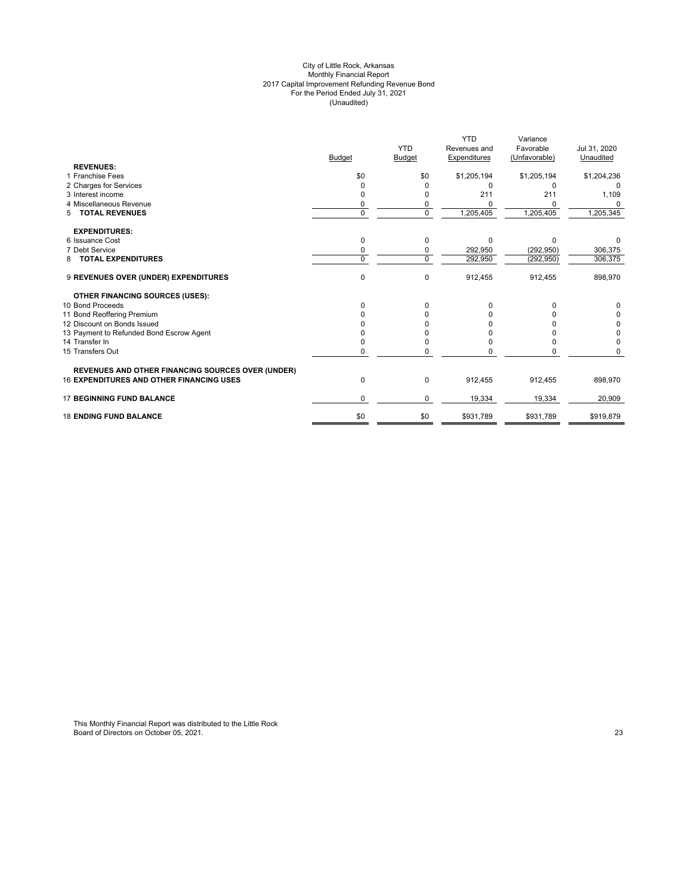#### City of Little Rock, Arkansas Monthly Financial Report 2017 Capital Improvement Refunding Revenue Bond For the Period Ended July 31, 2021 (Unaudited)

|                                                   |               |                | <b>YTD</b>   | Variance      |              |
|---------------------------------------------------|---------------|----------------|--------------|---------------|--------------|
|                                                   |               | <b>YTD</b>     | Revenues and | Favorable     | Jul 31, 2020 |
|                                                   | <b>Budget</b> | Budget         | Expenditures | (Unfavorable) | Unaudited    |
| <b>REVENUES:</b>                                  |               |                |              |               |              |
| 1 Franchise Fees                                  | \$0           | \$0            | \$1,205,194  | \$1,205,194   | \$1,204,236  |
| 2 Charges for Services                            | 0             |                | $\Omega$     | O             |              |
| 3 Interest income                                 |               |                | 211          | 211           | 1,109        |
| 4 Miscellaneous Revenue                           | 0             | 0              |              |               |              |
| <b>TOTAL REVENUES</b><br>5                        | $\Omega$      | $\overline{0}$ | 1,205,405    | 1,205,405     | 1,205,345    |
| <b>EXPENDITURES:</b>                              |               |                |              |               |              |
| 6 Issuance Cost                                   | $\Omega$      | 0              | $\Omega$     | $\Omega$      |              |
| 7 Debt Service                                    | $\Omega$      | 0              | 292,950      | (292, 950)    | 306,375      |
| <b>TOTAL EXPENDITURES</b><br>8                    | $\Omega$      | $\mathbf 0$    | 292,950      | (292, 950)    | 306,375      |
| 9 REVENUES OVER (UNDER) EXPENDITURES              | $\mathbf 0$   | 0              | 912,455      | 912,455       | 898,970      |
| <b>OTHER FINANCING SOURCES (USES):</b>            |               |                |              |               |              |
| 10 Bond Proceeds                                  | $\Omega$      | 0              |              |               |              |
| 11 Bond Reoffering Premium                        |               |                |              |               | 0            |
| 12 Discount on Bonds Issued                       |               |                |              |               | 0            |
| 13 Payment to Refunded Bond Escrow Agent          |               |                |              |               | 0            |
| 14 Transfer In                                    |               |                |              |               | $\Omega$     |
| 15 Transfers Out                                  | $\Omega$      | 0              |              |               |              |
| REVENUES AND OTHER FINANCING SOURCES OVER (UNDER) |               |                |              |               |              |
| <b>16 EXPENDITURES AND OTHER FINANCING USES</b>   | 0             | 0              | 912,455      | 912,455       | 898,970      |
| <b>17 BEGINNING FUND BALANCE</b>                  | $\Omega$      | 0              | 19,334       | 19,334        | 20,909       |
| <b>18 ENDING FUND BALANCE</b>                     | \$0           | \$0            | \$931,789    | \$931,789     | \$919,879    |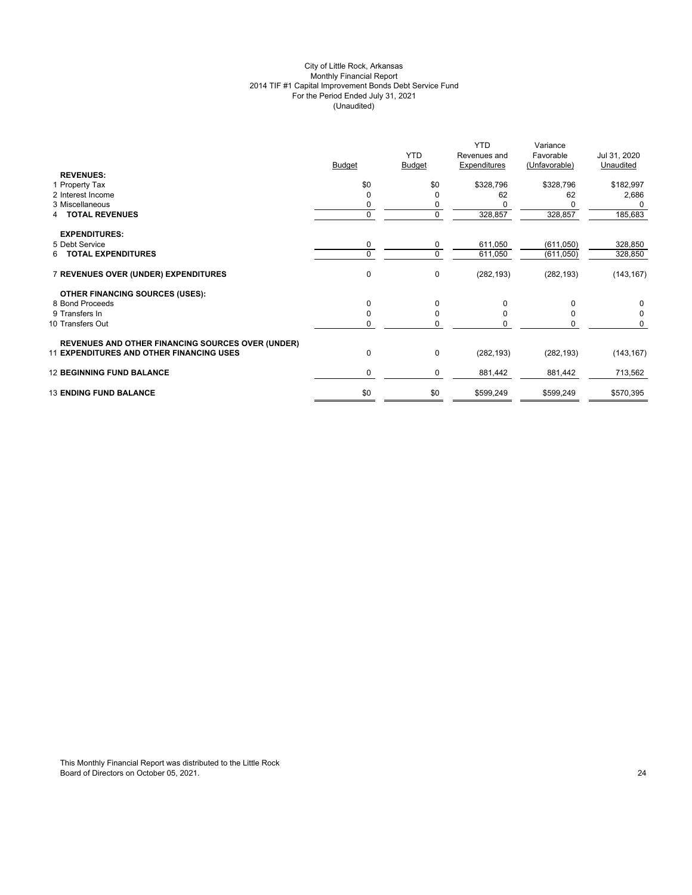# City of Little Rock, Arkansas Monthly Financial Report 2014 TIF #1 Capital Improvement Bonds Debt Service Fund For the Period Ended July 31, 2021 (Unaudited)

|                                                                                                             |               | <b>YTD</b>    | <b>YTD</b><br>Revenues and | Variance<br>Favorable | Jul 31, 2020 |
|-------------------------------------------------------------------------------------------------------------|---------------|---------------|----------------------------|-----------------------|--------------|
|                                                                                                             | <b>Budget</b> | <b>Budget</b> | Expenditures               | (Unfavorable)         | Unaudited    |
| <b>REVENUES:</b>                                                                                            |               |               |                            |                       |              |
| 1 Property Tax                                                                                              | \$0           | \$0           | \$328,796                  | \$328,796             | \$182,997    |
| 2 Interest Income                                                                                           | $\Omega$      | $\mathbf 0$   | 62                         | 62                    | 2,686        |
| 3 Miscellaneous                                                                                             | 0             | 0             |                            |                       | 0            |
| <b>TOTAL REVENUES</b><br>4                                                                                  | $\mathbf 0$   | 0             | 328,857                    | 328,857               | 185,683      |
| <b>EXPENDITURES:</b>                                                                                        |               |               |                            |                       |              |
| 5 Debt Service                                                                                              | 0             | 0             | 611,050                    | (611, 050)            | 328,850      |
| <b>TOTAL EXPENDITURES</b>                                                                                   | $\Omega$      | $\mathbf 0$   |                            |                       |              |
| 6.                                                                                                          |               |               | 611,050                    | (611,050)             | 328,850      |
| 7 REVENUES OVER (UNDER) EXPENDITURES                                                                        | $\mathbf 0$   | 0             | (282, 193)                 | (282, 193)            | (143, 167)   |
| <b>OTHER FINANCING SOURCES (USES):</b>                                                                      |               |               |                            |                       |              |
| 8 Bond Proceeds                                                                                             | $\Omega$      | $\mathbf 0$   | $\Omega$                   | $\Omega$              | 0            |
| 9 Transfers In                                                                                              | $\Omega$      | 0             | <sup>0</sup>               | 0                     | 0            |
| 10 Transfers Out                                                                                            | 0             | 0             | $\Omega$                   | 0                     | $\mathbf 0$  |
|                                                                                                             |               |               |                            |                       |              |
| <b>REVENUES AND OTHER FINANCING SOURCES OVER (UNDER)</b><br><b>11 EXPENDITURES AND OTHER FINANCING USES</b> | 0             | $\pmb{0}$     |                            |                       |              |
|                                                                                                             |               |               | (282, 193)                 | (282, 193)            | (143, 167)   |
| <b>12 BEGINNING FUND BALANCE</b>                                                                            | $\mathbf 0$   | 0             | 881,442                    | 881,442               | 713,562      |
| <b>13 ENDING FUND BALANCE</b>                                                                               | \$0           | \$0           | \$599,249                  | \$599,249             | \$570,395    |
|                                                                                                             |               |               |                            |                       |              |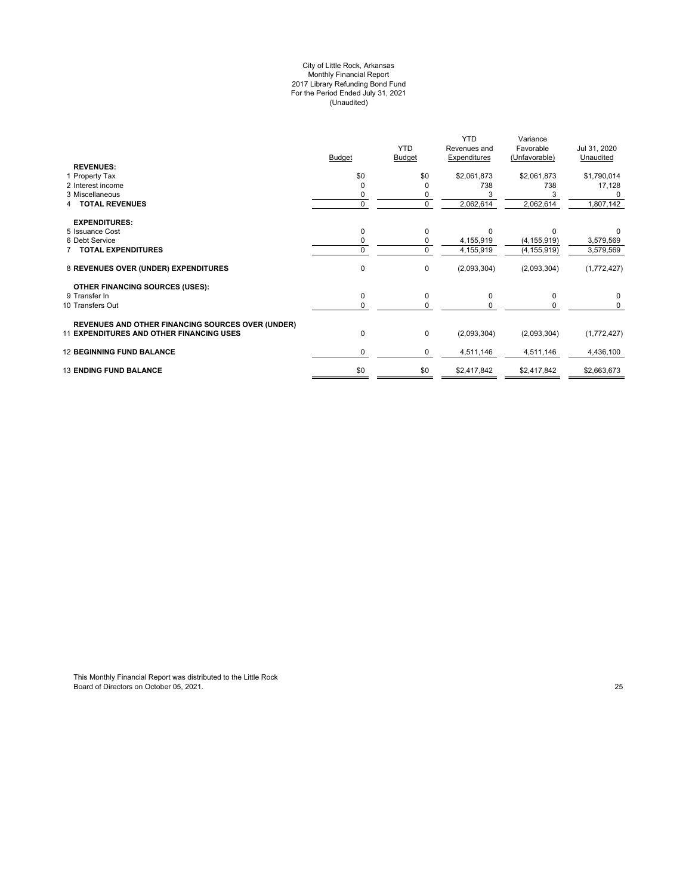#### City of Little Rock, Arkansas Monthly Financial Report 2017 Library Refunding Bond Fund For the Period Ended July 31, 2021 (Unaudited)

|                                                          |               |               | <b>YTD</b>          | Variance                   |              |
|----------------------------------------------------------|---------------|---------------|---------------------|----------------------------|--------------|
|                                                          |               | <b>YTD</b>    | Revenues and        | Favorable<br>(Unfavorable) | Jul 31, 2020 |
| <b>REVENUES:</b>                                         | <b>Budget</b> | <b>Budget</b> | <b>Expenditures</b> |                            | Unaudited    |
| 1 Property Tax                                           | \$0           | \$0           | \$2,061,873         | \$2,061,873                | \$1,790,014  |
| 2 Interest income                                        |               | 0             | 738                 | 738                        | 17,128       |
| 3 Miscellaneous                                          |               |               |                     |                            |              |
| <b>TOTAL REVENUES</b>                                    | $\Omega$      | $\mathbf 0$   | 2,062,614           | 2,062,614                  | 1,807,142    |
| <b>EXPENDITURES:</b>                                     |               |               |                     |                            |              |
| 5 Issuance Cost                                          |               | 0             | $\Omega$            | O                          |              |
| 6 Debt Service                                           |               | 0             | 4,155,919           | (4, 155, 919)              | 3,579,569    |
| <b>7 TOTAL EXPENDITURES</b>                              | $\Omega$      | $\mathbf 0$   | 4,155,919           | (4, 155, 919)              | 3,579,569    |
| 8 REVENUES OVER (UNDER) EXPENDITURES                     | $\mathbf 0$   | 0             | (2,093,304)         | (2,093,304)                | (1,772,427)  |
| <b>OTHER FINANCING SOURCES (USES):</b>                   |               |               |                     |                            |              |
| 9 Transfer In                                            | $\Omega$      | $\mathbf 0$   | $\Omega$            | 0                          | $\mathbf 0$  |
| 10 Transfers Out                                         |               | $\Omega$      |                     |                            | $\Omega$     |
| <b>REVENUES AND OTHER FINANCING SOURCES OVER (UNDER)</b> |               |               |                     |                            |              |
| <b>11 EXPENDITURES AND OTHER FINANCING USES</b>          | $\mathbf 0$   | 0             | (2,093,304)         | (2,093,304)                | (1,772,427)  |
| <b>12 BEGINNING FUND BALANCE</b>                         | 0             | 0             | 4,511,146           | 4,511,146                  | 4,436,100    |
| <b>13 ENDING FUND BALANCE</b>                            | \$0           | \$0           | \$2,417,842         | \$2,417,842                | \$2,663,673  |
|                                                          |               |               |                     |                            |              |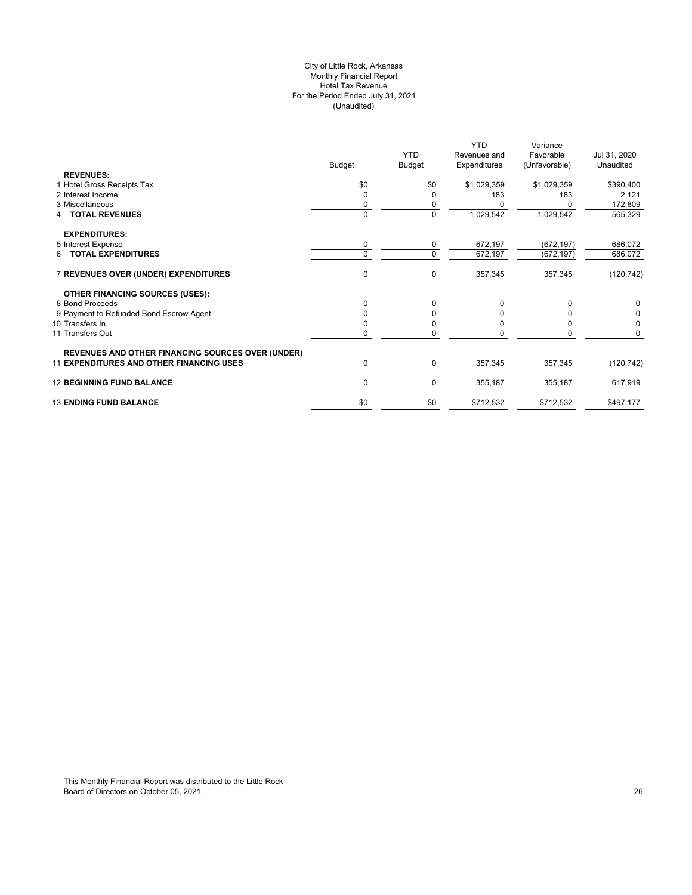# City of Little Rock, Arkansas Monthly Financial Report Hotel Tax Revenue For the Period Ended July 31, 2021 (Unaudited)

|                                                          |          | <b>YTD</b>    | <b>YTD</b><br>Revenues and | Variance<br>Favorable | Jul 31, 2020 |
|----------------------------------------------------------|----------|---------------|----------------------------|-----------------------|--------------|
|                                                          | Budget   | <b>Budget</b> | Expenditures               | (Unfavorable)         | Unaudited    |
| <b>REVENUES:</b>                                         |          |               |                            |                       |              |
| 1 Hotel Gross Receipts Tax                               | \$0      | \$0           | \$1,029,359                | \$1,029,359           | \$390,400    |
| 2 Interest Income                                        | 0        | 0             | 183                        | 183                   | 2,121        |
| 3 Miscellaneous                                          |          | 0             |                            |                       | 172,809      |
| 4 TOTAL REVENUES                                         | $\Omega$ | $\mathbf 0$   | 1,029,542                  | 1,029,542             | 565,329      |
| <b>EXPENDITURES:</b>                                     |          |               |                            |                       |              |
| 5 Interest Expense                                       | 0        | 0             | 672,197                    | (672, 197)            | 686,072      |
| 6 TOTAL EXPENDITURES                                     | $\Omega$ | $\Omega$      | 672,197                    | (672, 197)            | 686,072      |
| 7 REVENUES OVER (UNDER) EXPENDITURES                     | 0        | $\mathbf 0$   | 357,345                    | 357,345               | (120, 742)   |
| OTHER FINANCING SOURCES (USES):                          |          |               |                            |                       |              |
| 8 Bond Proceeds                                          | $\Omega$ | $\Omega$      |                            | O                     | 0            |
| 9 Payment to Refunded Bond Escrow Agent                  |          | 0             |                            |                       | 0            |
| 10 Transfers In                                          |          | <sup>0</sup>  |                            |                       | 0            |
| 11 Transfers Out                                         | U        | $\Omega$      |                            | n                     | 0            |
| <b>REVENUES AND OTHER FINANCING SOURCES OVER (UNDER)</b> |          |               |                            |                       |              |
| <b>11 EXPENDITURES AND OTHER FINANCING USES</b>          | $\Omega$ | $\mathbf 0$   | 357,345                    | 357,345               | (120, 742)   |
| <b>12 BEGINNING FUND BALANCE</b>                         | 0        | $\mathbf 0$   | 355,187                    | 355,187               | 617,919      |
| <b>13 ENDING FUND BALANCE</b>                            | \$0      | \$0           | \$712,532                  | \$712,532             | \$497,177    |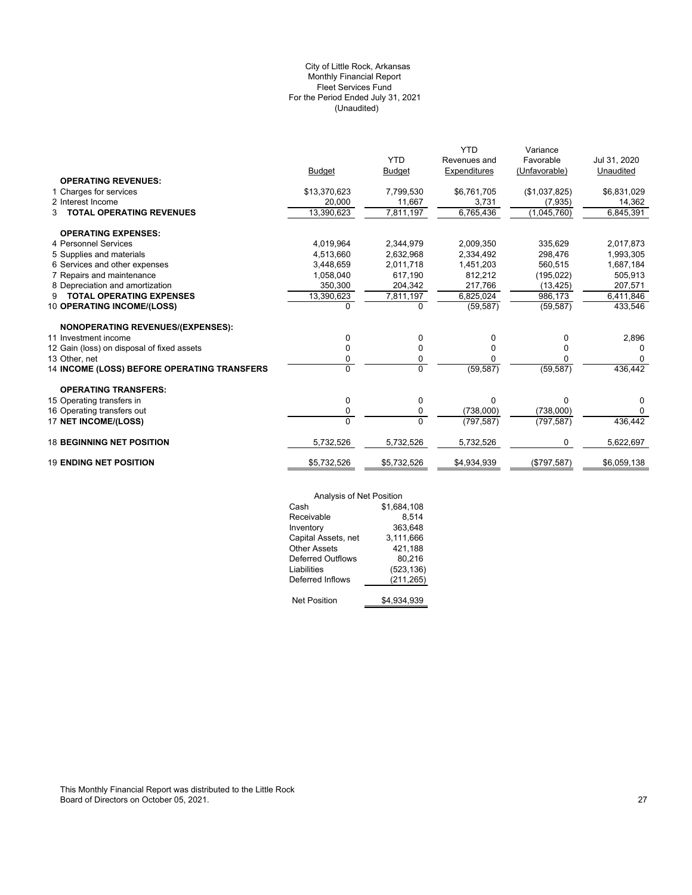# (Unaudited) City of Little Rock, Arkansas Monthly Financial Report Fleet Services Fund For the Period Ended July 31, 2021

|                                             |                |                | <b>YTD</b>   | Variance      |              |
|---------------------------------------------|----------------|----------------|--------------|---------------|--------------|
|                                             |                | <b>YTD</b>     | Revenues and | Favorable     | Jul 31, 2020 |
|                                             | <b>Budget</b>  | <b>Budget</b>  | Expenditures | (Unfavorable) | Unaudited    |
| <b>OPERATING REVENUES:</b>                  |                |                |              |               |              |
| 1 Charges for services                      | \$13,370,623   | 7,799,530      | \$6,761,705  | (\$1,037,825) | \$6,831,029  |
| 2 Interest Income                           | 20,000         | 11,667         | 3,731        | (7, 935)      | 14,362       |
| <b>TOTAL OPERATING REVENUES</b><br>3        | 13,390,623     | 7,811,197      | 6,765,436    | (1,045,760)   | 6,845,391    |
| <b>OPERATING EXPENSES:</b>                  |                |                |              |               |              |
| 4 Personnel Services                        | 4.019.964      | 2,344,979      | 2,009,350    | 335,629       | 2,017,873    |
| 5 Supplies and materials                    | 4,513,660      | 2,632,968      | 2,334,492    | 298,476       | 1,993,305    |
| 6 Services and other expenses               | 3,448,659      | 2,011,718      | 1,451,203    | 560,515       | 1,687,184    |
| 7 Repairs and maintenance                   | 1,058,040      | 617,190        | 812,212      | (195, 022)    | 505,913      |
| 8 Depreciation and amortization             | 350,300        | 204,342        | 217,766      | (13, 425)     | 207,571      |
| <b>TOTAL OPERATING EXPENSES</b><br>9        | 13,390,623     | 7,811,197      | 6,825,024    | 986.173       | 6,411,846    |
| 10 OPERATING INCOME/(LOSS)                  | 0              | 0              | (59, 587)    | (59, 587)     | 433,546      |
| <b>NONOPERATING REVENUES/(EXPENSES):</b>    |                |                |              |               |              |
| 11 Investment income                        | 0              | 0              | 0            | 0             | 2,896        |
| 12 Gain (loss) on disposal of fixed assets  | 0              | 0              | 0            | 0             | $\Omega$     |
| 13 Other, net                               | 0              | 0              |              | ŋ             | 0            |
| 14 INCOME (LOSS) BEFORE OPERATING TRANSFERS | $\overline{0}$ | $\overline{0}$ | (59, 587)    | (59, 587)     | 436,442      |
| <b>OPERATING TRANSFERS:</b>                 |                |                |              |               |              |
| 15 Operating transfers in                   | 0              | $\mathbf 0$    | $\Omega$     | $\Omega$      | 0            |
| 16 Operating transfers out                  | 0              | 0              | (738,000)    | (738,000)     | $\Omega$     |
| 17 NET INCOME/(LOSS)                        | $\Omega$       | $\Omega$       | (797, 587)   | (797, 587)    | 436,442      |
| <b>18 BEGINNING NET POSITION</b>            | 5,732,526      | 5,732,526      | 5,732,526    | 0             | 5,622,697    |
| <b>19 ENDING NET POSITION</b>               | \$5,732,526    | \$5,732,526    | \$4,934,939  | (\$797,587)   | \$6,059,138  |
|                                             |                |                |              |               |              |

|                          | Analysis of Net Position |  |  |
|--------------------------|--------------------------|--|--|
| Cash                     | \$1,684,108              |  |  |
| Receivable               | 8.514                    |  |  |
| Inventory                | 363,648                  |  |  |
| Capital Assets, net      | 3,111,666                |  |  |
| <b>Other Assets</b>      | 421,188                  |  |  |
| <b>Deferred Outflows</b> | 80,216                   |  |  |
| Liabilities              | (523, 136)               |  |  |
| Deferred Inflows         | (211, 265)               |  |  |
| <b>Net Position</b>      | \$4,934,939              |  |  |
|                          |                          |  |  |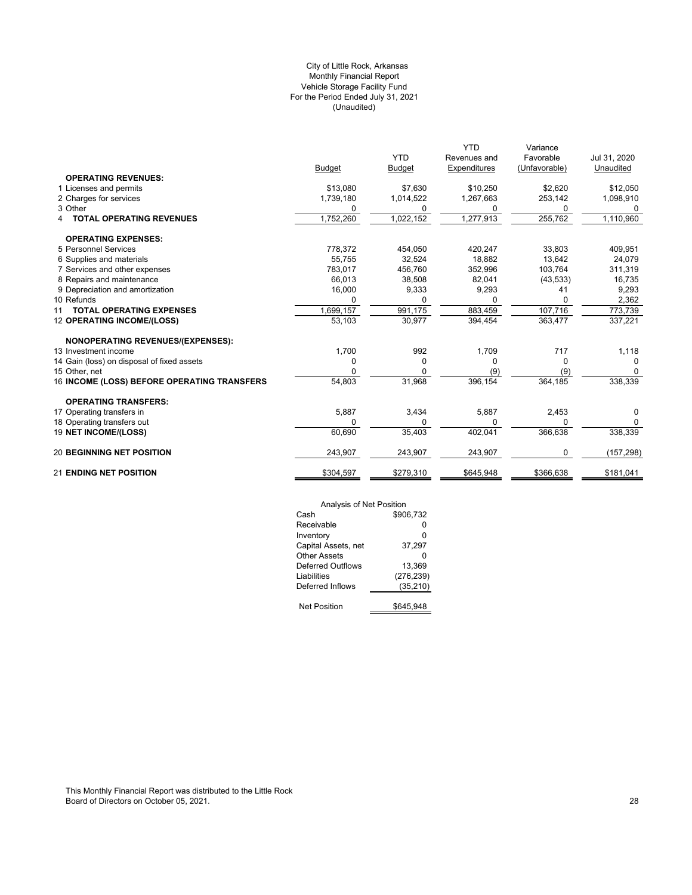# (Unaudited) City of Little Rock, Arkansas Monthly Financial Report Vehicle Storage Facility Fund For the Period Ended July 31, 2021

|                                             |               |               | YTD          | Variance      |              |
|---------------------------------------------|---------------|---------------|--------------|---------------|--------------|
|                                             |               | <b>YTD</b>    | Revenues and | Favorable     | Jul 31, 2020 |
|                                             | <b>Budget</b> | <b>Budget</b> | Expenditures | (Unfavorable) | Unaudited    |
| <b>OPERATING REVENUES:</b>                  |               |               |              |               |              |
| 1 Licenses and permits                      | \$13,080      | \$7,630       | \$10,250     | \$2,620       | \$12,050     |
| 2 Charges for services                      | 1,739,180     | 1,014,522     | 1,267,663    | 253,142       | 1,098,910    |
| 3 Other                                     | 0             | 0             | 0            | 0             | 0            |
| <b>TOTAL OPERATING REVENUES</b><br>4        | 1,752,260     | 1,022,152     | 1,277,913    | 255,762       | 1,110,960    |
| <b>OPERATING EXPENSES:</b>                  |               |               |              |               |              |
| 5 Personnel Services                        | 778,372       | 454,050       | 420,247      | 33,803        | 409,951      |
| 6 Supplies and materials                    | 55.755        | 32.524        | 18,882       | 13.642        | 24,079       |
| 7 Services and other expenses               | 783.017       | 456,760       | 352,996      | 103,764       | 311,319      |
| 8 Repairs and maintenance                   | 66,013        | 38,508        | 82,041       | (43, 533)     | 16,735       |
| 9 Depreciation and amortization             | 16,000        | 9,333         | 9,293        | 41            | 9,293        |
| 10 Refunds                                  |               | 0             |              | 0             | 2,362        |
| <b>TOTAL OPERATING EXPENSES</b><br>11       | 1,699,157     | 991,175       | 883,459      | 107,716       | 773,739      |
| 12 OPERATING INCOME/(LOSS)                  | 53,103        | 30,977        | 394,454      | 363,477       | 337,221      |
| <b>NONOPERATING REVENUES/(EXPENSES):</b>    |               |               |              |               |              |
| 13 Investment income                        | 1,700         | 992           | 1,709        | 717           | 1,118        |
| 14 Gain (loss) on disposal of fixed assets  | 0             | 0             | 0            | 0             | $\Omega$     |
| 15 Other, net                               | 0             |               | (9)          | (9)           | $\Omega$     |
| 16 INCOME (LOSS) BEFORE OPERATING TRANSFERS | 54,803        | 31,968        | 396, 154     | 364,185       | 338,339      |
| <b>OPERATING TRANSFERS:</b>                 |               |               |              |               |              |
| 17 Operating transfers in                   | 5,887         | 3,434         | 5,887        | 2,453         | 0            |
| 18 Operating transfers out                  | 0             | 0             | $\Omega$     | O             | $\Omega$     |
| 19 NET INCOME/(LOSS)                        | 60,690        | 35,403        | 402,041      | 366,638       | 338,339      |
| <b>20 BEGINNING NET POSITION</b>            | 243,907       | 243,907       | 243,907      | 0             | (157, 298)   |
| <b>21 ENDING NET POSITION</b>               | \$304,597     | \$279,310     | \$645,948    | \$366,638     | \$181,041    |

| Analysis of Net Position |            |
|--------------------------|------------|
| Cash                     | \$906.732  |
| Receivable               | ŋ          |
| Inventory                | 0          |
| Capital Assets, net      | 37,297     |
| Other Assets             | ŋ          |
| Deferred Outflows        | 13.369     |
| Liabilities              | (276, 239) |
| Deferred Inflows         | (35, 210)  |
|                          |            |
| <b>Net Position</b>      | \$645,948  |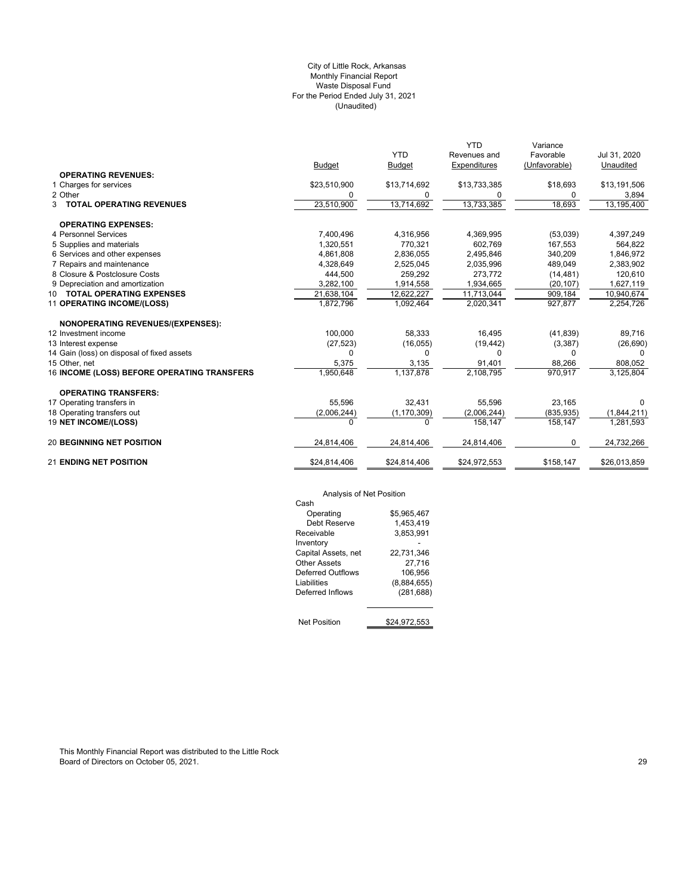# (Unaudited) City of Little Rock, Arkansas Monthly Financial Report Waste Disposal Fund For the Period Ended July 31, 2021

|                                             |              |               | <b>YTD</b>   | Variance      |              |
|---------------------------------------------|--------------|---------------|--------------|---------------|--------------|
|                                             |              | <b>YTD</b>    | Revenues and | Favorable     | Jul 31, 2020 |
|                                             | Budget       | <b>Budget</b> | Expenditures | (Unfavorable) | Unaudited    |
| <b>OPERATING REVENUES:</b>                  |              |               |              |               |              |
| 1 Charges for services                      | \$23,510,900 | \$13,714,692  | \$13,733,385 | \$18,693      | \$13,191,506 |
| 2 Other                                     | 0            | 0             | 0            | 0             | 3,894        |
| <b>3 TOTAL OPERATING REVENUES</b>           | 23,510,900   | 13,714,692    | 13,733,385   | 18,693        | 13,195,400   |
| <b>OPERATING EXPENSES:</b>                  |              |               |              |               |              |
| 4 Personnel Services                        | 7,400,496    | 4,316,956     | 4,369,995    | (53,039)      | 4,397,249    |
| 5 Supplies and materials                    | 1,320,551    | 770,321       | 602,769      | 167,553       | 564,822      |
| 6 Services and other expenses               | 4,861,808    | 2,836,055     | 2,495,846    | 340,209       | 1,846,972    |
| 7 Repairs and maintenance                   | 4,328,649    | 2,525,045     | 2,035,996    | 489,049       | 2,383,902    |
| 8 Closure & Postclosure Costs               | 444,500      | 259,292       | 273,772      | (14, 481)     | 120,610      |
| 9 Depreciation and amortization             | 3,282,100    | 1,914,558     | 1,934,665    | (20, 107)     | 1,627,119    |
| 10 TOTAL OPERATING EXPENSES                 | 21,638,104   | 12,622,227    | 11,713,044   | 909,184       | 10,940,674   |
| 11 OPERATING INCOME/(LOSS)                  | 1,872,796    | 1,092,464     | 2,020,341    | 927,877       | 2,254,726    |
| <b>NONOPERATING REVENUES/(EXPENSES):</b>    |              |               |              |               |              |
| 12 Investment income                        | 100,000      | 58,333        | 16,495       | (41, 839)     | 89,716       |
| 13 Interest expense                         | (27, 523)    | (16, 055)     | (19, 442)    | (3, 387)      | (26, 690)    |
| 14 Gain (loss) on disposal of fixed assets  | $\Omega$     | 0             | 0            | $\Omega$      | $\Omega$     |
| 15 Other, net                               | 5,375        | 3,135         | 91,401       | 88,266        | 808,052      |
| 16 INCOME (LOSS) BEFORE OPERATING TRANSFERS | 1,950,648    | 1,137,878     | 2,108,795    | 970,917       | 3,125,804    |
| <b>OPERATING TRANSFERS:</b>                 |              |               |              |               |              |
| 17 Operating transfers in                   | 55,596       | 32,431        | 55,596       | 23,165        | $\Omega$     |
| 18 Operating transfers out                  | (2,006,244)  | (1, 170, 309) | (2,006,244)  | (835, 935)    | (1,844,211)  |
| 19 NET INCOME/(LOSS)                        | $\Omega$     | 0             | 158,147      | 158,147       | 1,281,593    |
| <b>20 BEGINNING NET POSITION</b>            | 24,814,406   | 24,814,406    | 24,814,406   | 0             | 24,732,266   |
| <b>21 ENDING NET POSITION</b>               | \$24,814,406 | \$24,814,406  | \$24,972,553 | \$158,147     | \$26,013,859 |

# Analysis of Net Position

| Analysis of Net Position |              |
|--------------------------|--------------|
| Cash                     |              |
| Operating                | \$5.965.467  |
| Debt Reserve             | 1.453.419    |
| Receivable               | 3,853,991    |
| Inventory                |              |
| Capital Assets, net      | 22.731.346   |
| Other Assets             | 27.716       |
| Deferred Outflows        | 106.956      |
| Liabilities              | (8,884,655)  |
| Deferred Inflows         | (281, 688)   |
| <b>Net Position</b>      | \$24.972.553 |
|                          |              |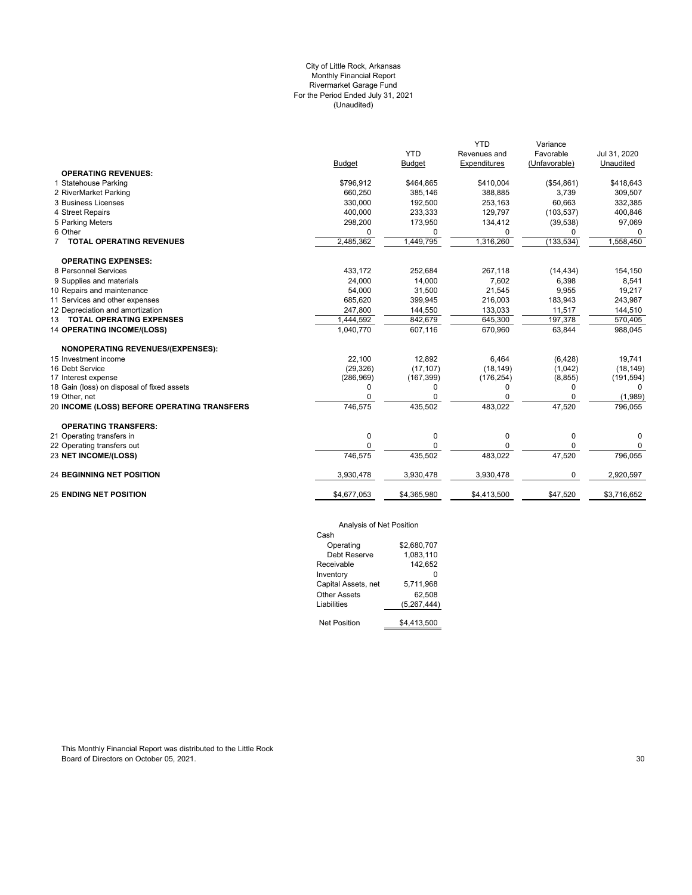# City of Little Rock, Arkansas Monthly Financial Report Rivermarket Garage Fund For the Period Ended July 31, 2021 (Unaudited)

|                                             |               |               | <b>YTD</b>   | Variance      |              |
|---------------------------------------------|---------------|---------------|--------------|---------------|--------------|
|                                             |               | <b>YTD</b>    | Revenues and | Favorable     | Jul 31, 2020 |
|                                             | <b>Budget</b> | <b>Budget</b> | Expenditures | (Unfavorable) | Unaudited    |
| <b>OPERATING REVENUES:</b>                  |               |               |              |               |              |
| 1 Statehouse Parking                        | \$796,912     | \$464,865     | \$410,004    | (\$54,861)    | \$418,643    |
| 2 RiverMarket Parking                       | 660,250       | 385,146       | 388,885      | 3,739         | 309,507      |
| 3 Business Licenses                         | 330,000       | 192,500       | 253,163      | 60,663        | 332,385      |
| 4 Street Repairs                            | 400,000       | 233,333       | 129,797      | (103, 537)    | 400,846      |
| 5 Parking Meters                            | 298,200       | 173,950       | 134,412      | (39, 538)     | 97,069       |
| 6 Other                                     | $\Omega$      | 0             | 0            | 0             | 0            |
| <b>TOTAL OPERATING REVENUES</b>             | 2,485,362     | 1,449,795     | 1,316,260    | (133, 534)    | 1,558,450    |
| <b>OPERATING EXPENSES:</b>                  |               |               |              |               |              |
| 8 Personnel Services                        | 433,172       | 252,684       | 267,118      | (14, 434)     | 154,150      |
| 9 Supplies and materials                    | 24,000        | 14,000        | 7.602        | 6,398         | 8,541        |
| 10 Repairs and maintenance                  | 54,000        | 31,500        | 21,545       | 9,955         | 19,217       |
| 11 Services and other expenses              | 685.620       | 399,945       | 216,003      | 183,943       | 243,987      |
| 12 Depreciation and amortization            | 247,800       | 144,550       | 133,033      | 11,517        | 144,510      |
| 13 TOTAL OPERATING EXPENSES                 | 1,444,592     | 842,679       | 645,300      | 197,378       | 570,405      |
| <b>14 OPERATING INCOME/(LOSS)</b>           | 1,040,770     | 607,116       | 670,960      | 63,844        | 988,045      |
| NONOPERATING REVENUES/(EXPENSES):           |               |               |              |               |              |
| 15 Investment income                        | 22.100        | 12,892        | 6.464        | (6,428)       | 19,741       |
| 16 Debt Service                             | (29, 326)     | (17, 107)     | (18, 149)    | (1,042)       | (18, 149)    |
| 17 Interest expense                         | (286,969)     | (167, 399)    | (176, 254)   | (8, 855)      | (191, 594)   |
| 18 Gain (loss) on disposal of fixed assets  | 0             | 0             | 0            | 0             | <sup>0</sup> |
| 19 Other, net                               |               | O             | 0            | 0             | (1,989)      |
| 20 INCOME (LOSS) BEFORE OPERATING TRANSFERS | 746,575       | 435,502       | 483,022      | 47,520        | 796,055      |
| <b>OPERATING TRANSFERS:</b>                 |               |               |              |               |              |
| 21 Operating transfers in                   | 0             | 0             | 0            | 0             | $\Omega$     |
| 22 Operating transfers out                  | $\Omega$      | 0             | 0            | 0             | 0            |
| 23 NET INCOME/(LOSS)                        | 746,575       | 435,502       | 483,022      | 47,520        | 796,055      |
| <b>24 BEGINNING NET POSITION</b>            | 3,930,478     | 3,930,478     | 3,930,478    | 0             | 2,920,597    |
| <b>25 ENDING NET POSITION</b>               | \$4,677,053   | \$4,365,980   | \$4,413,500  | \$47,520      | \$3,716,652  |
|                                             |               |               |              |               |              |

# Analysis of Net Position

| 1.41                |             |  |  |  |
|---------------------|-------------|--|--|--|
| Cash                |             |  |  |  |
| Operating           | \$2,680,707 |  |  |  |
| Debt Reserve        | 1.083,110   |  |  |  |
| Receivable          | 142,652     |  |  |  |
| Inventory           |             |  |  |  |
| Capital Assets, net | 5.711.968   |  |  |  |
| <b>Other Assets</b> | 62.508      |  |  |  |
| Liabilities         | (5,267,444) |  |  |  |
|                     |             |  |  |  |
| <b>Net Position</b> | \$4.413.500 |  |  |  |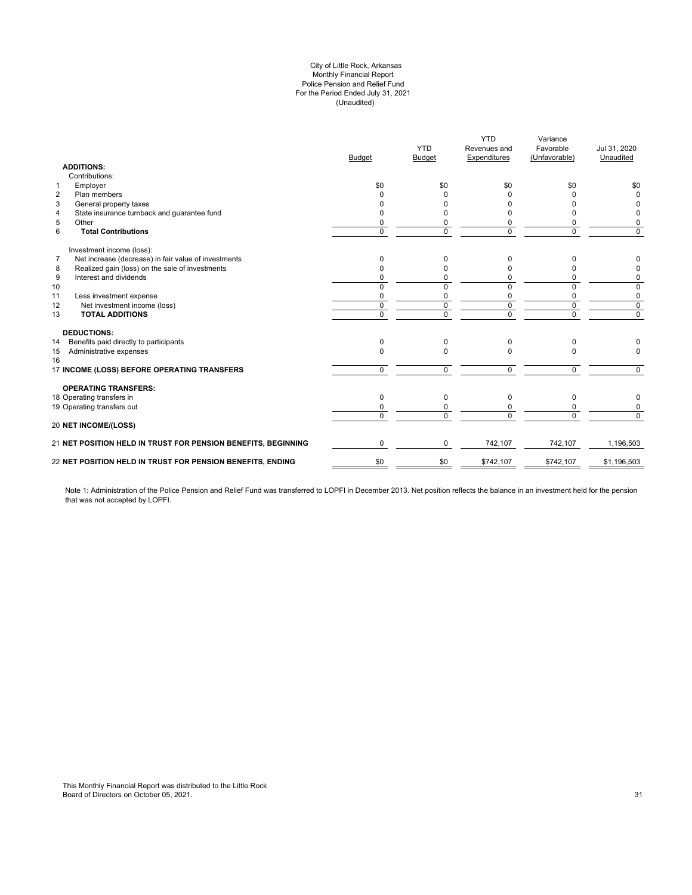#### (Unaudited) City of Little Rock, Arkansas Monthly Financial Report Police Pension and Relief Fund For the Period Ended July 31, 2021

| <b>ADDITIONS:</b>                            |                                                               | <b>Budget</b>  | <b>YTD</b><br><b>Budget</b> | <b>YTD</b><br>Revenues and<br>Expenditures | Variance<br>Favorable<br>(Unfavorable) | Jul 31, 2020<br>Unaudited |
|----------------------------------------------|---------------------------------------------------------------|----------------|-----------------------------|--------------------------------------------|----------------------------------------|---------------------------|
| Contributions:                               |                                                               |                |                             |                                            |                                        |                           |
| Employer<br>$\mathbf{1}$                     |                                                               | \$0            | \$0                         | \$0                                        | \$0                                    | \$0                       |
| 2<br>Plan members                            |                                                               | 0              | O                           | $\Omega$                                   | <sup>0</sup>                           | $\Omega$                  |
| 3<br>General property taxes                  |                                                               |                |                             | $\Omega$                                   |                                        | 0                         |
| 4                                            | State insurance turnback and guarantee fund                   | ŋ              | O                           | $\Omega$                                   | <sup>0</sup>                           | 0                         |
| 5<br>Other                                   |                                                               | 0              | 0                           | 0                                          | 0                                      | 0                         |
| 6<br><b>Total Contributions</b>              |                                                               | $\mathbf 0$    | $\mathbf 0$                 | $\mathbf 0$                                | $\Omega$                               | $\Omega$                  |
| Investment income (loss):                    |                                                               |                |                             |                                            |                                        |                           |
| $\overline{7}$                               | Net increase (decrease) in fair value of investments          | 0              | 0                           | $\Omega$                                   | <sup>0</sup>                           |                           |
| 8                                            | Realized gain (loss) on the sale of investments               | 0              | O                           | $\Omega$                                   |                                        | 0                         |
| 9<br>Interest and dividends                  |                                                               | 0              | 0                           | $\Omega$                                   | 0                                      | 0                         |
| 10                                           |                                                               | $\Omega$       | $\Omega$                    | $\Omega$                                   | $\Omega$                               | $\Omega$                  |
| 11<br>Less investment expense                |                                                               | 0              | 0                           | 0                                          | $\Omega$                               | 0                         |
| 12<br>Net investment income (loss)           |                                                               | $\mathbf 0$    | $\mathbf 0$                 | $\mathbf 0$                                | $\Omega$                               | $\mathbf 0$               |
| <b>TOTAL ADDITIONS</b><br>13                 |                                                               | $\overline{0}$ | $\overline{0}$              | $\overline{0}$                             | $\overline{0}$                         | $\overline{0}$            |
| <b>DEDUCTIONS:</b>                           |                                                               |                |                             |                                            |                                        |                           |
| Benefits paid directly to participants<br>14 |                                                               | 0              | 0                           | $\mathbf 0$                                | 0                                      |                           |
| Administrative expenses<br>15<br>16          |                                                               | $\Omega$       | $\Omega$                    | $\Omega$                                   | $\Omega$                               | $\Omega$                  |
|                                              | 17 INCOME (LOSS) BEFORE OPERATING TRANSFERS                   | $\mathbf 0$    | $\mathbf 0$                 | 0                                          | 0                                      | $\Omega$                  |
| <b>OPERATING TRANSFERS:</b>                  |                                                               |                |                             |                                            |                                        |                           |
| 18 Operating transfers in                    |                                                               | $\Omega$       | $\Omega$                    | $\Omega$                                   | $\Omega$                               | 0                         |
| 19 Operating transfers out                   |                                                               | 0              | 0                           | 0                                          | 0                                      | 0                         |
| <b>20 NET INCOME/(LOSS)</b>                  |                                                               | $\Omega$       | $\Omega$                    | $\Omega$                                   | $\Omega$                               | $\Omega$                  |
|                                              | 21 NET POSITION HELD IN TRUST FOR PENSION BENEFITS, BEGINNING | $\Omega$       | $\Omega$                    | 742,107                                    | 742,107                                | 1,196,503                 |
|                                              | 22 NET POSITION HELD IN TRUST FOR PENSION BENEFITS, ENDING    | \$0            | \$0                         | \$742,107                                  | \$742,107                              | \$1,196,503               |

Note 1: Administration of the Police Pension and Relief Fund was transferred to LOPFI in December 2013. Net position reflects the balance in an investment held for the pension that was not accepted by LOPFI.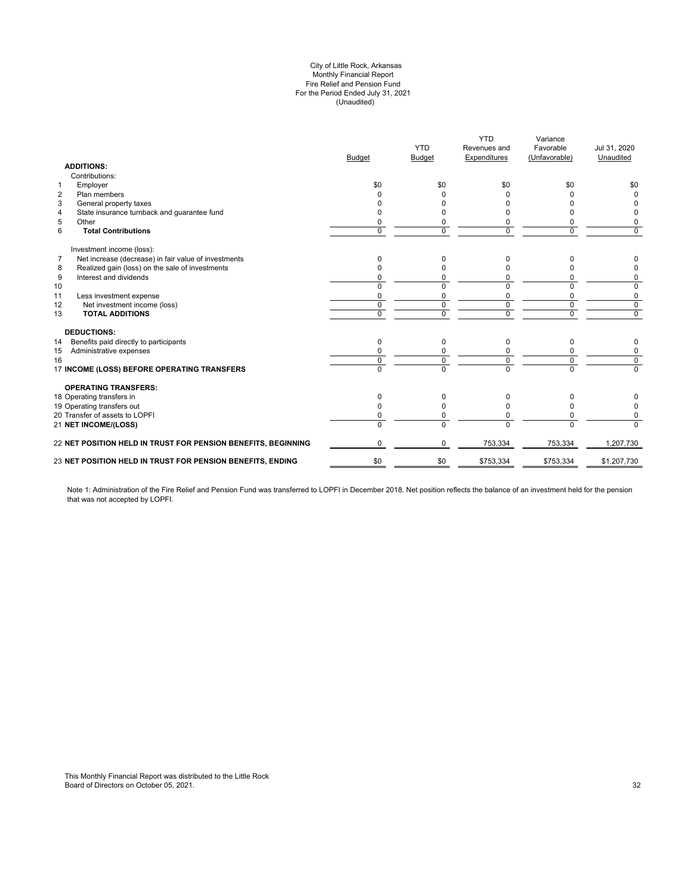#### (Unaudited) City of Little Rock, Arkansas Monthly Financial Report Fire Relief and Pension Fund For the Period Ended July 31, 2021

| <b>ADDITIONS:</b>                                                      | <b>Budget</b> | <b>YTD</b><br><b>Budget</b> | <b>YTD</b><br>Revenues and<br><b>Expenditures</b> | Variance<br>Favorable<br>(Unfavorable) | Jul 31, 2020<br>Unaudited |
|------------------------------------------------------------------------|---------------|-----------------------------|---------------------------------------------------|----------------------------------------|---------------------------|
| Contributions:                                                         |               |                             |                                                   |                                        |                           |
| Employer<br>$\mathbf{1}$                                               | \$0           | \$0                         | \$0                                               | \$0                                    | \$0                       |
| $\overline{2}$<br>Plan members                                         |               |                             |                                                   |                                        | $\Omega$                  |
| 3<br>General property taxes                                            |               |                             |                                                   |                                        |                           |
| State insurance turnback and guarantee fund<br>4                       |               |                             |                                                   | o                                      | 0                         |
| 5<br>Other                                                             |               | 0                           | 0                                                 | 0                                      | 0                         |
| 6<br><b>Total Contributions</b>                                        | $\Omega$      | $\Omega$                    | $\Omega$                                          | $\Omega$                               | $\Omega$                  |
| Investment income (loss):                                              |               |                             |                                                   |                                        |                           |
| Net increase (decrease) in fair value of investments<br>$\overline{7}$ | 0             | 0                           | <sup>0</sup>                                      | U                                      | 0                         |
| Realized gain (loss) on the sale of investments<br>8                   |               | O                           |                                                   | n                                      | 0                         |
| 9<br>Interest and dividends                                            |               | 0                           | $\Omega$                                          | 0                                      | 0                         |
| 10                                                                     |               | $\Omega$                    | $\Omega$                                          | $\Omega$                               | 0                         |
| 11<br>Less investment expense                                          | $\Omega$      | 0                           | 0                                                 | $\mathbf 0$                            | 0                         |
| 12<br>Net investment income (loss)                                     | $\Omega$      | $\Omega$                    | $\Omega$                                          | $\mathbf 0$                            | $\mathbf 0$               |
| 13<br><b>TOTAL ADDITIONS</b>                                           | $\Omega$      | 0                           | $\mathbf 0$                                       | $\mathbf 0$                            | $\overline{0}$            |
| <b>DEDUCTIONS:</b>                                                     |               |                             |                                                   |                                        |                           |
| Benefits paid directly to participants<br>14                           | 0             | $\Omega$                    | $\Omega$                                          | 0                                      | 0                         |
| Administrative expenses<br>15                                          |               |                             | 0                                                 | 0                                      | 0                         |
| 16                                                                     | $\Omega$      | $\mathbf 0$                 | $\Omega$                                          | $\mathbf 0$                            | $\mathbf 0$               |
| 17 INCOME (LOSS) BEFORE OPERATING TRANSFERS                            | $\Omega$      | $\overline{0}$              | $\Omega$                                          | $\overline{0}$                         | $\Omega$                  |
| <b>OPERATING TRANSFERS:</b>                                            |               |                             |                                                   |                                        |                           |
| 18 Operating transfers in                                              | $\Omega$      | 0                           | 0                                                 | 0                                      |                           |
| 19 Operating transfers out                                             | <sup>0</sup>  | O                           | <sup>0</sup>                                      | 0                                      | 0                         |
| 20 Transfer of assets to LOPFI                                         |               | $\Omega$                    | $\Omega$                                          | $\Omega$                               | 0                         |
| 21 NET INCOME/(LOSS)                                                   | $\Omega$      | $\Omega$                    | $\Omega$                                          | $\Omega$                               | $\Omega$                  |
| <b>22 NET POSITION HELD IN TRUST FOR PENSION BENEFITS, BEGINNING</b>   | $\Omega$      | $\Omega$                    | 753,334                                           | 753,334                                | 1,207,730                 |
| 23 NET POSITION HELD IN TRUST FOR PENSION BENEFITS, ENDING             | \$0           | \$0                         | \$753,334                                         | \$753,334                              | \$1,207,730               |
|                                                                        |               |                             |                                                   |                                        |                           |

Note 1: Administration of the Fire Relief and Pension Fund was transferred to LOPFI in December 2018. Net position reflects the balance of an investment held for the pension that was not accepted by LOPFI.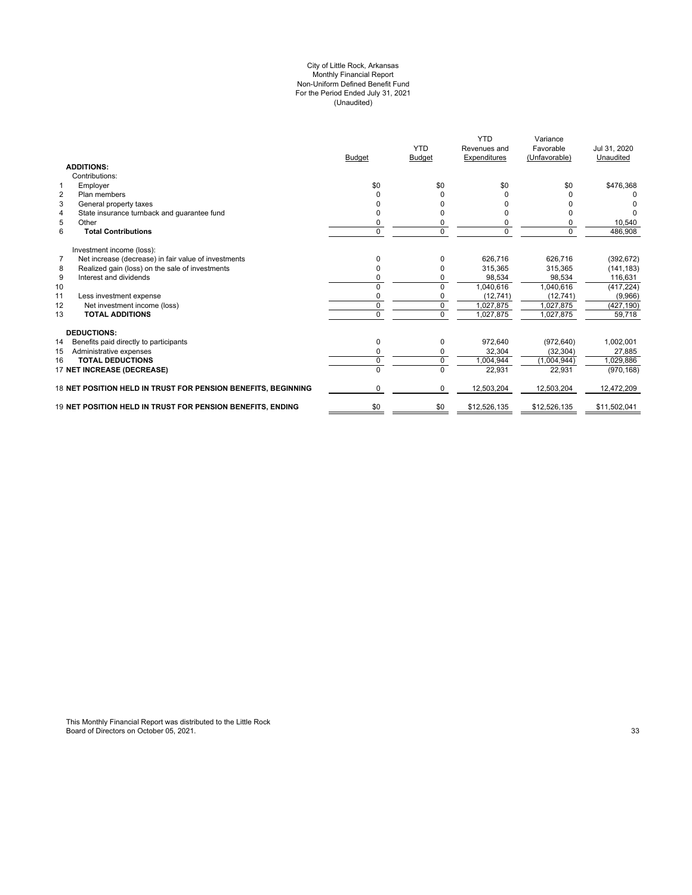#### (Unaudited) For the Period Ended July 31, 2021 City of Little Rock, Arkansas Monthly Financial Report Non-Uniform Defined Benefit Fund

|                                                                        | <b>Budget</b> | <b>YTD</b><br>Budget | <b>YTD</b><br>Revenues and<br>Expenditures | Variance<br>Favorable<br>(Unfavorable) | Jul 31, 2020<br>Unaudited |
|------------------------------------------------------------------------|---------------|----------------------|--------------------------------------------|----------------------------------------|---------------------------|
| <b>ADDITIONS:</b>                                                      |               |                      |                                            |                                        |                           |
| Contributions:                                                         |               |                      |                                            |                                        |                           |
| 1<br>Employer                                                          | \$0           | \$0                  | \$0                                        | \$0                                    | \$476,368                 |
| $\overline{2}$<br>Plan members                                         | $\Omega$      | 0                    |                                            |                                        |                           |
| 3<br>General property taxes                                            |               |                      |                                            |                                        |                           |
| State insurance turnback and guarantee fund<br>4                       |               |                      |                                            |                                        |                           |
| 5<br>Other                                                             | $\Omega$      | 0                    | $\Omega$                                   |                                        | 10,540                    |
| 6<br><b>Total Contributions</b>                                        | $\mathbf 0$   | 0                    | $\Omega$                                   | $\Omega$                               | 486,908                   |
| Investment income (loss):                                              |               |                      |                                            |                                        |                           |
| $\overline{7}$<br>Net increase (decrease) in fair value of investments | $\Omega$      | 0                    | 626,716                                    | 626.716                                | (392, 672)                |
| Realized gain (loss) on the sale of investments<br>8                   | $\Omega$      |                      | 315.365                                    | 315.365                                | (141, 183)                |
| 9<br>Interest and dividends                                            | $\Omega$      |                      | 98,534                                     | 98,534                                 | 116,631                   |
| 10                                                                     |               | $\Omega$             | 1,040,616                                  | 1,040,616                              | (417, 224)                |
| 11<br>Less investment expense                                          |               |                      | (12, 741)                                  | (12, 741)                              | (9,966)                   |
| Net investment income (loss)<br>12                                     | $\Omega$      | 0                    | 1,027,875                                  | 1,027,875                              | (427, 190)                |
| 13<br><b>TOTAL ADDITIONS</b>                                           | $\Omega$      | $\overline{0}$       | 1,027,875                                  | 1,027,875                              | 59,718                    |
| <b>DEDUCTIONS:</b>                                                     |               |                      |                                            |                                        |                           |
| 14<br>Benefits paid directly to participants                           | 0             | 0                    | 972,640                                    | (972, 640)                             | 1,002,001                 |
| Administrative expenses<br>15                                          | 0             |                      | 32,304                                     | (32, 304)                              | 27,885                    |
| <b>TOTAL DEDUCTIONS</b><br>16                                          | $\Omega$      | 0                    | 1,004,944                                  | (1,004,944)                            | 1,029,886                 |
| 17 NET INCREASE (DECREASE)                                             |               | $\Omega$             | 22,931                                     | 22,931                                 | (970, 168)                |
| 18 NET POSITION HELD IN TRUST FOR PENSION BENEFITS, BEGINNING          | $\Omega$      | $\Omega$             | 12,503,204                                 | 12,503,204                             | 12,472,209                |
| 19 NET POSITION HELD IN TRUST FOR PENSION BENEFITS, ENDING             | \$0           | \$0                  | \$12,526,135                               | \$12,526,135                           | \$11,502,041              |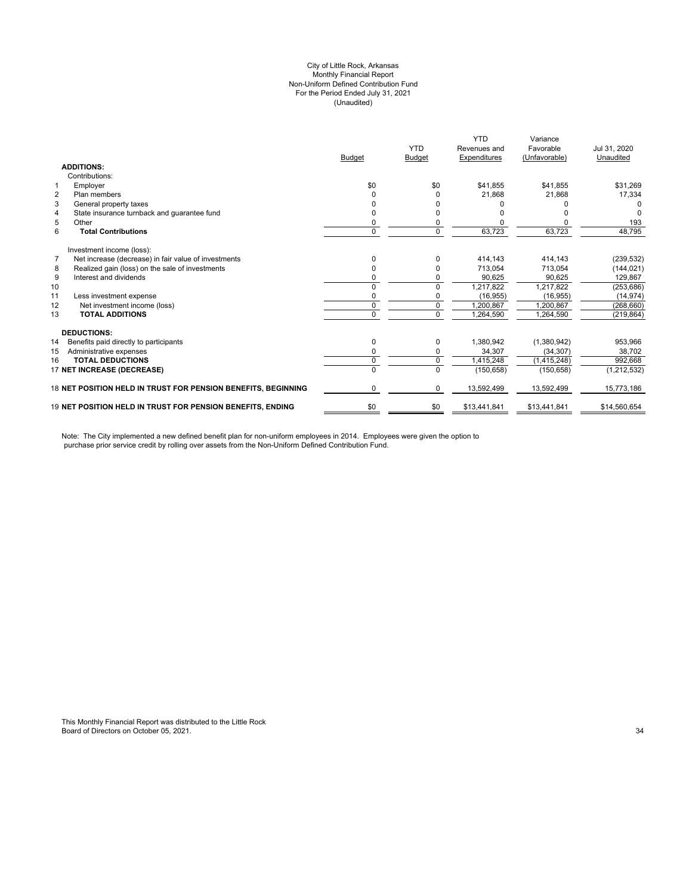#### City of Little Rock, Arkansas (Unaudited) For the Period Ended July 31, 2021 Non-Uniform Defined Contribution Fund Monthly Financial Report

|                                                                        |                                                               |               | <b>YTD</b>    | <b>YTD</b><br>Revenues and | Variance<br>Favorable | Jul 31, 2020  |
|------------------------------------------------------------------------|---------------------------------------------------------------|---------------|---------------|----------------------------|-----------------------|---------------|
|                                                                        |                                                               | <b>Budget</b> | <b>Budget</b> | Expenditures               | (Unfavorable)         | Unaudited     |
| <b>ADDITIONS:</b>                                                      |                                                               |               |               |                            |                       |               |
| Contributions:                                                         |                                                               |               |               |                            |                       |               |
| Employer<br>1                                                          |                                                               | \$0           | \$0           | \$41,855                   | \$41,855              | \$31,269      |
| $\overline{2}$<br>Plan members                                         |                                                               |               |               | 21,868                     | 21,868                | 17,334        |
| 3<br>General property taxes                                            |                                                               |               |               |                            |                       |               |
| $\overline{4}$<br>State insurance turnback and quarantee fund          |                                                               |               |               |                            |                       |               |
| 5<br>Other                                                             |                                                               | 0             |               |                            |                       | 193           |
| 6<br><b>Total Contributions</b>                                        |                                                               | $\Omega$      | $\Omega$      | 63,723                     | 63,723                | 48,795        |
| Investment income (loss):                                              |                                                               |               |               |                            |                       |               |
| $\overline{7}$<br>Net increase (decrease) in fair value of investments |                                                               | O             |               | 414,143                    | 414,143               | (239, 532)    |
| Realized gain (loss) on the sale of investments<br>8                   |                                                               | 0             |               | 713,054                    | 713,054               | (144, 021)    |
| Interest and dividends<br>9                                            |                                                               | 0             |               | 90.625                     | 90.625                | 129,867       |
| 10                                                                     |                                                               | $\Omega$      | $\Omega$      | 1,217,822                  | 1,217,822             | (253, 686)    |
| 11<br>Less investment expense                                          |                                                               | 0             | 0             | (16, 955)                  | (16, 955)             | (14, 974)     |
| 12<br>Net investment income (loss)                                     |                                                               | 0             | $\mathbf 0$   | 1,200,867                  | 1.200.867             | (268, 660)    |
| <b>TOTAL ADDITIONS</b><br>13                                           |                                                               | $\Omega$      | $\Omega$      | 1,264,590                  | 1,264,590             | (219, 864)    |
| <b>DEDUCTIONS:</b>                                                     |                                                               |               |               |                            |                       |               |
| 14<br>Benefits paid directly to participants                           |                                                               | 0             | 0             | 1,380,942                  | (1,380,942)           | 953,966       |
| 15<br>Administrative expenses                                          |                                                               | 0             | 0             | 34,307                     | (34, 307)             | 38,702        |
| <b>TOTAL DEDUCTIONS</b><br>16                                          |                                                               | 0             | $\Omega$      | 1,415,248                  | (1, 415, 248)         | 992,668       |
| 17 NET INCREASE (DECREASE)                                             |                                                               | $\Omega$      | $\Omega$      | (150, 658)                 | (150, 658)            | (1, 212, 532) |
|                                                                        | 18 NET POSITION HELD IN TRUST FOR PENSION BENEFITS. BEGINNING | 0             | 0             | 13,592,499                 | 13,592,499            | 15,773,186    |
| <b>19 NET POSITION HELD IN TRUST FOR PENSION BENEFITS. ENDING</b>      |                                                               | \$0           | \$0           | \$13,441,841               | \$13,441,841          | \$14,560,654  |

Note: The City implemented a new defined benefit plan for non-uniform employees in 2014. Employees were given the option to purchase prior service credit by rolling over assets from the Non-Uniform Defined Contribution Fund.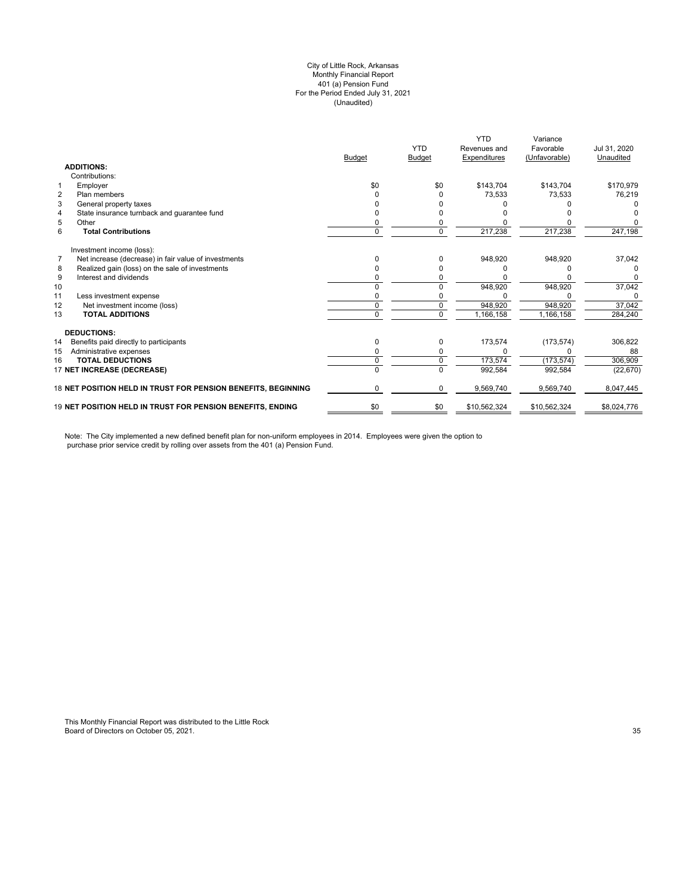#### (Unaudited) City of Little Rock, Arkansas Monthly Financial Report 401 (a) Pension Fund For the Period Ended July 31, 2021

|                |                                                               | <b>Budget</b> | <b>YTD</b><br><b>Budget</b> | <b>YTD</b><br>Revenues and<br>Expenditures | Variance<br>Favorable<br>(Unfavorable) | Jul 31, 2020<br>Unaudited |
|----------------|---------------------------------------------------------------|---------------|-----------------------------|--------------------------------------------|----------------------------------------|---------------------------|
|                | <b>ADDITIONS:</b>                                             |               |                             |                                            |                                        |                           |
|                | Contributions:                                                |               |                             |                                            |                                        |                           |
| 1              | Employer                                                      | \$0           | \$0                         | \$143,704                                  | \$143,704                              | \$170,979                 |
| $\overline{2}$ | Plan members                                                  |               |                             | 73,533                                     | 73,533                                 | 76,219                    |
| 3              | General property taxes                                        |               |                             |                                            |                                        |                           |
| 4              | State insurance turnback and quarantee fund                   |               |                             |                                            |                                        |                           |
| 5              | Other                                                         |               |                             |                                            |                                        |                           |
| 6              | <b>Total Contributions</b>                                    | 0             | 0                           | 217,238                                    | 217,238                                | 247,198                   |
|                | Investment income (loss):                                     |               |                             |                                            |                                        |                           |
| $\overline{7}$ | Net increase (decrease) in fair value of investments          | n             | 0                           | 948,920                                    | 948,920                                | 37,042                    |
| 8              | Realized gain (loss) on the sale of investments               |               |                             |                                            |                                        |                           |
| 9              | Interest and dividends                                        |               |                             |                                            |                                        | 0                         |
| 10             |                                                               |               |                             | 948,920                                    | 948,920                                | 37,042                    |
| 11             | Less investment expense                                       |               |                             |                                            |                                        | ი                         |
| 12             | Net investment income (loss)                                  | 0             | 0                           | 948,920                                    | 948,920                                | 37,042                    |
| 13             | <b>TOTAL ADDITIONS</b>                                        | U             | $\Omega$                    | 1,166,158                                  | 1,166,158                              | 284,240                   |
|                | <b>DEDUCTIONS:</b>                                            |               |                             |                                            |                                        |                           |
| 14             | Benefits paid directly to participants                        | 0             | 0                           | 173,574                                    | (173, 574)                             | 306,822                   |
| 15             | Administrative expenses                                       |               |                             |                                            |                                        | 88                        |
| 16             | <b>TOTAL DEDUCTIONS</b>                                       | 0             | 0                           | 173,574                                    | (173, 574)                             | 306,909                   |
|                | 17 NET INCREASE (DECREASE)                                    | U             | $\Omega$                    | 992,584                                    | 992,584                                | (22, 670)                 |
|                | 18 NET POSITION HELD IN TRUST FOR PENSION BENEFITS, BEGINNING | 0             | 0                           | 9,569,740                                  | 9,569,740                              | 8,047,445                 |
|                | 19 NET POSITION HELD IN TRUST FOR PENSION BENEFITS, ENDING    | \$0           | \$0                         | \$10,562,324                               | \$10,562,324                           | \$8,024,776               |

Note: The City implemented a new defined benefit plan for non-uniform employees in 2014. Employees were given the option to purchase prior service credit by rolling over assets from the 401 (a) Pension Fund.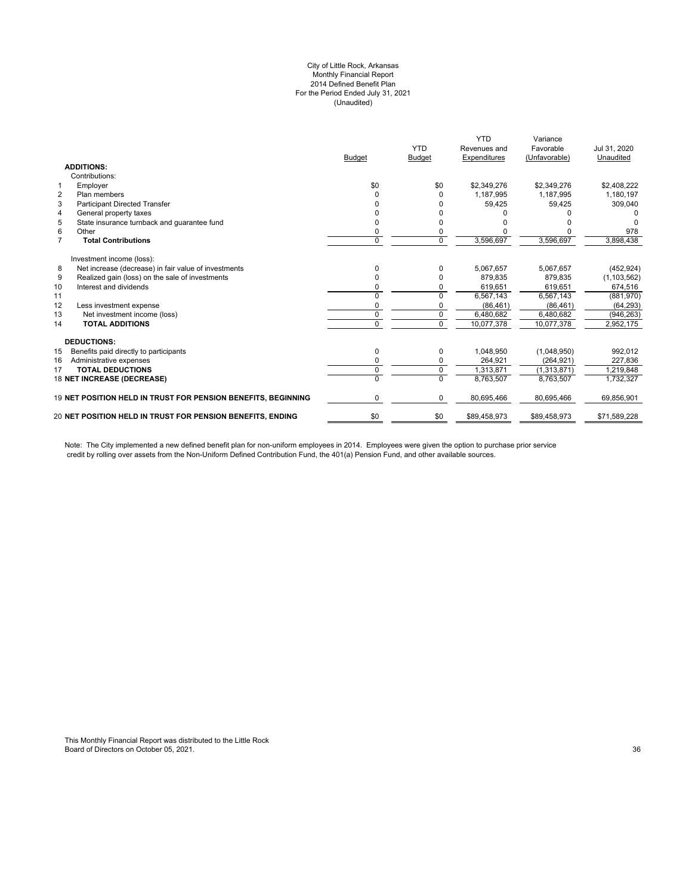#### City of Little Rock, Arkansas Monthly Financial Report 2014 Defined Benefit Plan For the Period Ended July 31, 2021 (Unaudited)

|                | <b>ADDITIONS:</b>                                                 | <b>Budget</b> | <b>YTD</b><br><b>Budget</b> | <b>YTD</b><br>Revenues and<br>Expenditures | Variance<br>Favorable<br>(Unfavorable) | Jul 31, 2020<br>Unaudited |
|----------------|-------------------------------------------------------------------|---------------|-----------------------------|--------------------------------------------|----------------------------------------|---------------------------|
|                | Contributions:                                                    |               |                             |                                            |                                        |                           |
| $\mathbf{1}$   | Employer                                                          | \$0           | \$0                         | \$2,349,276                                | \$2,349,276                            | \$2,408,222               |
| $\overline{2}$ | Plan members                                                      | ი             | O                           | 1,187,995                                  | 1,187,995                              | 1,180,197                 |
| 3              | <b>Participant Directed Transfer</b>                              |               |                             | 59,425                                     | 59,425                                 | 309,040                   |
| 4              | General property taxes                                            |               |                             |                                            |                                        |                           |
| 5              | State insurance turnback and quarantee fund                       | n             |                             |                                            |                                        |                           |
| 6              | Other                                                             | 0             |                             |                                            |                                        | 978                       |
| $\overline{7}$ | <b>Total Contributions</b>                                        | 0             | $\Omega$                    | 3,596,697                                  | 3,596,697                              | 3,898,438                 |
|                | Investment income (loss):                                         |               |                             |                                            |                                        |                           |
| 8              | Net increase (decrease) in fair value of investments              | 0             | 0                           | 5,067,657                                  | 5,067,657                              | (452, 924)                |
| 9              | Realized gain (loss) on the sale of investments                   |               | O                           | 879,835                                    | 879,835                                | (1, 103, 562)             |
| 10             | Interest and dividends                                            | n             | 0                           | 619,651                                    | 619,651                                | 674,516                   |
| 11             |                                                                   | $\Omega$      | $\Omega$                    | 6,567,143                                  | 6,567,143                              | (881,970)                 |
| 12             | Less investment expense                                           | 0             | 0                           | (86, 461)                                  | (86, 461)                              | (64, 293)                 |
| 13             | Net investment income (loss)                                      | 0             | $\Omega$                    | 6.480.682                                  | 6.480.682                              | (946, 263)                |
| 14             | <b>TOTAL ADDITIONS</b>                                            | 0             | $\Omega$                    | 10.077.378                                 | 10,077,378                             | 2,952,175                 |
|                | <b>DEDUCTIONS:</b>                                                |               |                             |                                            |                                        |                           |
| 15             | Benefits paid directly to participants                            | 0             | 0                           | 1,048,950                                  | (1,048,950)                            | 992,012                   |
| 16             | Administrative expenses                                           | 0             | 0                           | 264,921                                    | (264, 921)                             | 227,836                   |
| 17             | <b>TOTAL DEDUCTIONS</b>                                           | 0             | $\mathbf 0$                 | 1.313.871                                  | (1,313,871)                            | 1,219,848                 |
|                | 18 NET INCREASE (DECREASE)                                        | U             | $\Omega$                    | 8.763.507                                  | 8.763.507                              | 1,732,327                 |
|                | 19 NET POSITION HELD IN TRUST FOR PENSION BENEFITS, BEGINNING     | 0             | 0                           | 80,695,466                                 | 80,695,466                             | 69,856,901                |
|                | <b>20 NET POSITION HELD IN TRUST FOR PENSION BENEFITS. ENDING</b> | \$0           | \$0                         | \$89,458,973                               | \$89,458,973                           | \$71,589,228              |
|                |                                                                   |               |                             |                                            |                                        |                           |

Note: The City implemented a new defined benefit plan for non-uniform employees in 2014. Employees were given the option to purchase prior service credit by rolling over assets from the Non-Uniform Defined Contribution Fund, the 401(a) Pension Fund, and other available sources.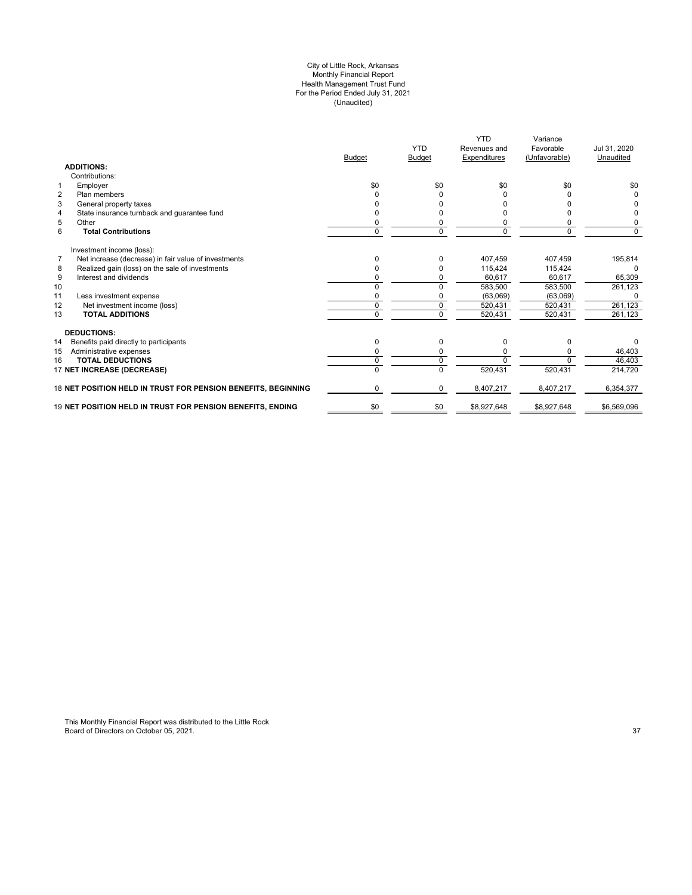#### City of Little Rock, Arkansas Monthly Financial Report Health Management Trust Fund For the Period Ended July 31, 2021 (Unaudited)

|                                                                        | <b>Budget</b> | <b>YTD</b><br><b>Budget</b> | <b>YTD</b><br>Revenues and<br>Expenditures | Variance<br>Favorable<br>(Unfavorable) | Jul 31, 2020<br>Unaudited |
|------------------------------------------------------------------------|---------------|-----------------------------|--------------------------------------------|----------------------------------------|---------------------------|
| <b>ADDITIONS:</b>                                                      |               |                             |                                            |                                        |                           |
| Contributions:                                                         |               |                             |                                            |                                        |                           |
| $\mathbf{1}$<br>Employer                                               | \$0           | \$0                         | \$0                                        | \$0                                    | \$0                       |
| $\overline{2}$<br>Plan members                                         | ŋ             | 0                           |                                            |                                        | 0                         |
| 3<br>General property taxes                                            |               |                             |                                            |                                        | <sup>0</sup>              |
| State insurance turnback and guarantee fund<br>$\overline{4}$          |               |                             |                                            |                                        | 0                         |
| 5<br>Other                                                             | 0             |                             |                                            | 0                                      | 0                         |
| 6<br><b>Total Contributions</b>                                        | 0             | $\Omega$                    | 0                                          | $\Omega$                               | $\Omega$                  |
| Investment income (loss):                                              |               |                             |                                            |                                        |                           |
| $\overline{7}$<br>Net increase (decrease) in fair value of investments | 0             | O                           | 407,459                                    | 407,459                                | 195,814                   |
| Realized gain (loss) on the sale of investments<br>8                   | 0             |                             | 115.424                                    | 115.424                                | $\Omega$                  |
| 9<br>Interest and dividends                                            | ŋ             |                             | 60.617                                     | 60,617                                 | 65,309                    |
| 10                                                                     |               |                             | 583,500                                    | 583,500                                | 261,123                   |
| 11<br>Less investment expense                                          |               |                             | (63,069)                                   | (63,069)                               |                           |
| 12<br>Net investment income (loss)                                     | O             |                             | 520,431                                    | 520,431                                | 261,123                   |
| 13<br><b>TOTAL ADDITIONS</b>                                           | 0             |                             | 520,431                                    | 520,431                                | 261,123                   |
| <b>DEDUCTIONS:</b>                                                     |               |                             |                                            |                                        |                           |
| 14<br>Benefits paid directly to participants                           | 0             | $\Omega$                    | $\Omega$                                   | 0                                      | $\Omega$                  |
| 15<br>Administrative expenses                                          | ŋ             |                             | 0                                          |                                        | 46,403                    |
| <b>TOTAL DEDUCTIONS</b><br>16                                          | 0             | U                           | $\Omega$                                   | <sup>n</sup>                           | 46,403                    |
| 17 NET INCREASE (DECREASE)                                             |               |                             | 520,431                                    | 520,431                                | 214,720                   |
| 18 NET POSITION HELD IN TRUST FOR PENSION BENEFITS, BEGINNING          | 0             | $\Omega$                    | 8,407,217                                  | 8,407,217                              | 6,354,377                 |
| 19 NET POSITION HELD IN TRUST FOR PENSION BENEFITS, ENDING             | \$0           | \$0                         | \$8,927,648                                | \$8,927,648                            | \$6,569,096               |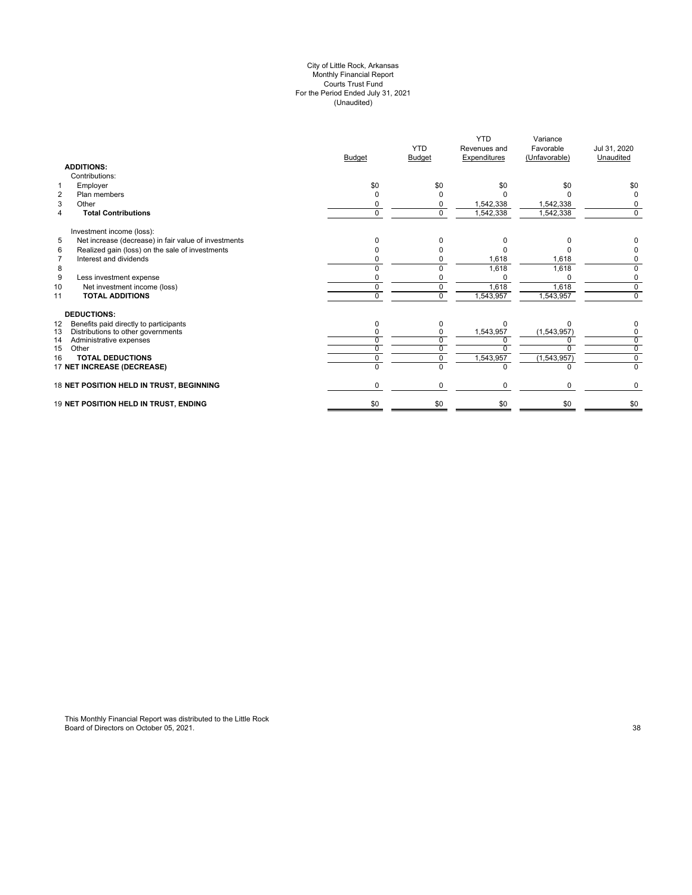#### City of Little Rock, Arkansas Monthly Financial Report Courts Trust Fund For the Period Ended July 31, 2021 (Unaudited)

|                                                           | <b>Budget</b> | <b>YTD</b><br><b>Budget</b> | <b>YTD</b><br>Revenues and<br>Expenditures | Variance<br>Favorable<br>(Unfavorable) | Jul 31, 2020<br>Unaudited |
|-----------------------------------------------------------|---------------|-----------------------------|--------------------------------------------|----------------------------------------|---------------------------|
| <b>ADDITIONS:</b>                                         |               |                             |                                            |                                        |                           |
| Contributions:                                            |               |                             |                                            |                                        |                           |
| Employer<br>1                                             | \$0           | \$0                         | \$0                                        | \$0                                    | \$0                       |
| $\overline{2}$<br>Plan members                            | $\Omega$      |                             |                                            |                                        | 0                         |
| 3<br>Other                                                | ŋ             | <sup>0</sup>                | 1,542,338                                  | 1,542,338                              | 0                         |
| <b>Total Contributions</b><br>$\overline{4}$              | $\Omega$      | $\Omega$                    | 1,542,338                                  | 1,542,338                              | $\Omega$                  |
| Investment income (loss):                                 |               |                             |                                            |                                        |                           |
| 5<br>Net increase (decrease) in fair value of investments | 0             | <sup>0</sup>                | ŋ                                          |                                        |                           |
| Realized gain (loss) on the sale of investments<br>6      |               |                             |                                            |                                        |                           |
| Interest and dividends<br>$\overline{7}$                  | ŋ             |                             | 1,618                                      | 1,618                                  | 0                         |
| 8                                                         |               |                             | 1,618                                      | 1,618                                  | $\Omega$                  |
| 9<br>Less investment expense                              |               |                             |                                            |                                        | 0                         |
| Net investment income (loss)<br>10                        | U             | $\Omega$                    | 1,618                                      | 1.618                                  | $\overline{0}$            |
| <b>TOTAL ADDITIONS</b><br>11                              | U             | $\Omega$                    | 1,543,957                                  | 1,543,957                              | $\mathbf 0$               |
| <b>DEDUCTIONS:</b>                                        |               |                             |                                            |                                        |                           |
| Benefits paid directly to participants<br>12              | O             | 0                           | <sup>0</sup>                               |                                        |                           |
| 13<br>Distributions to other governments                  |               |                             | 1,543,957                                  | (1,543,957)                            | 0                         |
| 14<br>Administrative expenses                             | n             | n.                          |                                            |                                        | $\overline{0}$            |
| 15<br>Other                                               | U             |                             |                                            |                                        | $\overline{0}$            |
| <b>TOTAL DEDUCTIONS</b><br>16                             | 0             | 0                           | 1,543,957                                  | (1, 543, 957)                          | $\mathbf 0$               |
| 17 NET INCREASE (DECREASE)                                | U             | U                           | $\Omega$                                   |                                        | $\Omega$                  |
| 18 NET POSITION HELD IN TRUST, BEGINNING                  | 0             | 0                           | $\Omega$                                   | 0                                      | 0                         |
| 19 NET POSITION HELD IN TRUST, ENDING                     | \$0           | \$0                         | \$0                                        | \$0                                    | \$0                       |
|                                                           |               |                             |                                            |                                        |                           |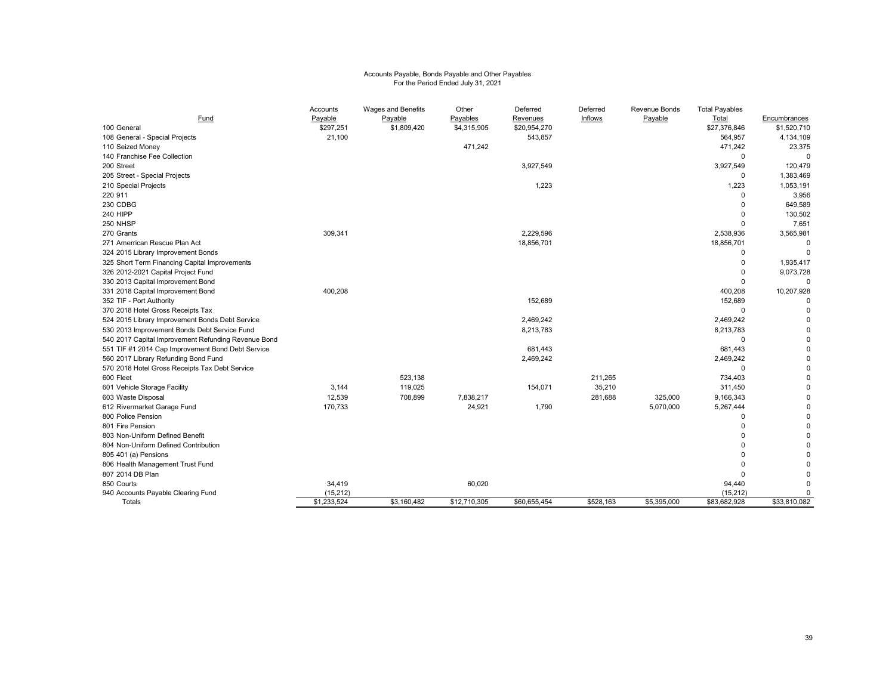# Accounts Payable, Bonds Payable and Other Payables For the Period Ended July 31, 2021

| Fund                                                | Accounts<br>Payable | Wages and Benefits<br>Payable | Other<br>Payables | Deferred<br>Revenues | Deferred<br>Inflows | Revenue Bonds<br>Payable | <b>Total Payables</b><br>Total | Encumbrances |
|-----------------------------------------------------|---------------------|-------------------------------|-------------------|----------------------|---------------------|--------------------------|--------------------------------|--------------|
| 100 General                                         | \$297,251           | \$1,809,420                   | \$4,315,905       | \$20,954,270         |                     |                          | \$27,376,846                   | \$1,520,710  |
| 108 General - Special Projects                      | 21,100              |                               |                   | 543,857              |                     |                          | 564,957                        | 4,134,109    |
| 110 Seized Money                                    |                     |                               | 471,242           |                      |                     |                          | 471,242                        | 23,375       |
| 140 Franchise Fee Collection                        |                     |                               |                   |                      |                     |                          | $\Omega$                       | 0            |
| 200 Street                                          |                     |                               |                   | 3,927,549            |                     |                          | 3,927,549                      | 120,479      |
| 205 Street - Special Projects                       |                     |                               |                   |                      |                     |                          | 0                              | 1,383,469    |
| 210 Special Projects                                |                     |                               |                   | 1,223                |                     |                          | 1,223                          | 1,053,191    |
| 220 911                                             |                     |                               |                   |                      |                     |                          | $\Omega$                       | 3,956        |
| 230 CDBG                                            |                     |                               |                   |                      |                     |                          |                                | 649,589      |
| <b>240 HIPP</b>                                     |                     |                               |                   |                      |                     |                          | $\Omega$                       | 130,502      |
| 250 NHSP                                            |                     |                               |                   |                      |                     |                          | $\Omega$                       | 7,651        |
| 270 Grants                                          | 309,341             |                               |                   | 2,229,596            |                     |                          | 2,538,936                      | 3,565,981    |
| 271 Amerrican Rescue Plan Act                       |                     |                               |                   | 18,856,701           |                     |                          | 18,856,701                     | 0            |
| 324 2015 Library Improvement Bonds                  |                     |                               |                   |                      |                     |                          | $\Omega$                       | 0            |
| 325 Short Term Financing Capital Improvements       |                     |                               |                   |                      |                     |                          | $\Omega$                       | 1,935,417    |
| 326 2012-2021 Capital Project Fund                  |                     |                               |                   |                      |                     |                          | 0                              | 9,073,728    |
| 330 2013 Capital Improvement Bond                   |                     |                               |                   |                      |                     |                          | $\Omega$                       | $\mathbf 0$  |
| 331 2018 Capital Improvement Bond                   | 400,208             |                               |                   |                      |                     |                          | 400,208                        | 10,207,928   |
| 352 TIF - Port Authority                            |                     |                               |                   | 152,689              |                     |                          | 152,689                        | $\Omega$     |
| 370 2018 Hotel Gross Receipts Tax                   |                     |                               |                   |                      |                     |                          | $\mathbf 0$                    |              |
| 524 2015 Library Improvement Bonds Debt Service     |                     |                               |                   | 2,469,242            |                     |                          | 2,469,242                      |              |
| 530 2013 Improvement Bonds Debt Service Fund        |                     |                               |                   | 8,213,783            |                     |                          | 8,213,783                      |              |
| 540 2017 Capital Improvement Refunding Revenue Bond |                     |                               |                   |                      |                     |                          | $\Omega$                       |              |
| 551 TIF #1 2014 Cap Improvement Bond Debt Service   |                     |                               |                   | 681,443              |                     |                          | 681,443                        |              |
| 560 2017 Library Refunding Bond Fund                |                     |                               |                   | 2,469,242            |                     |                          | 2,469,242                      |              |
| 570 2018 Hotel Gross Receipts Tax Debt Service      |                     |                               |                   |                      |                     |                          | $\mathbf 0$                    |              |
| 600 Fleet                                           |                     | 523,138                       |                   |                      | 211,265             |                          | 734,403                        |              |
| 601 Vehicle Storage Facility                        | 3,144               | 119,025                       |                   | 154,071              | 35,210              |                          | 311,450                        |              |
| 603 Waste Disposal                                  | 12,539              | 708,899                       | 7,838,217         |                      | 281,688             | 325,000                  | 9,166,343                      |              |
| 612 Rivermarket Garage Fund                         | 170,733             |                               | 24,921            | 1,790                |                     | 5,070,000                | 5,267,444                      |              |
| 800 Police Pension                                  |                     |                               |                   |                      |                     |                          | $\mathbf 0$                    |              |
| 801 Fire Pension                                    |                     |                               |                   |                      |                     |                          | $\Omega$                       |              |
| 803 Non-Uniform Defined Benefit                     |                     |                               |                   |                      |                     |                          |                                |              |
| 804 Non-Uniform Defined Contribution                |                     |                               |                   |                      |                     |                          |                                |              |
| 805 401 (a) Pensions                                |                     |                               |                   |                      |                     |                          |                                |              |
| 806 Health Management Trust Fund                    |                     |                               |                   |                      |                     |                          |                                |              |
| 807 2014 DB Plan                                    |                     |                               |                   |                      |                     |                          | $\Omega$                       |              |
| 850 Courts                                          | 34,419              |                               | 60,020            |                      |                     |                          | 94,440                         | $\Omega$     |
| 940 Accounts Payable Clearing Fund                  | (15, 212)           |                               |                   |                      |                     |                          | (15, 212)                      | $\Omega$     |
| Totals                                              | \$1,233,524         | \$3,160,482                   | \$12,710,305      | \$60,655,454         | \$528,163           | \$5,395,000              | \$83,682,928                   | \$33,810,082 |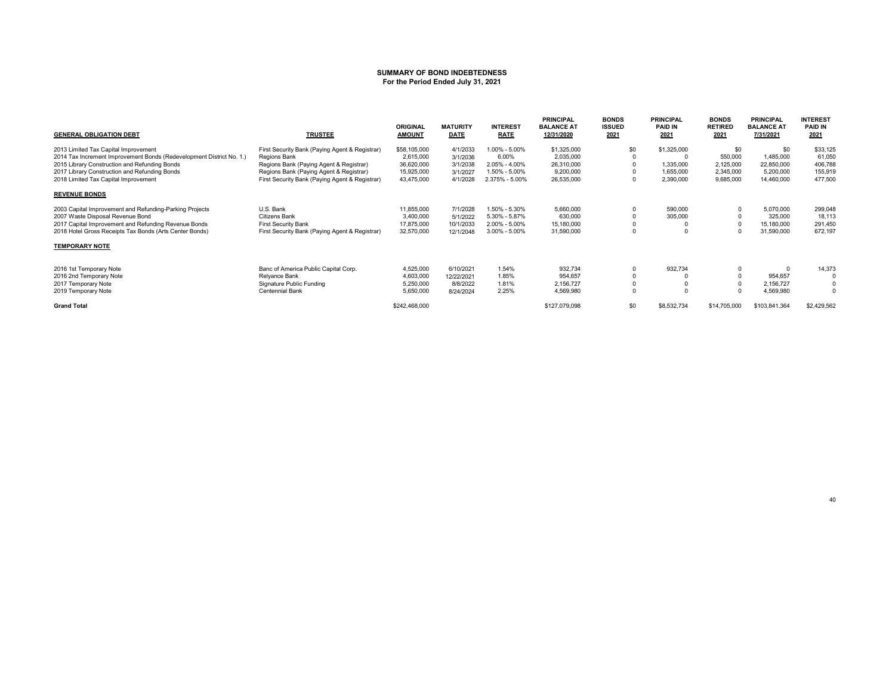#### **SUMMARY OF BOND INDEBTEDNESSFor the Period Ended July 31, 2021**

| <b>GENERAL OBLIGATION DEBT</b>                                       | <b>TRUSTEE</b>                                 | <b>ORIGINAL</b><br><b>AMOUNT</b> | <b>MATURITY</b><br><b>DATE</b> | <b>INTEREST</b><br><b>RATE</b> | <b>PRINCIPAL</b><br><b>BALANCE AT</b><br>12/31/2020 | <b>BONDS</b><br><b>ISSUED</b><br>2021 | <b>PRINCIPAL</b><br><b>PAID IN</b><br>2021 | <b>BONDS</b><br><b>RETIRED</b><br>2021 | <b>PRINCIPAL</b><br><b>BALANCE AT</b><br>7/31/2021 | <b>INTEREST</b><br><b>PAID IN</b><br>2021 |
|----------------------------------------------------------------------|------------------------------------------------|----------------------------------|--------------------------------|--------------------------------|-----------------------------------------------------|---------------------------------------|--------------------------------------------|----------------------------------------|----------------------------------------------------|-------------------------------------------|
| 2013 Limited Tax Capital Improvement                                 | First Security Bank (Paying Agent & Registrar) | \$58,105,000                     | 4/1/2033                       | 1.00% - 5.00%                  | \$1,325,000                                         | \$0                                   | \$1,325,000                                | \$0                                    | \$0                                                | \$33,125                                  |
| 2014 Tax Increment Improvement Bonds (Redevelopment District No. 1.) | Regions Bank                                   | 2,615,000                        | 3/1/2036                       | 6.00%                          | 2,035,000                                           |                                       |                                            | 550,000                                | 1,485,000                                          | 61,050                                    |
| 2015 Library Construction and Refunding Bonds                        | Regions Bank (Paying Agent & Registrar)        | 36,620,000                       | 3/1/2038                       | 2.05% - 4.00%                  | 26,310,000                                          |                                       | 1,335,000                                  | 2,125,000                              | 22,850,000                                         | 406,788                                   |
| 2017 Library Construction and Refunding Bonds                        | Regions Bank (Paying Agent & Registrar)        | 15,925,000                       | 3/1/2027                       | 1.50% - 5.00%                  | 9,200,000                                           |                                       | 1,655,000                                  | 2,345,000                              | 5,200,000                                          | 155,919                                   |
| 2018 Limited Tax Capital Improvement                                 | First Security Bank (Paying Agent & Registrar) | 43,475,000                       | 4/1/2028                       | 2.375% - 5.00%                 | 26,535,000                                          |                                       | 2,390,000                                  | 9,685,000                              | 14,460,000                                         | 477,500                                   |
| <b>REVENUE BONDS</b>                                                 |                                                |                                  |                                |                                |                                                     |                                       |                                            |                                        |                                                    |                                           |
| 2003 Capital Improvement and Refunding-Parking Projects              | U.S. Bank                                      | 11,855,000                       | 7/1/2028                       | 1.50% - 5.30%                  | 5,660,000                                           |                                       | 590,000                                    |                                        | 5,070,000                                          | 299,048                                   |
| 2007 Waste Disposal Revenue Bond                                     | Citizens Bank                                  | 3,400,000                        | 5/1/2022                       | 5.30% - 5.87%                  | 630,000                                             |                                       | 305,000                                    |                                        | 325,000                                            | 18,113                                    |
| 2017 Capital Improvement and Refunding Revenue Bonds                 | <b>First Security Bank</b>                     | 17,875,000                       | 10/1/2033                      | 2.00% - 5.00%                  | 15,180,000                                          |                                       |                                            |                                        | 15,180,000                                         | 291,450                                   |
| 2018 Hotel Gross Receipts Tax Bonds (Arts Center Bonds)              | First Security Bank (Paying Agent & Registrar) | 32,570,000                       | 12/1/2048                      | $3.00\% - 5.00\%$              | 31,590,000                                          |                                       |                                            |                                        | 31,590,000                                         | 672,197                                   |
| <b>TEMPORARY NOTE</b>                                                |                                                |                                  |                                |                                |                                                     |                                       |                                            |                                        |                                                    |                                           |
| 2016 1st Temporary Note                                              | Banc of America Public Capital Corp.           | 4,525,000                        | 6/10/2021                      | 1.54%                          | 932,734                                             |                                       | 932,734                                    |                                        |                                                    | 14,373                                    |
| 2016 2nd Temporary Note                                              | Relyance Bank                                  | 4,603,000                        | 12/22/2021                     | 1.85%                          | 954,657                                             |                                       |                                            |                                        | 954,657                                            |                                           |
| 2017 Temporary Note                                                  | Signature Public Funding                       | 5,250,000                        | 8/8/2022                       | 1.81%                          | 2,156,727                                           |                                       |                                            |                                        | 2,156,727                                          |                                           |
| 2019 Temporary Note                                                  | Centennial Bank                                | 5,650,000                        | 8/24/2024                      | 2.25%                          | 4,569,980                                           |                                       |                                            |                                        | 4,569,980                                          | $\Omega$                                  |
| <b>Grand Total</b>                                                   |                                                | \$242,468,000                    |                                |                                | \$127,079,098                                       | \$0                                   | \$8,532,734                                | \$14,705,000                           | \$103,841,364                                      | \$2,429,562                               |